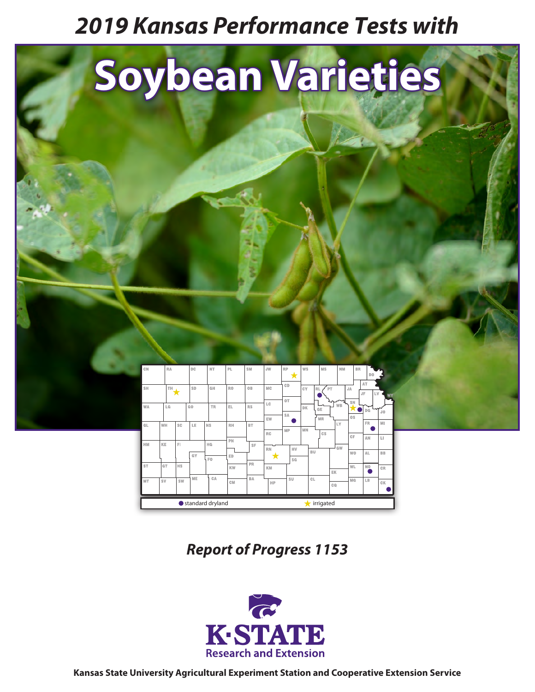# *2019 Kansas Performance Tests with*



*Report of Progress 1153*

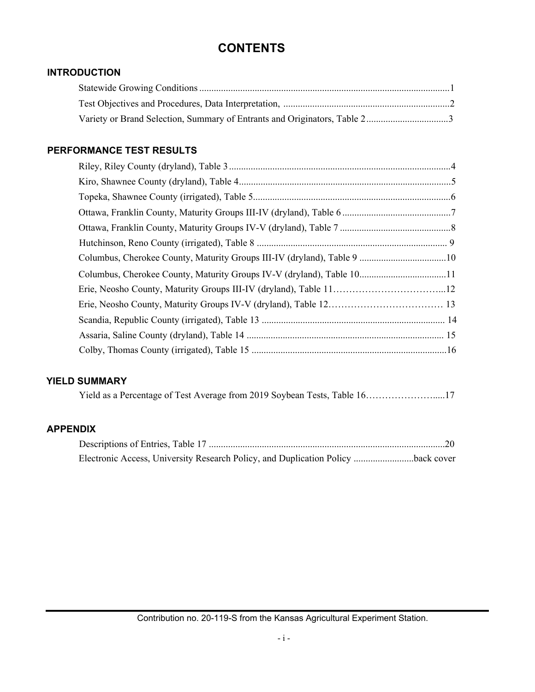# **CONTENTS**

# **INTRODUCTION**

# **PERFORMANCE TEST RESULTS**

| Columbus, Cherokee County, Maturity Groups IV-V (dryland), Table 1011 |  |
|-----------------------------------------------------------------------|--|
|                                                                       |  |
|                                                                       |  |
|                                                                       |  |
|                                                                       |  |
|                                                                       |  |

# **YIELD SUMMARY**

|  |  |  |  | Yield as a Percentage of Test Average from 2019 Soybean Tests, Table 1617 |
|--|--|--|--|---------------------------------------------------------------------------|
|--|--|--|--|---------------------------------------------------------------------------|

# **APPENDIX**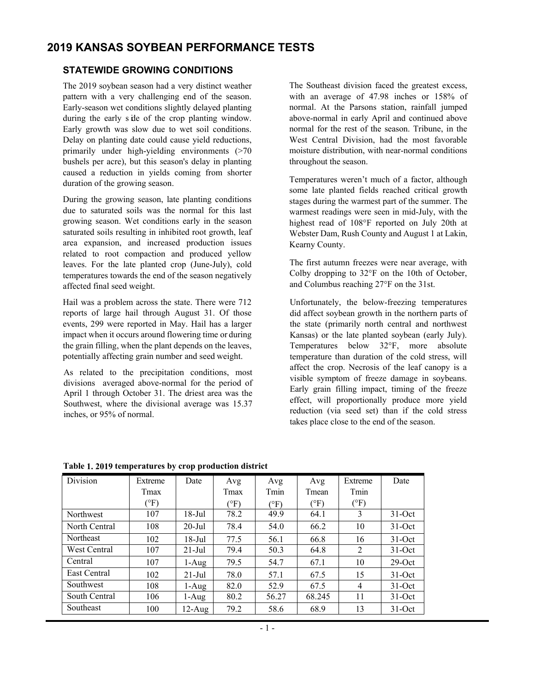# **2019 KANSAS SOYBEAN PERFORMANCE TESTS**

# **STATEWIDE GROWING CONDITIONS**

The 2019 soybean season had a very distinct weather pattern with a very challenging end of the season. Early-season wet conditions slightly delayed planting during the early side of the crop planting window. Early growth was slow due to wet soil conditions. Delay on planting date could cause yield reductions, primarily under high-yielding environments (>70 bushels per acre), but this season's delay in planting caused a reduction in yields coming from shorter duration of the growing season.

During the growing season, late planting conditions due to saturated soils was the normal for this last growing season. Wet conditions early in the season saturated soils resulting in inhibited root growth, leaf area expansion, and increased production issues related to root compaction and produced yellow leaves. For the late planted crop (June-July), cold temperatures towards the end of the season negatively affected final seed weight.

Hail was a problem across the state. There were 712 reports of large hail through August 31. Of those events, 299 were reported in May. Hail has a larger impact when it occurs around flowering time or during the grain filling, when the plant depends on the leaves, potentially affecting grain number and seed weight.

As related to the precipitation conditions, most divisions averaged above-normal for the period of April 1 through October 31. The driest area was the Southwest, where the divisional average was 15.37 inches, or 95% of normal.

The Southeast division faced the greatest excess, with an average of 47.98 inches or 158% of normal. At the Parsons station, rainfall jumped above-normal in early April and continued above normal for the rest of the season. Tribune, in the West Central Division, had the most favorable moisture distribution, with near-normal conditions throughout the season.

Temperatures weren't much of a factor, although some late planted fields reached critical growth stages during the warmest part of the summer. The warmest readings were seen in mid-July, with the highest read of 108°F reported on July 20th at Webster Dam, Rush County and August 1 at Lakin, Kearny County.

The first autumn freezes were near average, with Colby dropping to 32°F on the 10th of October, and Columbus reaching 27°F on the 31st.

Unfortunately, the below-freezing temperatures did affect soybean growth in the northern parts of the state (primarily north central and northwest Kansas) or the late planted soybean (early July). Temperatures below 32°F, more absolute temperature than duration of the cold stress, will affect the crop. Necrosis of the leaf canopy is a visible symptom of freeze damage in soybeans. Early grain filling impact, timing of the freeze effect, will proportionally produce more yield reduction (via seed set) than if the cold stress takes place close to the end of the season.

| Division         | Extreme      | Date      | Avg           | Avg           | Avg    | Extreme      | Date      |
|------------------|--------------|-----------|---------------|---------------|--------|--------------|-----------|
|                  | Tmax         |           | Tmax          | Tmin          | Tmean  | Tmin         |           |
|                  | $(^\circ F)$ |           | $\rm ^{(o}F)$ | $\rm ^{(o}F)$ | (°F)   | $(^\circ F)$ |           |
| Northwest        | 107          | $18$ -Jul | 78.2          | 49.9          | 64.1   | 3            | $31-Oct$  |
| North Central    | 108          | $20$ -Jul | 78.4          | 54.0          | 66.2   | 10           | $31-Oct$  |
| <b>Northeast</b> | 102          | 18-Jul    | 77.5          | 56.1          | 66.8   | 16           | $31-Oct$  |
| West Central     | 107          | $21$ -Jul | 79.4          | 50.3          | 64.8   | 2            | $31-Oct$  |
| Central          | 107          | 1-Aug     | 79.5          | 54.7          | 67.1   | 10           | $29$ -Oct |
| East Central     | 102          | $21$ -Jul | 78.0          | 57.1          | 67.5   | 15           | $31-Oct$  |
| Southwest        | 108          | 1-Aug     | 82.0          | 52.9          | 67.5   | 4            | $31-Oct$  |
| South Central    | 106          | 1-Aug     | 80.2          | 56.27         | 68.245 | 11           | $31-Oct$  |
| Southeast        | 100          | $12$ -Aug | 79.2          | 58.6          | 68.9   | 13           | $31-Oct$  |

**Table 1. 2019 temperatures by crop production district**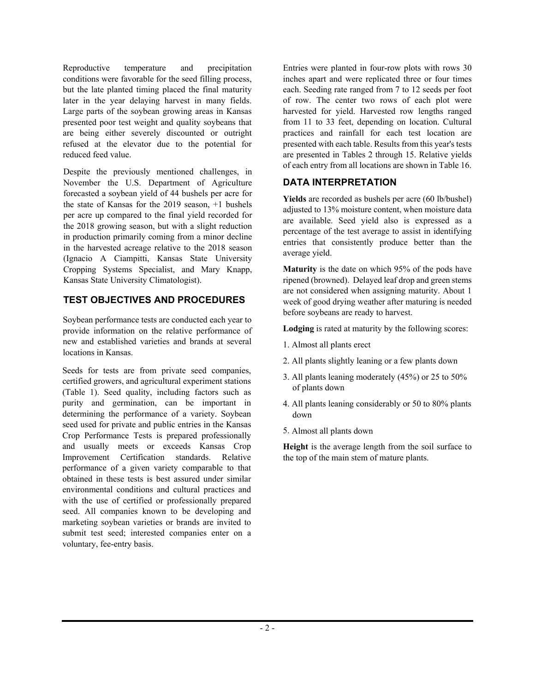Reproductive temperature and precipitation conditions were favorable for the seed filling process, but the late planted timing placed the final maturity later in the year delaying harvest in many fields. Large parts of the soybean growing areas in Kansas presented poor test weight and quality soybeans that are being either severely discounted or outright refused at the elevator due to the potential for reduced feed value.

Despite the previously mentioned challenges, in November the U.S. Department of Agriculture forecasted a soybean yield of 44 bushels per acre for the state of Kansas for the 2019 season, +1 bushels per acre up compared to the final yield recorded for the 2018 growing season, but with a slight reduction in production primarily coming from a minor decline in the harvested acreage relative to the 2018 season (Ignacio A Ciampitti, Kansas State University Cropping Systems Specialist, and Mary Knapp, Kansas State University Climatologist).

# **TEST OBJECTIVES AND PROCEDURES**

Soybean performance tests are conducted each year to provide information on the relative performance of new and established varieties and brands at several locations in Kansas.

Seeds for tests are from private seed companies, certified growers, and agricultural experiment stations (Table 1). Seed quality, including factors such as purity and germination, can be important in determining the performance of a variety. Soybean seed used for private and public entries in the Kansas Crop Performance Tests is prepared professionally and usually meets or exceeds Kansas Crop Improvement Certification standards. Relative performance of a given variety comparable to that obtained in these tests is best assured under similar environmental conditions and cultural practices and with the use of certified or professionally prepared seed. All companies known to be developing and marketing soybean varieties or brands are invited to submit test seed; interested companies enter on a voluntary, fee-entry basis.

Entries were planted in four-row plots with rows 30 inches apart and were replicated three or four times each. Seeding rate ranged from 7 to 12 seeds per foot of row. The center two rows of each plot were harvested for yield. Harvested row lengths ranged from 11 to 33 feet, depending on location. Cultural practices and rainfall for each test location are presented with each table. Results from this year's tests are presented in Tables 2 through 15. Relative yields of each entry from all locations are shown in Table 16.

# **DATA INTERPRETATION**

**Yields** are recorded as bushels per acre (60 lb/bushel) adjusted to 13% moisture content, when moisture data are available. Seed yield also is expressed as a percentage of the test average to assist in identifying entries that consistently produce better than the average yield.

**Maturity** is the date on which 95% of the pods have ripened (browned). Delayed leaf drop and green stems are not considered when assigning maturity. About 1 week of good drying weather after maturing is needed before soybeans are ready to harvest.

**Lodging** is rated at maturity by the following scores:

- 1. Almost all plants erect
- 2. All plants slightly leaning or a few plants down
- 3. All plants leaning moderately (45%) or 25 to 50% of plants down
- 4. All plants leaning considerably or 50 to 80% plants down
- 5. Almost all plants down

**Height** is the average length from the soil surface to the top of the main stem of mature plants.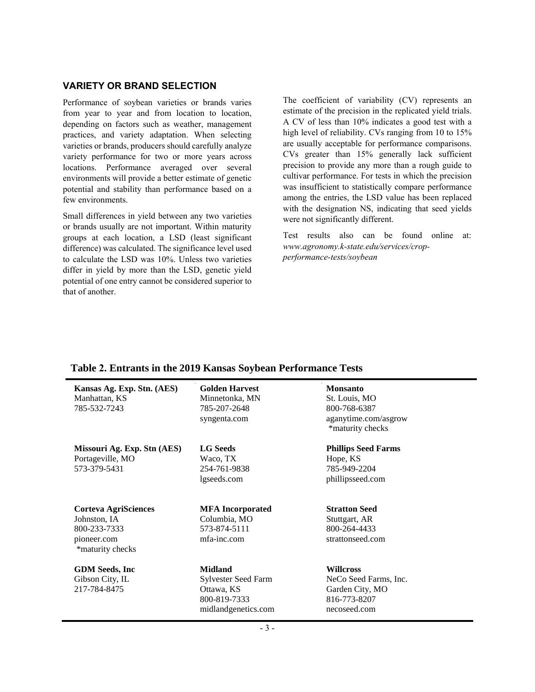# **VARIETY OR BRAND SELECTION**

Performance of soybean varieties or brands varies from year to year and from location to location, depending on factors such as weather, management practices, and variety adaptation. When selecting varieties or brands, producers should carefully analyze variety performance for two or more years across locations. Performance averaged over several environments will provide a better estimate of genetic potential and stability than performance based on a few environments.

Small differences in yield between any two varieties or brands usually are not important. Within maturity groups at each location, a LSD (least significant difference) was calculated. The significance level used to calculate the LSD was 10%. Unless two varieties differ in yield by more than the LSD, genetic yield potential of one entry cannot be considered superior to that of another.

The coefficient of variability (CV) represents an estimate of the precision in the replicated yield trials. A CV of less than 10% indicates a good test with a high level of reliability. CVs ranging from 10 to 15% are usually acceptable for performance comparisons. CVs greater than 15% generally lack sufficient precision to provide any more than a rough guide to cultivar performance. For tests in which the precision was insufficient to statistically compare performance among the entries, the LSD value has been replaced with the designation NS, indicating that seed yields were not significantly different.

Test results also can be found online at: *www.agronomy.k-state.edu/services/cropperformance-tests/soybean*

| <b>THAT THE CHANGE IN THE TABLE INTERSECTED AND LODGED IN THE LATE CONTROL IN THE CONTROL IN THE CONTROL IN THE CONTROL IN THE CONTROL IN THE CONTROL IN THE CONTROL IN THE CONTROL IN THE CONTROL IN THE CONTROL IN THE CONTRO</b> |                                                                                            |                                                                                              |
|-------------------------------------------------------------------------------------------------------------------------------------------------------------------------------------------------------------------------------------|--------------------------------------------------------------------------------------------|----------------------------------------------------------------------------------------------|
| Kansas Ag. Exp. Stn. (AES)<br>Manhattan, KS<br>785-532-7243                                                                                                                                                                         | <b>Golden Harvest</b><br>Minnetonka, MN<br>785-207-2648<br>syngenta.com                    | <b>Monsanto</b><br>St. Louis, MO<br>800-768-6387<br>aganytime.com/asgrow<br>*maturity checks |
| Missouri Ag. Exp. Stn (AES)<br>Portageville, MO<br>573-379-5431                                                                                                                                                                     | <b>LG</b> Seeds<br>Waco, TX<br>254-761-9838<br>lgseeds.com                                 | <b>Phillips Seed Farms</b><br>Hope, KS<br>785-949-2204<br>phillipsseed.com                   |
| Corteva AgriSciences<br>Johnston, IA<br>800-233-7333<br>pioneer.com<br>*maturity checks                                                                                                                                             | <b>MFA</b> Incorporated<br>Columbia, MO<br>573-874-5111<br>mfa-inc.com                     | <b>Stratton Seed</b><br>Stuttgart, AR<br>800-264-4433<br>strattonseed.com                    |
| <b>GDM</b> Seeds, Inc<br>Gibson City, IL<br>217-784-8475                                                                                                                                                                            | <b>Midland</b><br>Sylvester Seed Farm<br>Ottawa, KS<br>800-819-7333<br>midlandgenetics.com | <b>Willcross</b><br>NeCo Seed Farms, Inc.<br>Garden City, MO<br>816-773-8207<br>necoseed.com |

## **Table 2. Entrants in the 2019 Kansas Soybean Performance Tests**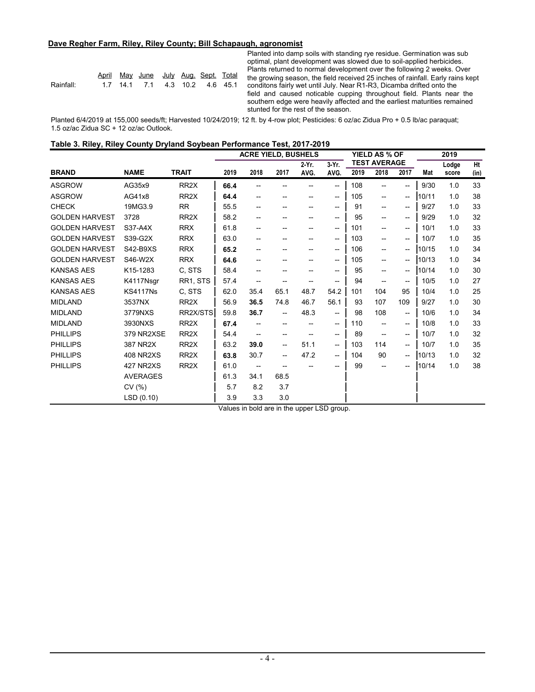#### **Dave Regher Farm, Riley, Riley County; Bill Schapaugh, agronomist**

|           |  | April May June July Aug Sept Total |  |  |
|-----------|--|------------------------------------|--|--|
| Rainfall: |  | 1.7 14.1 7.1 4.3 10.2 4.6 45.1     |  |  |

Planted into damp soils with standing rye residue. Germination was sub optimal, plant development was slowed due to soil-applied herbicides. Plants returned to normal development over the following 2 weeks. Over April May June July Aug. Sept. Total the growing season, the field received 25 inches of rainfall. Early rains kept 1.7 14.1 7.1 4.3 10.2 4.6 45.1 conditons fairly wet until July. Near R1-R3, Dicamba drifted onto the field and caused noticable cupping throughout field. Plants near the southern edge were heavily affected and the earliest maturities remained stunted for the rest of the season.

Planted 6/4/2019 at 155,000 seeds/ft; Harvested 10/24/2019; 12 ft. by 4-row plot; Pesticides: 6 oz/ac Zidua Pro + 0.5 lb/ac paraquat; 1.5 oz/ac Zidua SC + 12 oz/ac Outlook.

| Table 3. Riley, Riley County Dryland Soybean Performance Test, 2017-2019 |  |
|--------------------------------------------------------------------------|--|
|--------------------------------------------------------------------------|--|

|                       |                  |                   |      | <b>ACRE YIELD, BUSHELS</b> |                   |                                     |                                                     |      | YIELD AS % OF            |                                       |       | 2019  |      |
|-----------------------|------------------|-------------------|------|----------------------------|-------------------|-------------------------------------|-----------------------------------------------------|------|--------------------------|---------------------------------------|-------|-------|------|
|                       |                  |                   |      |                            |                   | 2-Yr.                               | $3-Yr$ .                                            |      | <b>TEST AVERAGE</b>      |                                       |       | Lodge | Ht   |
| <b>BRAND</b>          | <b>NAME</b>      | <b>TRAIT</b>      | 2019 | 2018                       | 2017              | AVG.                                | AVG.                                                | 2019 | 2018                     | 2017                                  | Mat   | score | (in) |
| <b>ASGROW</b>         | AG35x9           | RR <sub>2</sub> X | 66.4 |                            |                   |                                     | $-$                                                 | 108  |                          | $\overline{\phantom{a}}$              | 9/30  | 1.0   | 33   |
| <b>ASGROW</b>         | AG41x8           | RR <sub>2</sub> X | 64.4 | --                         | --                |                                     | $\hspace{0.05cm} -\hspace{0.05cm} -\hspace{0.05cm}$ | 105  | $\overline{\phantom{a}}$ | $\overline{\phantom{a}}$              | 10/11 | 1.0   | 38   |
| <b>CHECK</b>          | 19MG3.9          | <b>RR</b>         | 55.5 | --                         | --                | $\hspace{0.05cm}$ $\hspace{0.05cm}$ | $- -$                                               | 91   | $\overline{\phantom{a}}$ | $- -$                                 | 9/27  | 1.0   | 33   |
| <b>GOLDEN HARVEST</b> | 3728             | RR <sub>2</sub> X | 58.2 | --                         | --                |                                     | $\hspace{0.05cm} -\hspace{0.05cm}$                  | 95   | $\overline{\phantom{a}}$ | $- -$                                 | 9/29  | 1.0   | 32   |
| <b>GOLDEN HARVEST</b> | S37-A4X          | <b>RRX</b>        | 61.8 | --                         |                   |                                     | $\hspace{0.05cm} \dashv$                            | 101  | $\overline{\phantom{a}}$ | $- -$                                 | 10/1  | 1.0   | 33   |
| <b>GOLDEN HARVEST</b> | S39-G2X          | <b>RRX</b>        | 63.0 | --                         | --                |                                     | $\hspace{0.05cm}$                                   | 103  | $\overline{\phantom{a}}$ | $\hspace{0.05cm}$ – $\hspace{0.05cm}$ | 10/7  | 1.0   | 35   |
| <b>GOLDEN HARVEST</b> | S42-B9XS         | <b>RRX</b>        | 65.2 | --                         | --                |                                     | $\hspace{0.05cm} -\hspace{0.05cm} -\hspace{0.05cm}$ | 106  | $\overline{\phantom{a}}$ | $\hspace{0.05cm}$ – $\hspace{0.05cm}$ | 10/15 | 1.0   | 34   |
| <b>GOLDEN HARVEST</b> | S46-W2X          | <b>RRX</b>        | 64.6 |                            |                   |                                     | $\hspace{0.05cm}$                                   | 105  | --                       | $\overline{\phantom{a}}$              | 10/13 | 1.0   | 34   |
| <b>KANSAS AES</b>     | K15-1283         | C, STS            | 58.4 |                            |                   |                                     | --                                                  | 95   | --                       | --                                    | 10/14 | 1.0   | 30   |
| <b>KANSAS AES</b>     | K4117Nsgr        | RR1, STS          | 57.4 | --                         |                   |                                     | --                                                  | 94   | $-$                      | $- -$                                 | 10/5  | 1.0   | 27   |
| <b>KANSAS AES</b>     | <b>KS4117Ns</b>  | C, STS            | 62.0 | 35.4                       | 65.1              | 48.7                                | 54.2                                                | 101  | 104                      | 95                                    | 10/4  | 1.0   | 25   |
| <b>MIDLAND</b>        | 3537NX           | RR <sub>2</sub> X | 56.9 | 36.5                       | 74.8              | 46.7                                | 56.1                                                | 93   | 107                      | 109                                   | 9/27  | 1.0   | 30   |
| <b>MIDLAND</b>        | 3779NXS          | RR2X/STS          | 59.8 | 36.7                       | $-$               | 48.3                                | $\overline{\phantom{a}}$                            | 98   | 108                      | $\hspace{0.05cm} \ldots$              | 10/6  | 1.0   | 34   |
| <b>MIDLAND</b>        | 3930NXS          | RR <sub>2</sub> X | 67.4 |                            | $- -$             |                                     | $\hspace{0.05cm}$ – $\hspace{0.05cm}$               | 110  | $-$                      | $- -$                                 | 10/8  | 1.0   | 33   |
| <b>PHILLIPS</b>       | 379 NR2XSE       | RR <sub>2</sub> X | 54.4 | $\qquad \qquad -$          | --                |                                     | $\hspace{0.05cm} -\hspace{0.05cm} -\hspace{0.05cm}$ | 89   | $\overline{\phantom{a}}$ | $\hspace{0.05cm}$ – $\hspace{0.05cm}$ | 10/7  | 1.0   | 32   |
| <b>PHILLIPS</b>       | 387 NR2X         | RR <sub>2</sub> X | 63.2 | 39.0                       | ——                | 51.1                                | $\overline{\phantom{a}}$                            | 103  | 114                      | $- -$                                 | 10/7  | 1.0   | 35   |
| <b>PHILLIPS</b>       | <b>408 NR2XS</b> | RR <sub>2</sub> X | 63.8 | 30.7                       | $\hspace{0.05cm}$ | 47.2                                | $\hspace{0.05cm}$ $\hspace{0.05cm}$                 | 104  | 90                       | $\hspace{0.05cm}$ – $\hspace{0.05cm}$ | 10/13 | 1.0   | 32   |
| <b>PHILLIPS</b>       | 427 NR2XS        | RR <sub>2</sub> X | 61.0 |                            |                   |                                     |                                                     | 99   |                          | --                                    | 10/14 | 1.0   | 38   |
|                       | <b>AVERAGES</b>  |                   | 61.3 | 34.1                       | 68.5              |                                     |                                                     |      |                          |                                       |       |       |      |
|                       | CV(%)            |                   | 5.7  | 8.2                        | 3.7               |                                     |                                                     |      |                          |                                       |       |       |      |
|                       | LSD(0.10)        |                   | 3.9  | 3.3                        | 3.0               |                                     |                                                     |      |                          |                                       |       |       |      |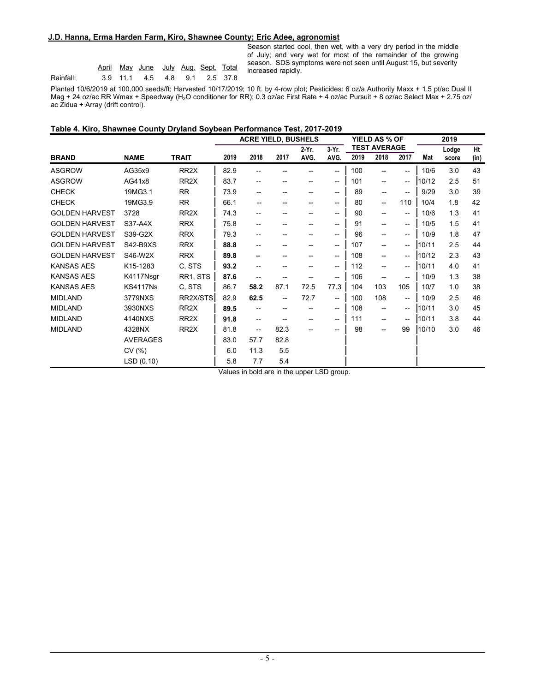#### **J.D. Hanna, Erma Harden Farm, Kiro, Shawnee County; Eric Adee, agronomist**

|           |  | April May June July Aug. Sept. Total |  |  |
|-----------|--|--------------------------------------|--|--|
| Rainfall: |  | 3.9 11.1 4.5 4.8 9.1 2.5 37.8        |  |  |

Season started cool, then wet, with a very dry period in the middle of July; and very wet for most of the remainder of the growing season. SDS symptoms were not seen until August 15, but severity increased rapidly.

Planted 10/6/2019 at 100,000 seeds/ft; Harvested 10/17/2019; 10 ft. by 4-row plot; Pesticides: 6 oz/a Authority Maxx + 1.5 pt/ac Dual II Mag + 24 oz/ac RR Wmax + Speedway (H<sub>2</sub>O conditioner for RR); 0.3 oz/ac First Rate + 4 oz/ac Pursuit + 8 oz/ac Select Max + 2.75 oz/ ac Zidua + Array (drift control).

#### **Table 4. Kiro, Shawnee County Dryland Soybean Performance Test, 2017-2019**

|                       |                 |                   |      | <b>ACRE YIELD, BUSHELS</b>            |                          |                                       |                                                     |      | YIELD AS % OF            |                                       |       | 2019  |      |
|-----------------------|-----------------|-------------------|------|---------------------------------------|--------------------------|---------------------------------------|-----------------------------------------------------|------|--------------------------|---------------------------------------|-------|-------|------|
|                       |                 |                   |      |                                       |                          | 2 Yr.                                 | 3-Yr.                                               |      | <b>TEST AVERAGE</b>      |                                       |       | Lodge | Ht   |
| <b>BRAND</b>          | <b>NAME</b>     | <b>TRAIT</b>      | 2019 | 2018                                  | 2017                     | AVG.                                  | AVG.                                                | 2019 | 2018                     | 2017                                  | Mat   | score | (in) |
| <b>ASGROW</b>         | AG35x9          | RR <sub>2</sub> X | 82.9 |                                       |                          |                                       | $\hspace{0.05cm}$ – $\hspace{0.05cm}$               | 100  | $-$                      | $- -$                                 | 10/6  | 3.0   | 43   |
| <b>ASGROW</b>         | AG41x8          | RR <sub>2</sub> X | 83.7 | $\hspace{0.05cm}$ – $\hspace{0.05cm}$ |                          |                                       | $\overline{\phantom{a}}$                            | 101  | $\overline{\phantom{a}}$ | $- -$                                 | 10/12 | 2.5   | 51   |
| <b>CHECK</b>          | 19MG3.1         | <b>RR</b>         | 73.9 | --                                    | --                       |                                       | $\hspace{0.05cm}$ – $\hspace{0.05cm}$               | 89   | --                       | $-$                                   | 9/29  | 3.0   | 39   |
| <b>CHECK</b>          | 19MG3.9         | <b>RR</b>         | 66.1 | --                                    | --                       |                                       | $\hspace{0.05cm} -\hspace{0.05cm} -\hspace{0.05cm}$ | 80   | --                       | 110                                   | 10/4  | 1.8   | 42   |
| <b>GOLDEN HARVEST</b> | 3728            | RR <sub>2</sub> X | 74.3 | --                                    |                          |                                       | --                                                  | 90   | --                       | --                                    | 10/6  | 1.3   | 41   |
| <b>GOLDEN HARVEST</b> | S37-A4X         | <b>RRX</b>        | 75.8 | $\hspace{0.05cm}$ – $\hspace{0.05cm}$ | --                       | $\hspace{0.05cm}$ – $\hspace{0.05cm}$ | $\hspace{0.05cm}$ – $\hspace{0.05cm}$               | 91   | $\overline{\phantom{a}}$ | $\hspace{0.05cm}$                     | 10/5  | 1.5   | 41   |
| <b>GOLDEN HARVEST</b> | S39-G2X         | <b>RRX</b>        | 79.3 | $\hspace{0.05cm}$ – $\hspace{0.05cm}$ | --                       |                                       | $\hspace{0.05cm}$ – $\hspace{0.05cm}$               | 96   | --                       | $\overline{\phantom{a}}$              | 10/9  | 1.8   | 47   |
| <b>GOLDEN HARVEST</b> | S42-B9XS        | <b>RRX</b>        | 88.8 | $\hspace{0.05cm}$ – $\hspace{0.05cm}$ |                          |                                       | $\hspace{0.05cm}$ $\hspace{0.05cm}$                 | 107  | --                       | $\hspace{0.05cm}$ – $\hspace{0.05cm}$ | 10/11 | 2.5   | 44   |
| <b>GOLDEN HARVEST</b> | S46-W2X         | <b>RRX</b>        | 89.8 | $\hspace{0.05cm}$ – $\hspace{0.05cm}$ | --                       | --                                    | $\hspace{0.05cm} -\hspace{0.05cm} -\hspace{0.05cm}$ | 108  | $\overline{\phantom{a}}$ | --                                    | 10/12 | 2.3   | 43   |
| <b>KANSAS AES</b>     | K15-1283        | C. STS            | 93.2 | $\hspace{0.05cm}$ – $\hspace{0.05cm}$ |                          |                                       | $\hspace{0.05cm}$ $\hspace{0.05cm}$                 | 112  | --                       | $\overline{\phantom{a}}$              | 10/11 | 4.0   | 41   |
| <b>KANSAS AES</b>     | K4117Nsgr       | RR1, STS          | 87.6 |                                       |                          |                                       | $\hspace{0.05cm}$ $\hspace{0.05cm}$                 | 106  | --                       | $\overline{\phantom{a}}$              | 10/9  | 1.3   | 38   |
| <b>KANSAS AES</b>     | <b>KS4117Ns</b> | C, STS            | 86.7 | 58.2                                  | 87.1                     | 72.5                                  | 77.3                                                | 104  | 103                      | 105                                   | 10/7  | 1.0   | 38   |
| <b>MIDLAND</b>        | 3779NXS         | RR2X/STS          | 82.9 | 62.5                                  | $\overline{\phantom{a}}$ | 72.7                                  | $\overline{\phantom{a}}$                            | 100  | 108                      | $\hspace{0.05cm}$ – $\hspace{0.05cm}$ | 10/9  | 2.5   | 46   |
| <b>MIDLAND</b>        | 3930NXS         | RR <sub>2</sub> X | 89.5 |                                       | --                       |                                       | $\hspace{0.05cm}$ – $\hspace{0.05cm}$               | 108  | $-$                      | $\hspace{0.05cm} \bar{}$              | 10/11 | 3.0   | 45   |
| <b>MIDLAND</b>        | 4140NXS         | RR <sub>2</sub> X | 91.8 | $\qquad \qquad -$                     | --                       | --                                    | $\overline{\phantom{a}}$                            | 111  | $\overline{\phantom{a}}$ | $\overline{\phantom{a}}$              | 10/11 | 3.8   | 44   |
| <b>MIDLAND</b>        | 4328NX          | RR <sub>2</sub> X | 81.8 | $\hspace{0.05cm}$ – $\hspace{0.05cm}$ | 82.3                     |                                       |                                                     | 98   | --                       | 99                                    | 10/10 | 3.0   | 46   |
|                       | <b>AVERAGES</b> |                   | 83.0 | 57.7                                  | 82.8                     |                                       |                                                     |      |                          |                                       |       |       |      |
|                       | CV(%)           |                   | 6.0  | 11.3                                  | 5.5                      |                                       |                                                     |      |                          |                                       |       |       |      |
|                       | LSD (0.10)      |                   | 5.8  | 7.7                                   | 5.4                      | $\sim$                                |                                                     |      |                          |                                       |       |       |      |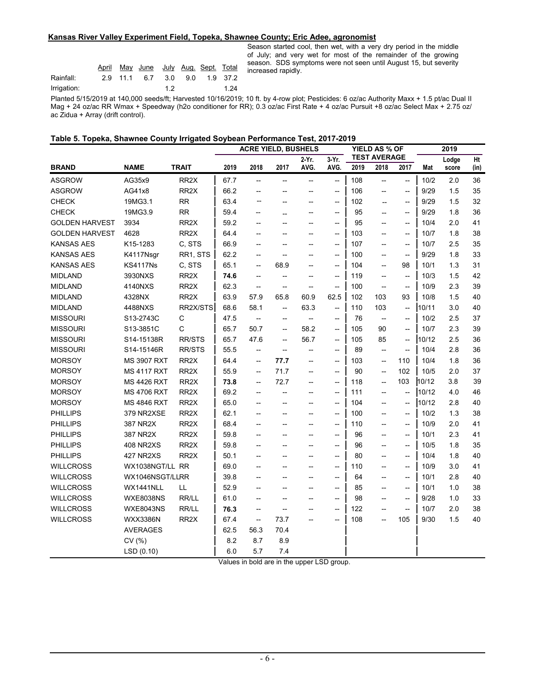#### **Kansas River Valley Experiment Field, Topeka, Shawnee County; Eric Adee, agronomist**

|             | April |          | <u>May June July Aug. Sept. Total</u> |    |             |          |
|-------------|-------|----------|---------------------------------------|----|-------------|----------|
| Rainfall:   |       | 2.9 11.1 |                                       |    | 6.7 3.0 9.0 | 1.9 37.2 |
| Irrigation: |       |          |                                       | 12 |             | 1.24     |

Season started cool, then wet, with a very dry period in the middle of July; and very wet for most of the remainder of the growing season. SDS symptoms were not seen until August 15, but severity increased rapidly.

Planted 5/15/2019 at 140,000 seeds/ft; Harvested 10/16/2019; 10 ft. by 4-row plot; Pesticides: 6 oz/ac Authority Maxx + 1.5 pt/ac Dual II Mag + 24 oz/ac RR Wmax + Speedway (h2o conditioner for RR); 0.3 oz/ac First Rate + 4 oz/ac Pursuit +8 oz/ac Select Max + 2.75 oz/ ac Zidua + Array (drift control).

|  |  |  |  | Table 5. Topeka, Shawnee County Irrigated Soybean Performance Test, 2017-2019 |  |
|--|--|--|--|-------------------------------------------------------------------------------|--|
|--|--|--|--|-------------------------------------------------------------------------------|--|

|                       |                    |                   | <b>ACRE YIELD, BUSHELS</b> |                                                     |                                                     | <b>YIELD AS % OF</b>                                |                                                     |      | 2019                                                |                                                     |       |       |      |
|-----------------------|--------------------|-------------------|----------------------------|-----------------------------------------------------|-----------------------------------------------------|-----------------------------------------------------|-----------------------------------------------------|------|-----------------------------------------------------|-----------------------------------------------------|-------|-------|------|
|                       |                    |                   |                            |                                                     |                                                     | 2-Yr.                                               | 3-Yr.                                               |      | <b>TEST AVERAGE</b>                                 |                                                     |       | Lodge | Ht   |
| <b>BRAND</b>          | <b>NAME</b>        | <b>TRAIT</b>      | 2019                       | 2018                                                | 2017                                                | AVG.                                                | AVG.                                                | 2019 | 2018                                                | 2017                                                | Mat   | score | (in) |
| <b>ASGROW</b>         | AG35x9             | RR <sub>2</sub> X | 67.7                       | $\hspace{0.05cm}$ $\hspace{0.05cm}$                 | ——                                                  | $\hspace{0.05cm} -\hspace{0.05cm}$                  | $\overline{\phantom{a}}$                            | 108  | --                                                  | $\overline{\phantom{a}}$                            | 10/2  | 2.0   | 36   |
| <b>ASGROW</b>         | AG41x8             | RR <sub>2</sub> X | 66.2                       | --                                                  | --                                                  | $\overline{\phantom{a}}$                            | $\overline{\phantom{a}}$                            | 106  | $\overline{\phantom{a}}$                            | $\hspace{0.05cm} -\hspace{0.05cm} -\hspace{0.05cm}$ | 9/29  | 1.5   | 35   |
| <b>CHECK</b>          | 19MG3.1            | <b>RR</b>         | 63.4                       | --                                                  | $-$                                                 | $\overline{\phantom{a}}$                            | $\hspace{0.05cm} -\hspace{0.05cm} -\hspace{0.05cm}$ | 102  | --                                                  | $\overline{\phantom{a}}$                            | 9/29  | 1.5   | 32   |
| <b>CHECK</b>          | 19MG3.9            | <b>RR</b>         | 59.4                       | --                                                  | --                                                  | $\overline{\phantom{a}}$                            | $\overline{\phantom{a}}$                            | 95   | $\overline{\phantom{a}}$                            | $\overline{\phantom{a}}$                            | 9/29  | 1.8   | 36   |
| <b>GOLDEN HARVEST</b> | 3934               | RR2X              | 59.2                       | --                                                  | --                                                  | $\overline{\phantom{a}}$                            | $\overline{\phantom{a}}$                            | 95   | $-$                                                 | $-$                                                 | 10/4  | 2.0   | 41   |
| <b>GOLDEN HARVEST</b> | 4628               | RR <sub>2X</sub>  | 64.4                       | $\overline{\phantom{a}}$                            | $\overline{\phantom{a}}$                            | $\overline{\phantom{a}}$                            | $\hspace{0.05cm} -\hspace{0.05cm} -\hspace{0.05cm}$ | 103  | $\overline{\phantom{a}}$                            | $\overline{\phantom{a}}$                            | 10/7  | 1.8   | 38   |
| <b>KANSAS AES</b>     | K15-1283           | C, STS            | 66.9                       | $\overline{\phantom{a}}$                            | $\overline{\phantom{a}}$                            | $\overline{\phantom{a}}$                            | $\overline{\phantom{a}}$                            | 107  | $\overline{\phantom{a}}$                            | $\overline{\phantom{a}}$                            | 10/7  | 2.5   | 35   |
| <b>KANSAS AES</b>     | K4117Nsgr          | RR1, STS          | 62.2                       | $\hspace{0.05cm} -\hspace{0.05cm} -\hspace{0.05cm}$ | $\hspace{0.05cm} -\hspace{0.05cm}$                  | $\overline{\phantom{a}}$                            | $\overline{\phantom{a}}$                            | 100  | $\hspace{0.05cm} -\hspace{0.05cm} -\hspace{0.05cm}$ | $\overline{\phantom{a}}$                            | 9/29  | 1.8   | 33   |
| <b>KANSAS AES</b>     | <b>KS4117Ns</b>    | C, STS            | 65.1                       | $\hspace{0.05cm} -\hspace{0.05cm} -\hspace{0.05cm}$ | 68.9                                                | $\overline{\phantom{a}}$                            | $\hspace{0.05cm} -\hspace{0.05cm} -\hspace{0.05cm}$ | 104  | $\hspace{0.05cm} -\hspace{0.05cm}$                  | 98                                                  | 10/1  | 1.3   | 31   |
| <b>MIDLAND</b>        | 3930NXS            | RR <sub>2X</sub>  | 74.6                       | $\overline{\phantom{a}}$                            | $-\!$                                               | $\overline{\phantom{a}}$                            | $\hspace{0.05cm} -\hspace{0.05cm} -\hspace{0.05cm}$ | 119  | $\overline{\phantom{a}}$                            | $\overline{\phantom{a}}$                            | 10/3  | 1.5   | 42   |
| <b>MIDLAND</b>        | 4140NXS            | RR <sub>2X</sub>  | 62.3                       | $\hspace{0.05cm} -\hspace{0.05cm} -\hspace{0.05cm}$ | --                                                  | $-\!$                                               | $\hspace{0.05cm} -\hspace{0.05cm} -\hspace{0.05cm}$ | 100  | $\hspace{0.05cm} -\hspace{0.05cm} -\hspace{0.05cm}$ | $\overline{\phantom{a}}$                            | 10/9  | 2.3   | 39   |
| <b>MIDLAND</b>        | 4328NX             | RR <sub>2</sub> X | 63.9                       | 57.9                                                | 65.8                                                | 60.9                                                | 62.5                                                | 102  | 103                                                 | 93                                                  | 10/8  | 1.5   | 40   |
| <b>MIDLAND</b>        | 4488NXS            | RR2X/STS          | 68.6                       | 58.1                                                | --                                                  | 63.3                                                | $\overline{\phantom{a}}$                            | 110  | 103                                                 | $\hspace{0.05cm} -\hspace{0.05cm} -\hspace{0.05cm}$ | 10/11 | 3.0   | 40   |
| <b>MISSOURI</b>       | S13-2743C          | С                 | 47.5                       | $\overline{\phantom{a}}$                            | $\overline{\phantom{a}}$                            | $\hspace{0.05cm} -\hspace{0.05cm} -\hspace{0.05cm}$ | $\overline{\phantom{a}}$                            | 76   | $\overline{\phantom{a}}$                            | $\overline{\phantom{a}}$                            | 10/2  | 2.5   | 37   |
| <b>MISSOURI</b>       | S13-3851C          | C                 | 65.7                       | 50.7                                                | $-\!$                                               | 58.2                                                | $\overline{\phantom{a}}$                            | 105  | 90                                                  | --                                                  | 10/7  | 2.3   | 39   |
| <b>MISSOURI</b>       | S14-15138R         | <b>RR/STS</b>     | 65.7                       | 47.6                                                | $-\!$                                               | 56.7                                                | $\hspace{0.05cm} -\hspace{0.05cm} -\hspace{0.05cm}$ | 105  | 85                                                  | $\hspace{0.05cm} -\hspace{0.05cm} -\hspace{0.05cm}$ | 10/12 | 2.5   | 36   |
| <b>MISSOURI</b>       | S14-15146R         | <b>RR/STS</b>     | 55.5                       | $\overline{\phantom{a}}$                            | $\hspace{0.05cm} -\hspace{0.05cm} -\hspace{0.05cm}$ | $\overline{\phantom{a}}$                            | $\overline{\phantom{a}}$                            | 89   | $\overline{\phantom{a}}$                            | $\overline{\phantom{a}}$                            | 10/4  | 2.8   | 36   |
| <b>MORSOY</b>         | <b>MS 3907 RXT</b> | RR <sub>2</sub> X | 64.4                       | $\hspace{0.05cm} -\hspace{0.05cm} -\hspace{0.05cm}$ | 77.7                                                | $-\!$                                               | $-\!$                                               | 103  | $\hspace{0.05cm} -\hspace{0.05cm} -\hspace{0.05cm}$ | 110                                                 | 10/4  | 1.8   | 36   |
| <b>MORSOY</b>         | <b>MS 4117 RXT</b> | RR <sub>2X</sub>  | 55.9                       | $\overline{\phantom{a}}$                            | 71.7                                                | $\overline{\phantom{a}}$                            | $\overline{\phantom{a}}$                            | 90   | $\overline{\phantom{a}}$                            | 102                                                 | 10/5  | 2.0   | 37   |
| <b>MORSOY</b>         | <b>MS 4426 RXT</b> | RR <sub>2</sub> X | 73.8                       | $\hspace{0.05cm} -\hspace{0.05cm} -\hspace{0.05cm}$ | 72.7                                                | $\overline{\phantom{a}}$                            | $\overline{\phantom{a}}$                            | 118  | $\overline{\phantom{a}}$                            | 103                                                 | 10/12 | 3.8   | 39   |
| <b>MORSOY</b>         | <b>MS 4706 RXT</b> | RR <sub>2</sub> X | 69.2                       | $\overline{\phantom{a}}$                            | ——                                                  | $\overline{\phantom{a}}$                            | $\hspace{0.05cm} -\hspace{0.05cm} -\hspace{0.05cm}$ | 111  | $\hspace{0.05cm} -\hspace{0.05cm} -\hspace{0.05cm}$ | $\overline{\phantom{a}}$                            | 10/12 | 4.0   | 46   |
| <b>MORSOY</b>         | <b>MS 4846 RXT</b> | RR <sub>2</sub> X | 65.0                       | $\qquad \qquad -$                                   | --                                                  | $\overline{\phantom{0}}$                            | $\hspace{0.05cm} -\hspace{0.05cm} -\hspace{0.05cm}$ | 104  | $\overline{\phantom{a}}$                            | $\overline{\phantom{a}}$                            | 10/12 | 2.8   | 40   |
| <b>PHILLIPS</b>       | 379 NR2XSE         | RR <sub>2</sub> X | 62.1                       | $-$                                                 | $\overline{\phantom{a}}$                            | $\overline{\phantom{a}}$                            | $\hspace{0.05cm} -\hspace{0.05cm} -\hspace{0.05cm}$ | 100  | $\overline{\phantom{a}}$                            | $\overline{\phantom{a}}$                            | 10/2  | 1.3   | 38   |
| <b>PHILLIPS</b>       | 387 NR2X           | RR <sub>2</sub> X | 68.4                       | $\qquad \qquad -$                                   | --                                                  | --                                                  | $\overline{\phantom{a}}$                            | 110  | --                                                  | $\overline{\phantom{a}}$                            | 10/9  | 2.0   | 41   |
| <b>PHILLIPS</b>       | 387 NR2X           | RR <sub>2</sub> X | 59.8                       | --                                                  | --                                                  | $\overline{\phantom{a}}$                            | --                                                  | 96   | $\overline{\phantom{a}}$                            | $\overline{\phantom{a}}$                            | 10/1  | 2.3   | 41   |
| <b>PHILLIPS</b>       | <b>408 NR2XS</b>   | RR <sub>2</sub> X | 59.8                       | $\overline{\phantom{a}}$                            | $\overline{\phantom{a}}$                            | $\overline{\phantom{a}}$                            | $\hspace{0.05cm} -\hspace{0.05cm} -\hspace{0.05cm}$ | 96   | $\overline{\phantom{a}}$                            | $\overline{\phantom{a}}$                            | 10/5  | 1.8   | 35   |
| <b>PHILLIPS</b>       | 427 NR2XS          | RR <sub>2X</sub>  | 50.1                       | $\overline{\phantom{a}}$                            | --                                                  | $\overline{\phantom{a}}$                            | $\hspace{0.05cm} -\hspace{0.05cm} -\hspace{0.05cm}$ | 80   | $\hspace{0.05cm} -\hspace{0.05cm} -\hspace{0.05cm}$ | $\overline{\phantom{a}}$                            | 10/4  | 1.8   | 40   |
| <b>WILLCROSS</b>      | WX1038NGT/LL RR    |                   | 69.0                       | --                                                  | --                                                  |                                                     | $\overline{\phantom{a}}$                            | 110  | $\overline{\phantom{a}}$                            | $\overline{\phantom{a}}$                            | 10/9  | 3.0   | 41   |
| <b>WILLCROSS</b>      | WX1046NSGT/LLRR    |                   | 39.8                       | --                                                  | --                                                  | $\overline{\phantom{a}}$                            | $-\!$                                               | 64   | $\hspace{0.05cm} -\hspace{0.05cm} -\hspace{0.05cm}$ | $\qquad \qquad -$                                   | 10/1  | 2.8   | 40   |
| <b>WILLCROSS</b>      | WX1441NLL          | LL                | 52.9                       | --                                                  | --                                                  | $\overline{\phantom{a}}$                            | $\overline{\phantom{a}}$                            | 85   | $\overline{\phantom{a}}$                            | $\overline{\phantom{a}}$                            | 10/1  | 1.0   | 38   |
| <b>WILLCROSS</b>      | <b>WXE8038NS</b>   | RR/LL             | 61.0                       | $\overline{\phantom{a}}$                            | ——                                                  | $\overline{\phantom{a}}$                            | $-\!$                                               | 98   | $\overline{\phantom{a}}$                            | $\overline{\phantom{a}}$                            | 9/28  | 1.0   | 33   |
| <b>WILLCROSS</b>      | <b>WXE8043NS</b>   | RR/LL             | 76.3                       | $\overline{\phantom{a}}$                            | $-\!$                                               | $\overline{\phantom{0}}$                            | $\overline{\phantom{a}}$                            | 122  | $\overline{\phantom{a}}$                            | $\hspace{0.05cm} -\hspace{0.05cm} -\hspace{0.05cm}$ | 10/7  | 2.0   | 38   |
| <b>WILLCROSS</b>      | <b>WXX3386N</b>    | RR <sub>2</sub> X | 67.4                       | $\hspace{0.05cm} -\hspace{0.05cm} -\hspace{0.05cm}$ | 73.7                                                | $\overline{\phantom{a}}$                            | $\hspace{0.05cm} -\hspace{0.05cm} -\hspace{0.05cm}$ | 108  | $\overline{\phantom{a}}$                            | 105                                                 | 9/30  | 1.5   | 40   |
|                       | <b>AVERAGES</b>    |                   | 62.5                       | 56.3                                                | 70.4                                                |                                                     |                                                     |      |                                                     |                                                     |       |       |      |
|                       | CV(%)              |                   | 8.2                        | 8.7                                                 | 8.9                                                 |                                                     |                                                     |      |                                                     |                                                     |       |       |      |
|                       | LSD (0.10)         |                   | 6.0                        | 5.7                                                 | 7.4                                                 |                                                     |                                                     |      |                                                     |                                                     |       |       |      |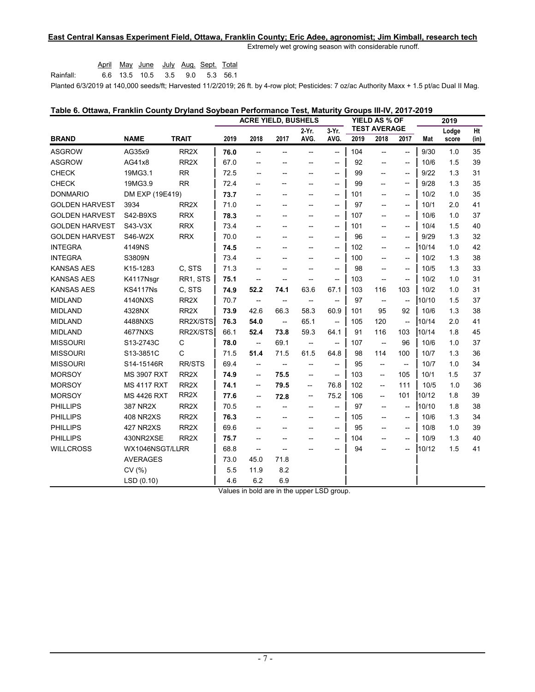## **East Central Kansas Experiment Field, Ottawa, Franklin County; Eric Adee, agronomist; Jim Kimball, research tech**

Extremely wet growing season with considerable runoff.

Rainfall: April May June July Aug. Sept. Total 6.6 13.5 10.5 3.5 9.0 5.3 56.1

Planted 6/3/2019 at 140,000 seeds/ft; Harvested 11/2/2019; 26 ft. by 4-row plot; Pesticides: 7 oz/ac Authority Maxx + 1.5 pt/ac Dual II Mag.

| Table 6. Ottawa, Franklin County Dryland Soybean Performance Test, Maturity Groups III-IV, 2017-2019 |  |                                              |  |
|------------------------------------------------------------------------------------------------------|--|----------------------------------------------|--|
|                                                                                                      |  |                                              |  |
|                                                                                                      |  | $\cdots$ $\cdots$ $\cdots$ $\cdots$ $\cdots$ |  |

|                       |                    |                   | <b>ACRE YIELD, BUSHELS</b> |                                                     |                          | <b>YIELD AS % OF</b><br><b>TEST AVERAGE</b>         |                                                     |      | 2019                                                |                                                     |       |                |            |
|-----------------------|--------------------|-------------------|----------------------------|-----------------------------------------------------|--------------------------|-----------------------------------------------------|-----------------------------------------------------|------|-----------------------------------------------------|-----------------------------------------------------|-------|----------------|------------|
| <b>BRAND</b>          | <b>NAME</b>        | <b>TRAIT</b>      | 2019                       | 2018                                                | 2017                     | $2-Yr$ .<br>AVG.                                    | 3-Yr.<br>AVG.                                       | 2019 | 2018                                                | 2017                                                | Mat   | Lodge<br>score | Ht<br>(in) |
|                       |                    |                   |                            |                                                     |                          |                                                     |                                                     |      |                                                     |                                                     |       |                |            |
| <b>ASGROW</b>         | AG35x9             | RR <sub>2</sub> X | 76.0                       | $\overline{\phantom{a}}$                            | --                       | $-$                                                 | --                                                  | 104  | $\hspace{0.05cm} -\hspace{0.05cm} -\hspace{0.05cm}$ | $-$                                                 | 9/30  | 1.0            | 35         |
| <b>ASGROW</b>         | AG41x8             | RR <sub>2</sub> X | 67.0                       | --                                                  | --                       |                                                     | $\hspace{0.05cm} -\hspace{0.05cm}$                  | 92   | $\overline{\phantom{a}}$                            | $\hspace{0.05cm} -\hspace{0.05cm} -\hspace{0.05cm}$ | 10/6  | 1.5            | 39         |
| <b>CHECK</b>          | 19MG3.1            | <b>RR</b>         | 72.5                       | --                                                  | --                       |                                                     | $-\!$                                               | 99   | --                                                  | --                                                  | 9/22  | 1.3            | 31         |
| <b>CHECK</b>          | 19MG3.9            | <b>RR</b>         | 72.4                       |                                                     |                          | $\overline{\phantom{0}}$                            | $\hspace{0.05cm} -\hspace{0.05cm} -\hspace{0.05cm}$ | 99   | --                                                  | $\overline{\phantom{a}}$                            | 9/28  | 1.3            | 35         |
| <b>DONMARIO</b>       | DM EXP (19E419)    |                   | 73.7                       | --                                                  | --                       | $\overline{\phantom{0}}$                            | $\hspace{0.05cm} -\hspace{0.05cm} -\hspace{0.05cm}$ | 101  | $\hspace{0.05cm} -\hspace{0.05cm} -\hspace{0.05cm}$ | $\hspace{0.05cm} \ldots$                            | 10/2  | 1.0            | 35         |
| <b>GOLDEN HARVEST</b> | 3934               | RR <sub>2</sub> X | 71.0                       | $\overline{\phantom{a}}$                            | --                       | $\overline{\phantom{a}}$                            | $\overline{\phantom{a}}$                            | 97   | --                                                  | $\hspace{0.05cm} \dashv$                            | 10/1  | 2.0            | 41         |
| <b>GOLDEN HARVEST</b> | S42-B9XS           | <b>RRX</b>        | 78.3                       | $\overline{\phantom{a}}$                            | --                       | $\hspace{0.05cm} -\hspace{0.05cm}$                  | $\hspace{0.05cm} -\hspace{0.05cm} -\hspace{0.05cm}$ | 107  | --                                                  | $\hspace{0.05cm} \ldots$                            | 10/6  | 1.0            | 37         |
| <b>GOLDEN HARVEST</b> | S43-V3X            | <b>RRX</b>        | 73.4                       |                                                     |                          | $\overline{\phantom{a}}$                            | $\hspace{0.05cm} -\hspace{0.05cm}$                  | 101  | --                                                  | --                                                  | 10/4  | 1.5            | 40         |
| <b>GOLDEN HARVEST</b> | S46-W2X            | <b>RRX</b>        | 70.0                       | $\overline{\phantom{a}}$                            | $\overline{\phantom{a}}$ | $\overline{\phantom{a}}$                            | $\hspace{0.05cm} -\hspace{0.05cm} -\hspace{0.05cm}$ | 96   | $\overline{\phantom{a}}$                            | $\overline{\phantom{a}}$                            | 9/29  | 1.3            | 32         |
| <b>INTEGRA</b>        | 4149NS             |                   | 74.5                       | --                                                  | --                       |                                                     | $\hspace{0.05cm} -\hspace{0.05cm} -\hspace{0.05cm}$ | 102  | $-$                                                 | --                                                  | 10/14 | 1.0            | 42         |
| <b>INTEGRA</b>        | S3809N             |                   | 73.4                       | $\overline{\phantom{a}}$                            | --                       | $\overline{\phantom{a}}$                            | $\hspace{0.05cm} -\hspace{0.05cm} -\hspace{0.05cm}$ | 100  | $\overline{\phantom{a}}$                            | $\overline{\phantom{a}}$                            | 10/2  | 1.3            | 38         |
| <b>KANSAS AES</b>     | K15-1283           | C, STS            | 71.3                       |                                                     |                          |                                                     | $\hspace{0.05cm} -\hspace{0.05cm} -\hspace{0.05cm}$ | 98   | --                                                  | $\overline{\phantom{a}}$                            | 10/5  | 1.3            | 33         |
| <b>KANSAS AES</b>     | K4117Nsgr          | RR1, STS          | 75.1                       | $\hspace{0.05cm} -\hspace{0.05cm} -\hspace{0.05cm}$ | $-\!$                    | $\overline{\phantom{a}}$                            | $\hspace{0.05cm} -\hspace{0.05cm} -\hspace{0.05cm}$ | 103  | $\hspace{0.05cm} -\hspace{0.05cm} -\hspace{0.05cm}$ | $\overline{\phantom{a}}$                            | 10/2  | 1.0            | 31         |
| <b>KANSAS AES</b>     | <b>KS4117Ns</b>    | C, STS            | 74.9                       | 52.2                                                | 74.1                     | 63.6                                                | 67.1                                                | 103  | 116                                                 | 103                                                 | 10/2  | 1.0            | 31         |
| <b>MIDLAND</b>        | 4140NXS            | RR <sub>2</sub> X | 70.7                       | $\overline{\phantom{a}}$                            | $\overline{\phantom{a}}$ | $-\!$                                               | $\overline{\phantom{a}}$                            | 97   | $\overline{\phantom{a}}$                            | $\overline{\phantom{a}}$                            | 10/10 | 1.5            | 37         |
| <b>MIDLAND</b>        | 4328NX             | RR <sub>2X</sub>  | 73.9                       | 42.6                                                | 66.3                     | 58.3                                                | 60.9                                                | 101  | 95                                                  | 92                                                  | 10/6  | 1.3            | 38         |
| <b>MIDLAND</b>        | 4488NXS            | RR2X/STS          | 76.3                       | 54.0                                                | $\overline{\phantom{a}}$ | 65.1                                                | $\overline{\phantom{a}}$                            | 105  | 120                                                 | $\hspace{0.05cm} -\hspace{0.05cm} -\hspace{0.05cm}$ | 10/14 | 2.0            | 41         |
| <b>MIDLAND</b>        | 4677NXS            | RR2X/STS          | 66.1                       | 52.4                                                | 73.8                     | 59.3                                                | 64.1                                                | 91   | 116                                                 | 103                                                 | 10/14 | 1.8            | 45         |
| <b>MISSOURI</b>       | S13-2743C          | C                 | 78.0                       | $\overline{\phantom{a}}$                            | 69.1                     | $\hspace{0.05cm} -\hspace{0.05cm}$                  | $\hspace{0.05cm} -\hspace{0.05cm} -\hspace{0.05cm}$ | 107  | $\hspace{0.05cm} -\hspace{0.05cm}$                  | 96                                                  | 10/6  | 1.0            | 37         |
| <b>MISSOURI</b>       | S13-3851C          | C                 | 71.5                       | 51.4                                                | 71.5                     | 61.5                                                | 64.8                                                | 98   | 114                                                 | 100                                                 | 10/7  | 1.3            | 36         |
| <b>MISSOURI</b>       | S14-15146R         | <b>RR/STS</b>     | 69.4                       | $\hspace{0.05cm} -\hspace{0.05cm} -\hspace{0.05cm}$ | $\overline{\phantom{a}}$ | $\hspace{0.05cm} -\hspace{0.05cm}$                  | $\overline{\phantom{a}}$                            | 95   | $- -$                                               | --                                                  | 10/7  | 1.0            | 34         |
| <b>MORSOY</b>         | <b>MS 3907 RXT</b> | RR <sub>2</sub> X | 74.9                       | $\overline{\phantom{a}}$                            | 75.5                     | $\hspace{0.05cm} -\hspace{0.05cm} -\hspace{0.05cm}$ | $\overline{\phantom{a}}$                            | 103  | $\overline{\phantom{a}}$                            | 105                                                 | 10/1  | 1.5            | 37         |
| <b>MORSOY</b>         | <b>MS 4117 RXT</b> | RR <sub>2</sub> X | 74.1                       | --                                                  | 79.5                     | --                                                  | 76.8                                                | 102  | $\overline{\phantom{0}}$                            | 111                                                 | 10/5  | 1.0            | 36         |
| <b>MORSOY</b>         | <b>MS 4426 RXT</b> | RR <sub>2</sub> X | 77.6                       | --                                                  | 72.8                     | $\overline{\phantom{a}}$                            | 75.2                                                | 106  | $\overline{\phantom{a}}$                            | 101                                                 | 10/12 | 1.8            | 39         |
| <b>PHILLIPS</b>       | 387 NR2X           | RR <sub>2</sub> X | 70.5                       | $\overline{\phantom{a}}$                            |                          | $\overline{\phantom{a}}$                            | $\overline{\phantom{a}}$                            | 97   | $\overline{\phantom{a}}$                            | $-$                                                 | 10/10 | 1.8            | 38         |
| <b>PHILLIPS</b>       | <b>408 NR2XS</b>   | RR <sub>2</sub> X | 76.3                       | $\overline{\phantom{a}}$                            | --                       | $\overline{\phantom{a}}$                            | $\hspace{0.05cm} -\hspace{0.05cm} -\hspace{0.05cm}$ | 105  | $\overline{\phantom{a}}$                            | $\overline{\phantom{a}}$                            | 10/6  | 1.3            | 34         |
| <b>PHILLIPS</b>       | 427 NR2XS          | RR <sub>2</sub> X | 69.6                       | --                                                  | --                       |                                                     | $\hspace{0.05cm} -\hspace{0.05cm} -\hspace{0.05cm}$ | 95   | --                                                  | $\overline{\phantom{a}}$                            | 10/8  | 1.0            | 39         |
| <b>PHILLIPS</b>       | 430NR2XSE          | RR <sub>2</sub> X | 75.7                       | --                                                  | --                       |                                                     | $\hspace{0.05cm} -\hspace{0.05cm}$                  | 104  | --                                                  | --                                                  | 10/9  | 1.3            | 40         |
| <b>WILLCROSS</b>      | WX1046NSGT/LLRR    |                   | 68.8                       | $\overline{\phantom{a}}$                            | $-$                      |                                                     | $\overline{\phantom{a}}$                            | 94   | $-$                                                 | --                                                  | 10/12 | 1.5            | 41         |
|                       | <b>AVERAGES</b>    |                   | 73.0                       | 45.0                                                | 71.8                     |                                                     |                                                     |      |                                                     |                                                     |       |                |            |
|                       | CV(%)              |                   | 5.5                        | 11.9                                                | 8.2                      |                                                     |                                                     |      |                                                     |                                                     |       |                |            |
|                       | LSD(0.10)          |                   | 4.6                        | 6.2                                                 | 6.9                      |                                                     |                                                     |      |                                                     |                                                     |       |                |            |
|                       |                    |                   |                            |                                                     |                          |                                                     |                                                     |      |                                                     |                                                     |       |                |            |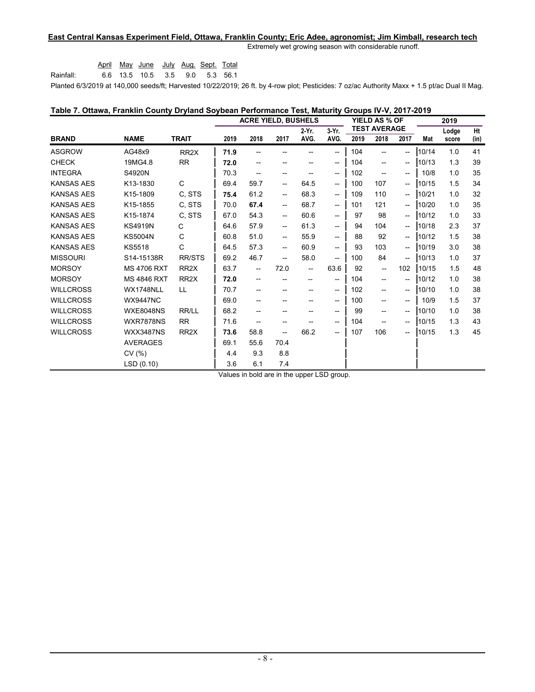## **East Central Kansas Experiment Field, Ottawa, Franklin County; Eric Adee, agronomist; Jim Kimball, research tech**

Extremely wet growing season with considerable runoff.

|                                              |  | April May June July Aug Sept. Total |  |  |
|----------------------------------------------|--|-------------------------------------|--|--|
| Rainfall:                                    |  | 6.6 13.5 10.5 3.5 9.0 5.3 56.1      |  |  |
| $D1 - 1 - 1 - 0000040 - 144000 - 000 - 0000$ |  |                                     |  |  |

Planted 6/3/2019 at 140,000 seeds/ft; Harvested 10/22/2019; 26 ft. by 4-row plot; Pesticides: 7 oz/ac Authority Maxx + 1.5 pt/ac Dual II Mag.

| Table 7. Ottawa, Franklin County Dryland Soybean Performance Test, Maturity Groups IV-V, 2017-2019 |                    |               |      |
|----------------------------------------------------------------------------------------------------|--------------------|---------------|------|
|                                                                                                    | ACRE YIELD BUSHELS | YIFLD AS % OF | 2019 |

|                   |                    |                   | AUNE TIELD, DUJHELJ |                                       |                          | 11ELD AJ 70 UF           |                                                     |      | 20 I J                                |                                       |       |       |      |
|-------------------|--------------------|-------------------|---------------------|---------------------------------------|--------------------------|--------------------------|-----------------------------------------------------|------|---------------------------------------|---------------------------------------|-------|-------|------|
|                   |                    |                   |                     |                                       |                          | 2-Yr.                    | 3-Yr.                                               |      | <b>TEST AVERAGE</b>                   |                                       |       | Lodge | Ht   |
| <b>BRAND</b>      | <b>NAME</b>        | <b>TRAIT</b>      | 2019                | 2018                                  | 2017                     | AVG.                     | AVG.                                                | 2019 | 2018                                  | 2017                                  | Mat   | score | (in) |
| <b>ASGROW</b>     | AG48x9             | RR <sub>2</sub> X | 71.9                |                                       |                          |                          | $\hspace{0.05cm}$ – $\hspace{0.05cm}$               | 104  | --                                    | $\overline{\phantom{a}}$              | 10/14 | 1.0   | 41   |
| <b>CHECK</b>      | 19MG4.8            | <b>RR</b>         | 72.0                | $\overline{\phantom{a}}$              | --                       |                          | $\hspace{0.05cm}$ – $\hspace{0.05cm}$               | 104  | --                                    | $\overline{\phantom{a}}$              | 10/13 | 1.3   | 39   |
| <b>INTEGRA</b>    | S4920N             |                   | 70.3                | $\overline{\phantom{a}}$              | --                       |                          | $\hspace{0.05cm} \dashv$                            | 102  | --                                    | $\overline{\phantom{a}}$              | 10/8  | 1.0   | 35   |
| <b>KANSAS AES</b> | K13-1830           | C                 | 69.4                | 59.7                                  | ——                       | 64.5                     | $\hspace{0.05cm}$ $\hspace{0.05cm}$                 | 100  | 107                                   | $\hspace{0.05cm}$ $\hspace{0.05cm}$   | 10/15 | 1.5   | 34   |
| <b>KANSAS AES</b> | K15-1809           | C, STS            | 75.4                | 61.2                                  | ——                       | 68.3                     | $\hspace{0.05cm} -\hspace{0.05cm} -\hspace{0.05cm}$ | 109  | 110                                   | $\hspace{0.05cm}$ – $\hspace{0.05cm}$ | 10/21 | 1.0   | 32   |
| <b>KANSAS AES</b> | K15-1855           | C. STS            | 70.0                | 67.4                                  | <b>--</b>                | 68.7                     | $\overline{\phantom{a}}$                            | 101  | 121                                   | $\overline{\phantom{a}}$              | 10/20 | 1.0   | 35   |
| <b>KANSAS AES</b> | K15-1874           | C. STS            | 67.0                | 54.3                                  | --                       | 60.6                     | $\overline{\phantom{a}}$                            | 97   | 98                                    | $\overline{\phantom{a}}$              | 10/12 | 1.0   | 33   |
| <b>KANSAS AES</b> | <b>KS4919N</b>     | C                 | 64.6                | 57.9                                  | ——                       | 61.3                     | $\overline{\phantom{a}}$                            | 94   | 104                                   | $\hspace{0.05cm} -\hspace{0.05cm}$    | 10/18 | 2.3   | 37   |
| <b>KANSAS AES</b> | <b>KS5004N</b>     | C                 | 60.8                | 51.0                                  | $\overline{\phantom{a}}$ | 55.9                     | $--$                                                | 88   | 92                                    | $\hspace{0.05cm} \ldots$              | 10/12 | 1.5   | 38   |
| <b>KANSAS AES</b> | <b>KS5518</b>      | C                 | 64.5                | 57.3                                  | $-$                      | 60.9                     | $\overline{\phantom{a}}$                            | 93   | 103                                   | $\overline{\phantom{0}}$              | 10/19 | 3.0   | 38   |
| <b>MISSOURI</b>   | S14-15138R         | <b>RR/STS</b>     | 69.2                | 46.7                                  | $\overline{\phantom{0}}$ | 58.0                     | $\hspace{0.05cm} -\hspace{0.05cm} -\hspace{0.05cm}$ | 100  | 84                                    | $\overline{\phantom{a}}$              | 10/13 | 1.0   | 37   |
| <b>MORSOY</b>     | <b>MS 4706 RXT</b> | RR <sub>2</sub> X | 63.7                | $\overline{\phantom{a}}$              | 72.0                     | $\overline{\phantom{a}}$ | 63.6                                                | 92   | --                                    | 102                                   | 10/15 | 1.5   | 48   |
| <b>MORSOY</b>     | <b>MS 4846 RXT</b> | RR <sub>2</sub> X | 72.0                | --                                    |                          |                          | $\overline{\phantom{a}}$                            | 104  | --                                    | --                                    | 10/12 | 1.0   | 38   |
| <b>WILLCROSS</b>  | WX1748NLL          | LL                | 70.7                | $\hspace{0.05cm}$ – $\hspace{0.05cm}$ | --                       |                          | $\hspace{0.05cm}$ – $\hspace{0.05cm}$               | 102  | $\hspace{0.05cm}$ – $\hspace{0.05cm}$ | $\overline{\phantom{a}}$              | 10/10 | 1.0   | 38   |
| <b>WILLCROSS</b>  | <b>WX9447NC</b>    |                   | 69.0                | --                                    | --                       | --                       | $\hspace{0.05cm} -\hspace{0.05cm} -\hspace{0.05cm}$ | 100  | $\hspace{0.05cm}$ – $\hspace{0.05cm}$ | $\overline{\phantom{a}}$              | 10/9  | 1.5   | 37   |
| <b>WILLCROSS</b>  | <b>WXE8048NS</b>   | RR/LL             | 68.2                | --                                    | --                       | $- -$                    | $\hspace{0.05cm}$ – $\hspace{0.05cm}$               | 99   | $\hspace{0.05cm}$ – $\hspace{0.05cm}$ | $\overline{\phantom{a}}$              | 10/10 | 1.0   | 38   |
| <b>WILLCROSS</b>  | <b>WXR7878NS</b>   | <b>RR</b>         | 71.6                | --                                    | --                       |                          | $\hspace{0.05cm}$ – $\hspace{0.05cm}$               | 104  | $\overline{\phantom{a}}$              | $- -$                                 | 10/15 | 1.3   | 43   |
| <b>WILLCROSS</b>  | <b>WXX3487NS</b>   | RR <sub>2</sub> X | 73.6                | 58.8                                  | $-$                      | 66.2                     | $\qquad \qquad -$                                   | 107  | 106                                   | $\hspace{0.05cm}$ $\hspace{0.05cm}$   | 10/15 | 1.3   | 45   |
|                   | <b>AVERAGES</b>    |                   | 69.1                | 55.6                                  | 70.4                     |                          |                                                     |      |                                       |                                       |       |       |      |
|                   | CV(%)              |                   | 4.4                 | 9.3                                   | 8.8                      |                          |                                                     |      |                                       |                                       |       |       |      |
|                   | LSD(0.10)          |                   | 3.6                 | 6.1                                   | 7.4                      |                          |                                                     |      |                                       |                                       |       |       |      |
|                   |                    |                   |                     |                                       |                          |                          |                                                     |      |                                       |                                       |       |       |      |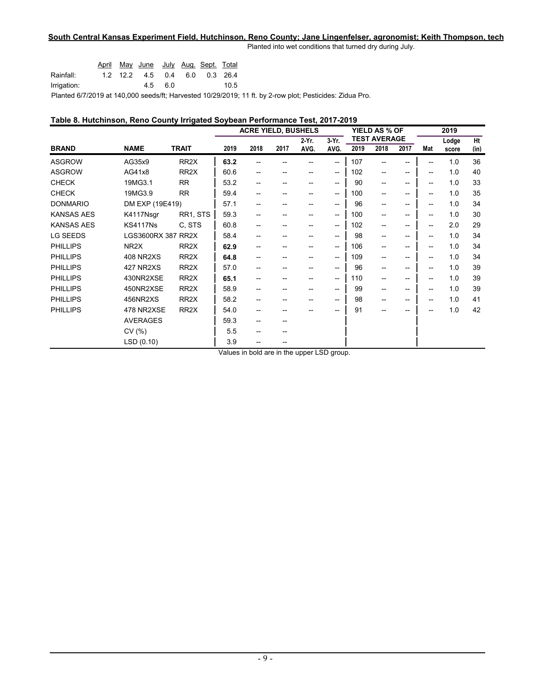## **South Central Kansas Experiment Field, Hutchinson, Reno County; Jane Lingenfelser, agronomist; Keith Thompson, tech**

Planted into wet conditions that turned dry during July.

|                                                             |  | April May June July Aug Sept Total |         |  |      |
|-------------------------------------------------------------|--|------------------------------------|---------|--|------|
| Rainfall:                                                   |  | 1.2 12.2 4.5 0.4 6.0 0.3 26.4      |         |  |      |
| Irrigation:                                                 |  |                                    | 4.5 6.0 |  | 10.5 |
| Dlanted 6/7/2010 at 140,000 seeds ft: Hanvested 10/20/2010; |  |                                    |         |  |      |

Planted 6/7/2019 at 140,000 seeds/ft; Harvested 10/29/2019; 11 ft. by 2-row plot; Pesticides: Zidua Pro.

## **Table 8. Hutchinson, Reno County Irrigated Soybean Performance Test, 2017-2019**

|                   |                    |                   | <b>ACRE YIELD, BUSHELS</b> |      |      | YIELD AS % OF |                                     |      | 2019                        |                                       |     |                |            |
|-------------------|--------------------|-------------------|----------------------------|------|------|---------------|-------------------------------------|------|-----------------------------|---------------------------------------|-----|----------------|------------|
| <b>BRAND</b>      | <b>NAME</b>        | <b>TRAIT</b>      | 2019                       | 2018 | 2017 | 2 Yr.<br>AVG. | 3 Yr.<br>AVG.                       | 2019 | <b>TEST AVERAGE</b><br>2018 | 2017                                  | Mat | Lodge<br>score | Ht<br>(in) |
| <b>ASGROW</b>     | AG35x9             | RR <sub>2</sub> X | 63.2                       |      |      |               | --                                  | 107  | --                          | --                                    | --  | 1.0            | 36         |
| <b>ASGROW</b>     | AG41x8             | RR <sub>2</sub> X | 60.6                       | --   | --   |               | --                                  | 102  | --                          | --                                    | --  | 1.0            | 40         |
| <b>CHECK</b>      | 19MG3.1            | <b>RR</b>         | 53.2                       | --   | --   | $- -$         | $\hspace{0.05cm}$ $\hspace{0.05cm}$ | 90   | $\overline{\phantom{a}}$    | $-$                                   | --  | 1.0            | 33         |
| <b>CHECK</b>      | 19MG3.9            | <b>RR</b>         | 59.4                       | --   | --   | --            | --                                  | 100  | $\overline{\phantom{a}}$    | $-$                                   | --  | 1.0            | 35         |
| <b>DONMARIO</b>   | DM EXP (19E419)    |                   | 57.1                       | --   | --   | $- -$         | --                                  | 96   | $\overline{\phantom{a}}$    | $\overline{\phantom{a}}$              | --  | 1.0            | 34         |
| <b>KANSAS AES</b> | K4117Nsgr          | RR1, STS          | 59.3                       | --   | --   |               | --                                  | 100  | --                          | $-$                                   | --  | 1.0            | 30         |
| <b>KANSAS AES</b> | <b>KS4117Ns</b>    | C. STS            | 60.8                       | --   | --   | --            | $\hspace{0.05cm}$ $\hspace{0.05cm}$ | 102  | $\overline{\phantom{a}}$    | $-$                                   | --  | 2.0            | 29         |
| <b>LG SEEDS</b>   | LGS3600RX 387 RR2X |                   | 58.4                       | --   |      |               | --                                  | 98   | $\overline{\phantom{a}}$    | --                                    | --  | 1.0            | 34         |
| <b>PHILLIPS</b>   | NR <sub>2X</sub>   | RR <sub>2</sub> X | 62.9                       | --   | --   | $- -$         | --                                  | 106  | $\overline{\phantom{a}}$    | $\overline{\phantom{a}}$              | --  | 1.0            | 34         |
| <b>PHILLIPS</b>   | <b>408 NR2XS</b>   | RR <sub>2</sub> X | 64.8                       | --   | --   |               | --                                  | 109  | --                          | $-$                                   | --  | 1.0            | 34         |
| <b>PHILLIPS</b>   | 427 NR2XS          | RR <sub>2</sub> X | 57.0                       | --   |      |               | --                                  | 96   | $\overline{\phantom{a}}$    | --                                    | --  | 1.0            | 39         |
| <b>PHILLIPS</b>   | 430NR2XSE          | RR <sub>2</sub> X | 65.1                       | --   |      |               | --                                  | 110  | $\overline{\phantom{a}}$    | --                                    | --  | 1.0            | 39         |
| <b>PHILLIPS</b>   | 450NR2XSE          | RR <sub>2</sub> X | 58.9                       | --   | --   | $- -$         | --                                  | 99   | $\overline{\phantom{a}}$    | $\overline{\phantom{a}}$              | --  | 1.0            | 39         |
| <b>PHILLIPS</b>   | 456NR2XS           | RR <sub>2</sub> X | 58.2                       |      |      |               | --                                  | 98   | --                          | $\hspace{0.05cm}$ – $\hspace{0.05cm}$ | --  | 1.0            | 41         |
| <b>PHILLIPS</b>   | 478 NR2XSE         | RR <sub>2</sub> X | 54.0                       | --   |      |               | --                                  | 91   | --                          | --                                    |     | 1.0            | 42         |
|                   | <b>AVERAGES</b>    |                   | 59.3                       | --   | --   |               |                                     |      |                             |                                       |     |                |            |
|                   | CV(%)              |                   | 5.5                        | --   | --   |               |                                     |      |                             |                                       |     |                |            |
|                   | LSD (0.10)         |                   | 3.9                        |      |      |               |                                     |      |                             |                                       |     |                |            |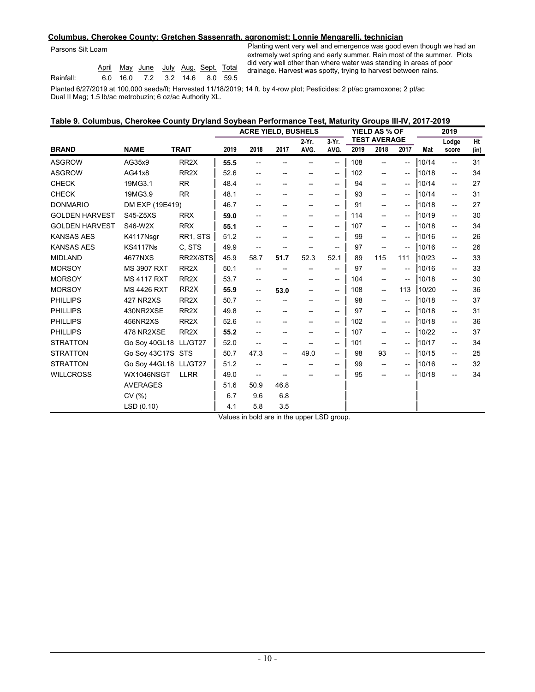#### **Columbus, Cherokee County; Gretchen Sassenrath, agronomist; Lonnie Mengarelli, technician**

Parsons Silt Loam

|           |  | April May June July Aug. Sept. Total |  |  |
|-----------|--|--------------------------------------|--|--|
| Rainfall: |  | 6.0 16.0 7.2 3.2 14.6 8.0 59.5       |  |  |

Planting went very well and emergence was good even though we had an extremely wet spring and early summer. Rain most of the summer. Plots did very well other than where water was standing in areas of poor drainage. Harvest was spotty, trying to harvest between rains.

Planted 6/27/2019 at 100,000 seeds/ft; Harvested 11/18/2019; 14 ft. by 4-row plot; Pesticides: 2 pt/ac gramoxone; 2 pt/ac Dual II Mag; 1.5 lb/ac metrobuzin; 6 oz/ac Authority XL.

| Table 9. Columbus, Cherokee County Dryland Soybean Performance Test, Maturity Groups III-IV, 2017-2019 |  |  |  |  |
|--------------------------------------------------------------------------------------------------------|--|--|--|--|
|--------------------------------------------------------------------------------------------------------|--|--|--|--|

|                       |                       |                   | <b>ACRE YIELD, BUSHELS</b> |                                     |                                     |                                     |                                                     |      | YIELD AS % OF            |                                       | 2019  |                          |      |  |
|-----------------------|-----------------------|-------------------|----------------------------|-------------------------------------|-------------------------------------|-------------------------------------|-----------------------------------------------------|------|--------------------------|---------------------------------------|-------|--------------------------|------|--|
|                       |                       |                   |                            |                                     |                                     | 2-Yr.                               | $3-Yr$ .                                            |      | <b>TEST AVERAGE</b>      |                                       |       | Lodge                    | Ht   |  |
| <b>BRAND</b>          | <b>NAME</b>           | <b>TRAIT</b>      | 2019                       | 2018                                | 2017                                | AVG.                                | AVG.                                                | 2019 | 2018                     | 2017                                  | Mat   | score                    | (in) |  |
| <b>ASGROW</b>         | AG35x9                | RR <sub>2</sub> X | 55.5                       |                                     |                                     |                                     | $-$                                                 | 108  | $\overline{\phantom{a}}$ | $\hspace{0.05cm}$ – $\hspace{0.05cm}$ | 10/14 | $\overline{\phantom{a}}$ | 31   |  |
| <b>ASGROW</b>         | AG41x8                | RR <sub>2</sub> X | 52.6                       |                                     |                                     |                                     | $\hspace{0.05cm}$                                   | 102  | $\overline{\phantom{a}}$ | $\hspace{0.05cm}$ – $\hspace{0.05cm}$ | 10/18 | --                       | 34   |  |
| <b>CHECK</b>          | 19MG3.1               | <b>RR</b>         | 48.4                       |                                     |                                     |                                     | $\hspace{0.05cm}$                                   | 94   | $\overline{\phantom{a}}$ | $\hspace{0.05cm}$ – $\hspace{0.05cm}$ | 10/14 | $\overline{\phantom{a}}$ | 27   |  |
| <b>CHECK</b>          | 19MG3.9               | <b>RR</b>         | 48.1                       |                                     |                                     |                                     | $-$                                                 | 93   | $\overline{\phantom{a}}$ | --                                    | 10/14 | --                       | 31   |  |
| <b>DONMARIO</b>       | DM EXP (19E419)       |                   | 46.7                       |                                     | --                                  |                                     | $-$                                                 | 91   | $\overline{\phantom{a}}$ | $\hspace{0.05cm}$ – $\hspace{0.05cm}$ | 10/18 | $\overline{\phantom{a}}$ | 27   |  |
| <b>GOLDEN HARVEST</b> | S45-Z5XS              | <b>RRX</b>        | 59.0                       |                                     |                                     |                                     | $-$                                                 | 114  | --                       | --                                    | 10/19 | --                       | 30   |  |
| <b>GOLDEN HARVEST</b> | S46-W2X               | <b>RRX</b>        | 55.1                       |                                     |                                     |                                     | $-$                                                 | 107  | --                       | --                                    | 10/18 | --                       | 34   |  |
| <b>KANSAS AES</b>     | K4117Nsgr             | RR1, STS          | 51.2                       | --                                  | --                                  |                                     | $\hspace{0.05cm}$                                   | 99   | $\overline{\phantom{a}}$ | $\overline{\phantom{a}}$              | 10/16 | --                       | 26   |  |
| <b>KANSAS AES</b>     | <b>KS4117Ns</b>       | C. STS            | 49.9                       | $\qquad \qquad -$                   |                                     |                                     | $\hspace{0.05cm} -\hspace{0.05cm} -\hspace{0.05cm}$ | 97   | $\overline{\phantom{a}}$ | --                                    | 10/16 | --                       | 26   |  |
| <b>MIDLAND</b>        | 4677NXS               | RR2X/STS          | 45.9                       | 58.7                                | 51.7                                | 52.3                                | 52.1                                                | 89   | 115                      | 111                                   | 10/23 | --                       | 33   |  |
| <b>MORSOY</b>         | <b>MS 3907 RXT</b>    | RR <sub>2</sub> X | 50.1                       | $\hspace{0.05cm}$ $\hspace{0.05cm}$ |                                     |                                     | $\hspace{0.05cm} -\hspace{0.05cm} -\hspace{0.05cm}$ | 97   | --                       | $\overline{\phantom{a}}$              | 10/16 | --                       | 33   |  |
| <b>MORSOY</b>         | <b>MS 4117 RXT</b>    | RR <sub>2</sub> X | 53.7                       | $- -$                               |                                     |                                     | $\hspace{0.05cm} -\hspace{0.05cm}$                  | 104  | $\overline{\phantom{a}}$ | $-$                                   | 10/18 | --                       | 30   |  |
| <b>MORSOY</b>         | <b>MS 4426 RXT</b>    | RR <sub>2</sub> X | 55.9                       | --                                  | 53.0                                | $\hspace{0.05cm}$ $\hspace{0.05cm}$ | $\overline{\phantom{a}}$                            | 108  | $\hspace{0.05cm} \ldots$ | 113                                   | 10/20 | $\overline{\phantom{a}}$ | 36   |  |
| <b>PHILLIPS</b>       | 427 NR2XS             | RR <sub>2</sub> X | 50.7                       |                                     |                                     |                                     | $\hspace{0.05cm}$                                   | 98   | $\overline{\phantom{a}}$ | $\hspace{0.05cm}$ – $\hspace{0.05cm}$ | 10/18 | --                       | 37   |  |
| <b>PHILLIPS</b>       | 430NR2XSE             | RR <sub>2</sub> X | 49.8                       |                                     |                                     |                                     | $-$                                                 | 97   | $\overline{\phantom{a}}$ | $\hspace{0.05cm}$ – $\hspace{0.05cm}$ | 10/18 | --                       | 31   |  |
| <b>PHILLIPS</b>       | 456NR2XS              | RR <sub>2</sub> X | 52.6                       |                                     |                                     |                                     | $\hspace{0.05cm} -\hspace{0.05cm} -\hspace{0.05cm}$ | 102  | $\overline{\phantom{a}}$ | $\hspace{0.05cm}$ – $\hspace{0.05cm}$ | 10/18 | --                       | 36   |  |
| <b>PHILLIPS</b>       | 478 NR2XSE            | RR <sub>2</sub> X | 55.2                       | --                                  | --                                  |                                     | $\hspace{0.05cm} -\hspace{0.05cm} -\hspace{0.05cm}$ | 107  | $\overline{\phantom{a}}$ | $\hspace{0.05cm}$ – $\hspace{0.05cm}$ | 10/22 | $\overline{\phantom{a}}$ | 37   |  |
| <b>STRATTON</b>       | Go Sov 40GL18 LL/GT27 |                   | 52.0                       | $\hspace{0.05cm}$ $\hspace{0.05cm}$ | --                                  |                                     | $\hspace{0.05cm} -\hspace{0.05cm}$                  | 101  | $\overline{\phantom{a}}$ | --                                    | 10/17 | $\overline{\phantom{a}}$ | 34   |  |
| <b>STRATTON</b>       | Go Sov 43C17S STS     |                   | 50.7                       | 47.3                                | --                                  | 49.0                                | --                                                  | 98   | 93                       | --                                    | 10/15 | --                       | 25   |  |
| <b>STRATTON</b>       | Go Soy 44GL18 LL/GT27 |                   | 51.2                       |                                     | $-$                                 |                                     | $\hspace{0.05cm}$                                   | 99   | $\overline{\phantom{a}}$ |                                       | 10/16 | --                       | 32   |  |
| <b>WILLCROSS</b>      | WX1046NSGT            | <b>LLRR</b>       | 49.0                       | $\overline{\phantom{a}}$            | $\hspace{0.05cm}$ $\hspace{0.05cm}$ |                                     | $- -$                                               | 95   | $\overline{\phantom{a}}$ | $\hspace{0.05cm}$ – $\hspace{0.05cm}$ | 10/18 | --                       | 34   |  |
|                       | <b>AVERAGES</b>       |                   | 51.6                       | 50.9                                | 46.8                                |                                     |                                                     |      |                          |                                       |       |                          |      |  |
|                       | CV(%)                 |                   | 6.7                        | 9.6                                 | 6.8                                 |                                     |                                                     |      |                          |                                       |       |                          |      |  |
|                       | LSD(0.10)             |                   | 4.1                        | 5.8                                 | 3.5                                 |                                     |                                                     |      |                          |                                       |       |                          |      |  |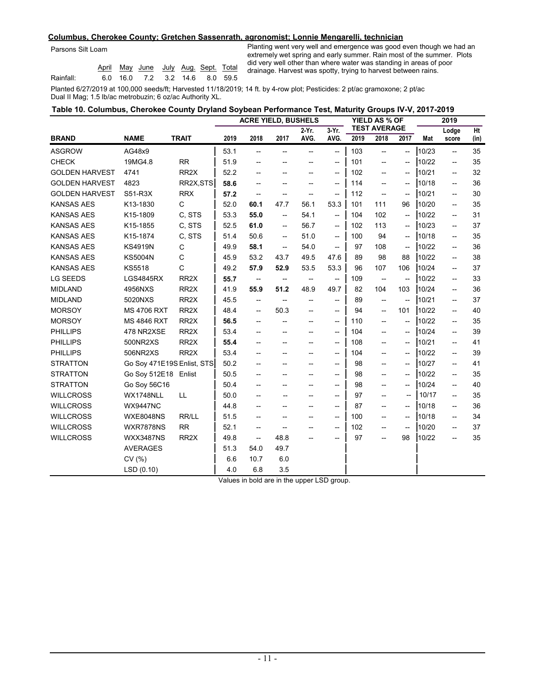#### **Columbus, Cherokee County; Gretchen Sassenrath, agronomist; Lonnie Mengarelli, technician**

Parsons Silt Loam

|           |  | April May June July Aug. Sept. Total |  |  |
|-----------|--|--------------------------------------|--|--|
| Rainfall: |  | 6.0 16.0 7.2 3.2 14.6 8.0 59.5       |  |  |

Planting went very well and emergence was good even though we had an extremely wet spring and early summer. Rain most of the summer. Plots did very well other than where water was standing in areas of poor drainage. Harvest was spotty, trying to harvest between rains.

Planted 6/27/2019 at 100,000 seeds/ft; Harvested 11/18/2019; 14 ft. by 4-row plot; Pesticides: 2 pt/ac gramoxone; 2 pt/ac Dual II Mag; 1.5 lb/ac metrobuzin; 6 oz/ac Authority XL.

|  | Table 10. Columbus, Cherokee County Dryland Soybean Performance Test, Maturity Groups IV-V, 2017-2019 |                |             |
|--|-------------------------------------------------------------------------------------------------------|----------------|-------------|
|  | ACDE VIELD DUCUELO                                                                                    | VIELD AC 6/ OF | <b>0040</b> |

|                       |                            |                   | <b>ACRE YIELD, BUSHELS</b> |                                     |                                                     |                                                     |                                                     | <b>YIELD AS % OF</b> |                                                     | 2019                                                |       |                                       |      |
|-----------------------|----------------------------|-------------------|----------------------------|-------------------------------------|-----------------------------------------------------|-----------------------------------------------------|-----------------------------------------------------|----------------------|-----------------------------------------------------|-----------------------------------------------------|-------|---------------------------------------|------|
|                       |                            |                   |                            |                                     |                                                     | $2-Yr$ .                                            | $3-Yr$ .                                            |                      | <b>TEST AVERAGE</b>                                 |                                                     |       | Lodge                                 | Ht   |
| <b>BRAND</b>          | <b>NAME</b>                | <b>TRAIT</b>      | 2019                       | 2018                                | 2017                                                | AVG.                                                | AVG.                                                | 2019                 | 2018                                                | 2017                                                | Mat   | score                                 | (in) |
| <b>ASGROW</b>         | AG48x9                     |                   | 53.1                       | $\overline{\phantom{a}}$            | $\overline{\phantom{a}}$                            | $-$                                                 | $\hspace{0.05cm} -\hspace{0.05cm} -\hspace{0.05cm}$ | 103                  | $\overline{\phantom{a}}$                            | $\overline{\phantom{a}}$                            | 10/23 | $\overline{\phantom{0}}$              | 35   |
| <b>CHECK</b>          | 19MG4.8                    | <b>RR</b>         | 51.9                       |                                     |                                                     |                                                     | $\hspace{0.05cm} -\hspace{0.05cm} -\hspace{0.05cm}$ | 101                  | $\overline{\phantom{a}}$                            | $\overline{\phantom{a}}$                            | 10/22 | $\overline{\phantom{0}}$              | 35   |
| <b>GOLDEN HARVEST</b> | 4741                       | RR <sub>2</sub> X | 52.2                       |                                     |                                                     |                                                     | $\hspace{0.05cm} -\hspace{0.05cm} -\hspace{0.05cm}$ | 102                  | $\overline{\phantom{a}}$                            | $\overline{\phantom{a}}$                            | 10/21 | $\overline{\phantom{0}}$              | 32   |
| <b>GOLDEN HARVEST</b> | 4823                       | RR2X, STS         | 58.6                       | --                                  | --                                                  | $\overline{\phantom{a}}$                            | $\hspace{0.05cm} -\hspace{0.05cm}$                  | 114                  | $\hspace{0.05cm} \textbf{--}$                       | $\hspace{0.05cm} \textbf{--}$                       | 10/18 | $\hspace{0.05cm}$ – $\hspace{0.05cm}$ | 36   |
| <b>GOLDEN HARVEST</b> | S51-R3X                    | <b>RRX</b>        | 57.2                       | $\hspace{0.05cm}$ $\hspace{0.05cm}$ | --                                                  | $\overline{\phantom{a}}$                            | $-\!$                                               | 112                  | $\hspace{0.05cm} -\hspace{0.05cm} -\hspace{0.05cm}$ | $\hspace{0.05cm} -\hspace{0.05cm} -\hspace{0.05cm}$ | 10/21 | $\overline{\phantom{0}}$              | 30   |
| <b>KANSAS AES</b>     | K13-1830                   | $\mathsf{C}$      | 52.0                       | 60.1                                | 47.7                                                | 56.1                                                | 53.3                                                | 101                  | 111                                                 | 96                                                  | 10/20 | $\overline{\phantom{0}}$              | 35   |
| <b>KANSAS AES</b>     | K15-1809                   | C, STS            | 53.3                       | 55.0                                | --                                                  | 54.1                                                | $\hspace{0.05cm} -\hspace{0.05cm} -\hspace{0.05cm}$ | 104                  | 102                                                 | $\hspace{0.05cm} -\hspace{0.05cm}$                  | 10/22 | $\overline{\phantom{0}}$              | 31   |
| <b>KANSAS AES</b>     | K15-1855                   | C, STS            | 52.5                       | 61.0                                | $\hspace{0.05cm} -\hspace{0.05cm}$                  | 56.7                                                | $\hspace{0.05cm} -\hspace{0.05cm} -\hspace{0.05cm}$ | 102                  | 113                                                 | $\hspace{0.05cm}$ – $\hspace{0.05cm}$               | 10/23 | $\hspace{0.05cm}$ – $\hspace{0.05cm}$ | 37   |
| <b>KANSAS AES</b>     | K15-1874                   | C. STS            | 51.4                       | 50.6                                | $\overline{\phantom{a}}$                            | 51.0                                                | $\overline{\phantom{a}}$                            | 100                  | 94                                                  | $\overline{\phantom{a}}$                            | 10/18 | $\overline{\phantom{0}}$              | 35   |
| <b>KANSAS AES</b>     | <b>KS4919N</b>             | $\mathsf C$       | 49.9                       | 58.1                                | $\overline{\phantom{a}}$                            | 54.0                                                | $\overline{\phantom{a}}$                            | 97                   | 108                                                 | $\hspace{0.05cm} -\hspace{0.05cm}$                  | 10/22 | $\overline{\phantom{a}}$              | 36   |
| <b>KANSAS AES</b>     | <b>KS5004N</b>             | C                 | 45.9                       | 53.2                                | 43.7                                                | 49.5                                                | 47.6                                                | 89                   | 98                                                  | 88                                                  | 10/22 | $\overline{\phantom{0}}$              | 38   |
| <b>KANSAS AES</b>     | <b>KS5518</b>              | C                 | 49.2                       | 57.9                                | 52.9                                                | 53.5                                                | 53.3                                                | 96                   | 107                                                 | 106                                                 | 10/24 | $\overline{\phantom{0}}$              | 37   |
| <b>LG SEEDS</b>       | <b>LGS4845RX</b>           | RR <sub>2</sub> X | 55.7                       | $\hspace{0.05cm} \dashrightarrow$   | $-\!$                                               | $\hspace{0.05cm} -\hspace{0.05cm} -\hspace{0.05cm}$ | $\overline{\phantom{a}}$                            | 109                  | $\hspace{0.05cm} -\hspace{0.05cm} -\hspace{0.05cm}$ | $\overline{\phantom{a}}$                            | 10/22 | $\overline{\phantom{0}}$              | 33   |
| <b>MIDLAND</b>        | 4956NXS                    | RR <sub>2X</sub>  | 41.9                       | 55.9                                | 51.2                                                | 48.9                                                | 49.7                                                | 82                   | 104                                                 | 103                                                 | 10/24 | $\overline{\phantom{0}}$              | 36   |
| <b>MIDLAND</b>        | 5020NXS                    | RR <sub>2X</sub>  | 45.5                       | $\overline{\phantom{a}}$            | $\hspace{0.05cm} -\hspace{0.05cm} -\hspace{0.05cm}$ | --                                                  | $\overline{\phantom{a}}$                            | 89                   | $\overline{\phantom{a}}$                            | $\hspace{0.05cm} -\hspace{0.05cm} -\hspace{0.05cm}$ | 10/21 | --                                    | 37   |
| <b>MORSOY</b>         | <b>MS 4706 RXT</b>         | RR <sub>2</sub> X | 48.4                       | $\hspace{0.05cm}$ $\hspace{0.05cm}$ | 50.3                                                | --                                                  | $\hspace{0.05cm} -\hspace{0.05cm}$                  | 94                   | $\hspace{0.05cm} -\hspace{0.05cm} -\hspace{0.05cm}$ | 101                                                 | 10/22 | --                                    | 40   |
| <b>MORSOY</b>         | <b>MS 4846 RXT</b>         | RR <sub>2X</sub>  | 56.5                       | $\overline{\phantom{a}}$            | --                                                  | --                                                  | $\hspace{0.05cm} -\hspace{0.05cm}$                  | 110                  | $\overline{\phantom{a}}$                            | $\overline{\phantom{a}}$                            | 10/22 | --                                    | 35   |
| <b>PHILLIPS</b>       | 478 NR2XSE                 | RR <sub>2X</sub>  | 53.4                       | --                                  | --                                                  | --                                                  | $\hspace{0.05cm} -\hspace{0.05cm}$                  | 104                  | $\overline{\phantom{a}}$                            | $\hspace{0.05cm} -\hspace{0.05cm} -\hspace{0.05cm}$ | 10/24 | $\overline{\phantom{0}}$              | 39   |
| <b>PHILLIPS</b>       | 500NR2XS                   | RR <sub>2X</sub>  | 55.4                       | --                                  | --                                                  | $\overline{\phantom{a}}$                            | $\hspace{0.05cm} -\hspace{0.05cm} -\hspace{0.05cm}$ | 108                  | $-$                                                 | $\overline{\phantom{a}}$                            | 10/21 | $\overline{\phantom{a}}$              | 41   |
| <b>PHILLIPS</b>       | 506NR2XS                   | RR <sub>2</sub> X | 53.4                       | $-$                                 | --                                                  | $\overline{\phantom{0}}$                            | $\overline{\phantom{0}}$                            | 104                  | $-$                                                 | $\overline{\phantom{a}}$                            | 10/22 | $\overline{\phantom{0}}$              | 39   |
| <b>STRATTON</b>       | Go Soy 471E19S Enlist, STS |                   | 50.2                       | --                                  | $\overline{\phantom{0}}$                            |                                                     | $\hspace{0.05cm} -\hspace{0.05cm} -\hspace{0.05cm}$ | 98                   | $-$                                                 | $\overline{\phantom{a}}$                            | 10/27 | $\overline{\phantom{0}}$              | 41   |
| <b>STRATTON</b>       | Go Soy 512E18 Enlist       |                   | 50.5                       | --                                  | --                                                  | --                                                  | $\hspace{0.05cm} -\hspace{0.05cm} -\hspace{0.05cm}$ | 98                   | $\overline{\phantom{a}}$                            | $\hspace{0.05cm} -\hspace{0.05cm} -\hspace{0.05cm}$ | 10/22 | $\overline{\phantom{0}}$              | 35   |
| <b>STRATTON</b>       | Go Soy 56C16               |                   | 50.4                       | --                                  | --                                                  | $\overline{\phantom{a}}$                            | $\hspace{0.05cm} -\hspace{0.05cm} -\hspace{0.05cm}$ | 98                   | $\overline{\phantom{a}}$                            | $\overline{\phantom{a}}$                            | 10/24 | $\overline{\phantom{0}}$              | 40   |
| <b>WILLCROSS</b>      | WX1748NLL                  | LL                | 50.0                       | --                                  | --                                                  | $\overline{\phantom{a}}$                            | $-\!$                                               | 97                   | $\hspace{0.05cm}$ – $\hspace{0.05cm}$               | $\overline{\phantom{a}}$                            | 10/17 | $\overline{\phantom{0}}$              | 35   |
| <b>WILLCROSS</b>      | <b>WX9447NC</b>            |                   | 44.8                       | --                                  | --                                                  | --                                                  | $\hspace{0.05cm} -\hspace{0.05cm}$                  | 87                   | --                                                  | --                                                  | 10/18 | $\hspace{0.05cm}$ – $\hspace{0.05cm}$ | 36   |
| <b>WILLCROSS</b>      | <b>WXE8048NS</b>           | RR/LL             | 51.5                       | --                                  | --                                                  | --                                                  | $\hspace{0.05cm} -\hspace{0.05cm}$                  | 100                  | $\hspace{0.05cm} -\hspace{0.05cm} -\hspace{0.05cm}$ | --                                                  | 10/18 | $\overline{\phantom{a}}$              | 34   |
| <b>WILLCROSS</b>      | <b>WXR7878NS</b>           | <b>RR</b>         | 52.1                       | $\overline{\phantom{a}}$            | $-\!$                                               | --                                                  | $\hspace{0.05cm} -\hspace{0.05cm}$                  | 102                  | $\hspace{0.05cm} -\hspace{0.05cm} -\hspace{0.05cm}$ | $\hspace{0.05cm} -\hspace{0.05cm} -\hspace{0.05cm}$ | 10/20 | $\hspace{0.05cm}$ – $\hspace{0.05cm}$ | 37   |
| <b>WILLCROSS</b>      | <b>WXX3487NS</b>           | RR <sub>2X</sub>  | 49.8                       | $\overline{\phantom{a}}$            | 48.8                                                |                                                     | $\hspace{0.05cm} -\hspace{0.05cm} -\hspace{0.05cm}$ | 97                   | $\overline{\phantom{0}}$                            | 98                                                  | 10/22 | $-$                                   | 35   |
|                       | <b>AVERAGES</b>            |                   | 51.3                       | 54.0                                | 49.7                                                |                                                     |                                                     |                      |                                                     |                                                     |       |                                       |      |
|                       | CV(%)                      |                   | 6.6                        | 10.7                                | 6.0                                                 |                                                     |                                                     |                      |                                                     |                                                     |       |                                       |      |
|                       | LSD(0.10)                  |                   | 4.0                        | 6.8                                 | 3.5                                                 |                                                     |                                                     |                      |                                                     |                                                     |       |                                       |      |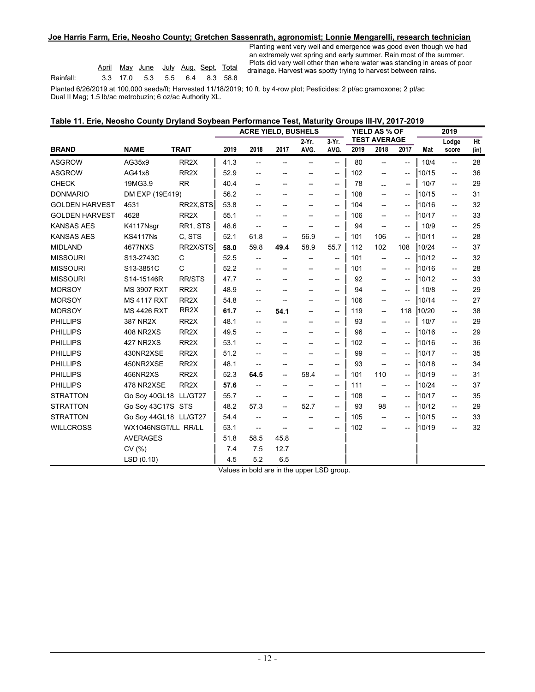#### **Joe Harris Farm, Erie, Neosho County; Gretchen Sassenrath, agronomist; Lonnie Mengarelli, research technician**

|           |  | April May June July Aug. Sept. Total |  |  |
|-----------|--|--------------------------------------|--|--|
| Rainfall: |  | 3.3 17.0 5.3 5.5 6.4 8.3 58.8        |  |  |

Planting went very well and emergence was good even though we had an extremely wet spring and early summer. Rain most of the summer. Plots did very well other than where water was standing in areas of poor April May June July Aug. Sept. Total ricks and cry wan chore than misse made that was spotted to harvest between rains.

Planted 6/26/2019 at 100,000 seeds/ft; Harvested 11/18/2019; 10 ft. by 4-row plot; Pesticides: 2 pt/ac gramoxone; 2 pt/ac Dual II Mag; 1.5 lb/ac metrobuzin; 6 oz/ac Authority XL.

| Table 11. Erie, Neosho County Dryland Soybean Performance Test, Maturity Groups III-IV, 2017-2019 |  |  |  |  |
|---------------------------------------------------------------------------------------------------|--|--|--|--|
|---------------------------------------------------------------------------------------------------|--|--|--|--|

|                       |                       |                   | <b>ACRE YIELD, BUSHELS</b>                                |                                                     |                                    |                          |                                                     |                             | YIELD AS % OF                                       |                                                     | 2019  |                          |      |
|-----------------------|-----------------------|-------------------|-----------------------------------------------------------|-----------------------------------------------------|------------------------------------|--------------------------|-----------------------------------------------------|-----------------------------|-----------------------------------------------------|-----------------------------------------------------|-------|--------------------------|------|
| <b>BRAND</b>          | <b>NAME</b>           | <b>TRAIT</b>      | $3-Yr$ .<br>2 Yr.<br>2018<br>2017<br>2019<br>AVG.<br>AVG. |                                                     |                                    |                          | 2019                                                | <b>TEST AVERAGE</b><br>2018 | 2017                                                |                                                     | Lodge | Ht                       |      |
|                       |                       |                   |                                                           |                                                     |                                    |                          |                                                     |                             |                                                     |                                                     | Mat   | score                    | (in) |
| <b>ASGROW</b>         | AG35x9                | RR <sub>2</sub> X | 41.3                                                      | $\overline{\phantom{a}}$                            | $\overline{\phantom{a}}$           |                          | $\overline{\phantom{a}}$                            | 80                          | $\overline{\phantom{a}}$                            | $-$                                                 | 10/4  | $\overline{\phantom{a}}$ | 28   |
| <b>ASGROW</b>         | AG41x8                | RR <sub>2X</sub>  | 52.9                                                      |                                                     |                                    |                          | $\overline{\phantom{a}}$                            | 102                         | $\overline{\phantom{a}}$                            | --                                                  | 10/15 | $\overline{\phantom{a}}$ | 36   |
| <b>CHECK</b>          | 19MG3.9               | <b>RR</b>         | 40.4                                                      |                                                     | --                                 | $\overline{\phantom{a}}$ | $\hspace{0.05cm} -\hspace{0.05cm}$                  | 78                          | --                                                  | --                                                  | 10/7  | $\overline{\phantom{a}}$ | 29   |
| <b>DONMARIO</b>       | DM EXP (19E419)       |                   | 56.2                                                      |                                                     | --                                 |                          | $\hspace{0.05cm} -\hspace{0.05cm}$                  | 108                         | $-$                                                 | --                                                  | 10/15 | $\overline{a}$           | 31   |
| <b>GOLDEN HARVEST</b> | 4531                  | RR2X, STS         | 53.8                                                      |                                                     |                                    |                          | $\overline{\phantom{0}}$                            | 104                         | $\overline{\phantom{a}}$                            | --                                                  | 10/16 | --                       | 32   |
| <b>GOLDEN HARVEST</b> | 4628                  | RR <sub>2</sub> X | 55.1                                                      | --                                                  |                                    |                          | $\hspace{0.05cm} -\hspace{0.05cm}$                  | 106                         | --                                                  | --                                                  | 10/17 | --                       | 33   |
| <b>KANSAS AES</b>     | K4117Nsgr             | RR1, STS          | 48.6                                                      | $\overline{\phantom{a}}$                            | --                                 | $\overline{\phantom{a}}$ | $-\!$                                               | 94                          | --                                                  | --                                                  | 10/9  | --                       | 25   |
| <b>KANSAS AES</b>     | <b>KS4117Ns</b>       | C. STS            | 52.1                                                      | 61.8                                                | $-\!$                              | 56.9                     | --                                                  | 101                         | 106                                                 | $\hspace{0.05cm}$ $\hspace{0.05cm}$                 | 10/11 | --                       | 28   |
| <b>MIDLAND</b>        | 4677NXS               | RR2X/STS          | 58.0                                                      | 59.8                                                | 49.4                               | 58.9                     | 55.7                                                | 112                         | 102                                                 | 108                                                 | 10/24 | $\overline{\phantom{a}}$ | 37   |
| <b>MISSOURI</b>       | S13-2743C             | C                 | 52.5                                                      |                                                     |                                    |                          | $\overline{\phantom{a}}$                            | 101                         | --                                                  | --                                                  | 10/12 | $\overline{\phantom{a}}$ | 32   |
| <b>MISSOURI</b>       | S13-3851C             | $\mathsf{C}$      | 52.2                                                      |                                                     |                                    |                          | $-$                                                 | 101                         | $- -$                                               | --                                                  | 10/16 | $\overline{\phantom{a}}$ | 28   |
| <b>MISSOURI</b>       | S14-15146R            | <b>RR/STS</b>     | 47.7                                                      | $-$                                                 |                                    | $\overline{\phantom{a}}$ | $\overline{\phantom{a}}$                            | 92                          | $- -$                                               | $\overline{\phantom{a}}$                            | 10/12 | $\overline{\phantom{0}}$ | 33   |
| <b>MORSOY</b>         | <b>MS 3907 RXT</b>    | RR <sub>2</sub> X | 48.9                                                      | --                                                  |                                    |                          | $\hspace{0.05cm} -\hspace{0.05cm}$                  | 94                          | $\overline{\phantom{a}}$                            | --                                                  | 10/8  | $\overline{\phantom{a}}$ | 29   |
| <b>MORSOY</b>         | <b>MS 4117 RXT</b>    | RR <sub>2</sub> X | 54.8                                                      | --                                                  | $\overline{a}$                     |                          | $\hspace{0.05cm} -\hspace{0.05cm} -\hspace{0.05cm}$ | 106                         | --                                                  | $\hspace{0.05cm} -\hspace{0.05cm} -\hspace{0.05cm}$ | 10/14 | $\overline{\phantom{a}}$ | 27   |
| <b>MORSOY</b>         | <b>MS 4426 RXT</b>    | RR <sub>2</sub> X | 61.7                                                      | $\overline{\phantom{a}}$                            | 54.1                               | $\overline{\phantom{a}}$ | $\hspace{0.05cm} -\hspace{0.05cm} -\hspace{0.05cm}$ | 119                         | $\hspace{0.05cm} -\hspace{0.05cm} -\hspace{0.05cm}$ | 118                                                 | 10/20 | $\overline{\phantom{a}}$ | 38   |
| <b>PHILLIPS</b>       | 387 NR2X              | RR <sub>2X</sub>  | 48.1                                                      | $-$                                                 |                                    |                          | $\hspace{0.05cm} -\hspace{0.05cm}$                  | 93                          | $\overline{\phantom{a}}$                            | --                                                  | 10/7  | $\overline{\phantom{a}}$ | 29   |
| <b>PHILLIPS</b>       | <b>408 NR2XS</b>      | RR <sub>2</sub> X | 49.5                                                      |                                                     |                                    |                          | $-$                                                 | 96                          | $-$                                                 | --                                                  | 10/16 | $\overline{\phantom{a}}$ | 29   |
| <b>PHILLIPS</b>       | 427 NR2XS             | RR <sub>2</sub> X | 53.1                                                      |                                                     |                                    |                          | $\hspace{0.05cm} -\hspace{0.05cm} -\hspace{0.05cm}$ | 102                         | $- -$                                               | $\hspace{0.05cm} \ldots$                            | 10/16 | $\overline{\phantom{0}}$ | 36   |
| <b>PHILLIPS</b>       | 430NR2XSE             | RR <sub>2</sub> X | 51.2                                                      |                                                     | --                                 |                          | $\hspace{0.05cm} -\hspace{0.05cm}$                  | 99                          | $- -$                                               | --                                                  | 10/17 | $\overline{\phantom{0}}$ | 35   |
| <b>PHILLIPS</b>       | 450NR2XSE             | RR <sub>2</sub> X | 48.1                                                      | $--$                                                | --                                 |                          | $\overline{\phantom{0}}$                            | 93                          | $\overline{\phantom{a}}$                            | --                                                  | 10/18 | $\overline{\phantom{0}}$ | 34   |
| <b>PHILLIPS</b>       | 456NR2XS              | RR <sub>2</sub> X | 52.3                                                      | 64.5                                                | $-$                                | 58.4                     | $\overline{\phantom{a}}$                            | 101                         | 110                                                 | $\hspace{0.05cm}$ – $\hspace{0.05cm}$               | 10/19 | --                       | 31   |
| <b>PHILLIPS</b>       | 478 NR2XSE            | RR <sub>2</sub> X | 57.6                                                      |                                                     | $-$                                |                          | $\hspace{0.05cm} -\hspace{0.05cm}$                  | 111                         | $\overline{\phantom{a}}$                            | --                                                  | 10/24 | $\overline{\phantom{a}}$ | 37   |
| <b>STRATTON</b>       | Go Soy 40GL18 LL/GT27 |                   | 55.7                                                      | $\overline{\phantom{a}}$                            |                                    |                          | $\overline{\phantom{a}}$                            | 108                         | $\overline{\phantom{a}}$                            | --                                                  | 10/17 | $\overline{\phantom{0}}$ | 35   |
| <b>STRATTON</b>       | Go Sov 43C17S STS     |                   | 48.2                                                      | 57.3                                                | $-$                                | 52.7                     | $\hspace{0.05cm}$ – $\hspace{0.05cm}$               | 93                          | 98                                                  | $\hspace{0.05cm} \ldots$                            | 10/12 | --                       | 29   |
| <b>STRATTON</b>       | Go Soy 44GL18 LL/GT27 |                   | 54.4                                                      | $--$                                                | $-$                                |                          | $\hspace{0.05cm} -\hspace{0.05cm} -\hspace{0.05cm}$ | 105                         | $\overline{\phantom{a}}$                            | --                                                  | 10/15 | $\overline{\phantom{a}}$ | 33   |
| <b>WILLCROSS</b>      | WX1046NSGT/LL RR/LL   |                   | 53.1                                                      | $\hspace{0.05cm} -\hspace{0.05cm} -\hspace{0.05cm}$ | $\hspace{0.05cm} -\hspace{0.05cm}$ |                          | $\overline{\phantom{a}}$                            | 102                         | $\overline{\phantom{a}}$                            | $\overline{\phantom{a}}$                            | 10/19 | --                       | 32   |
|                       | <b>AVERAGES</b>       |                   | 51.8                                                      | 58.5                                                | 45.8                               |                          |                                                     |                             |                                                     |                                                     |       |                          |      |
|                       | CV(%)                 |                   | 7.4                                                       | 7.5                                                 | 12.7                               |                          |                                                     |                             |                                                     |                                                     |       |                          |      |
|                       | LSD(0.10)             |                   | 4.5                                                       | 5.2                                                 | 6.5                                |                          |                                                     |                             |                                                     |                                                     |       |                          |      |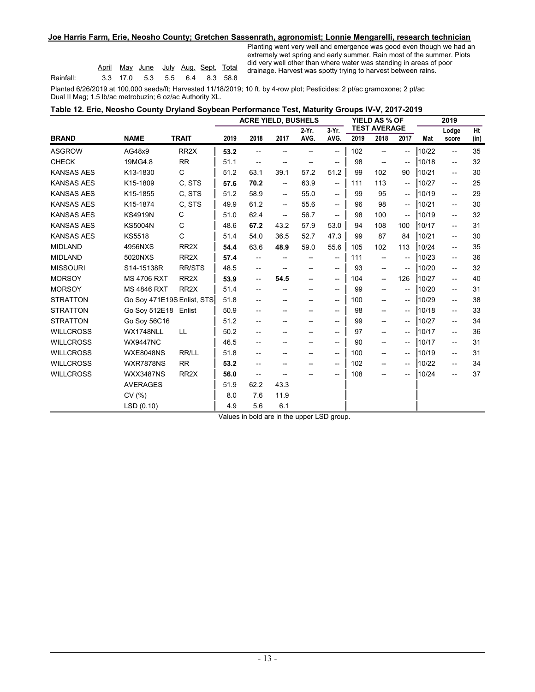#### **Joe Harris Farm, Erie, Neosho County; Gretchen Sassenrath, agronomist; Lonnie Mengarelli, research technician**

|           |  | April May June July Aug. Sept. Total |  |  |
|-----------|--|--------------------------------------|--|--|
| Rainfall: |  | 3.3 17.0 5.3 5.5 6.4 8.3 58.8        |  |  |

Planting went very well and emergence was good even though we had an extremely wet spring and early summer. Rain most of the summer. Plots did very well other than where water was standing in areas of poor April May June July Aug. Sept. Total did only han only than more natel has standing in didde or

**2019**

Planted 6/26/2019 at 100,000 seeds/ft; Harvested 11/18/2019; 10 ft. by 4-row plot; Pesticides: 2 pt/ac gramoxone; 2 pt/ac Dual II Mag; 1.5 lb/ac metrobuzin; 6 oz/ac Authority XL.

| Table 12. Erie, Neosho County Dryland Soybean Performance Test, Maturity Groups IV-V, 2017-2019 |                            |                      |
|-------------------------------------------------------------------------------------------------|----------------------------|----------------------|
|                                                                                                 | <b>ACRE YIELD, BUSHELS</b> | <b>YIELD AS % OF</b> |

|                   |                            |                   | AVIL TILLD, DUVIILLU |                          |                                                     | <u>וט א שבוו</u><br><b>TEST AVERAGE</b> |                                     |      | 20 I J                   |                          |       |                                       |      |
|-------------------|----------------------------|-------------------|----------------------|--------------------------|-----------------------------------------------------|-----------------------------------------|-------------------------------------|------|--------------------------|--------------------------|-------|---------------------------------------|------|
|                   |                            |                   |                      |                          |                                                     | 2 Yr.                                   | 3-Yr.                               |      |                          |                          |       | Lodge                                 | Ht   |
| <b>BRAND</b>      | <b>NAME</b>                | <b>TRAIT</b>      | 2019                 | 2018                     | 2017                                                | AVG.                                    | AVG.                                | 2019 | 2018                     | 2017                     | Mat   | score                                 | (in) |
| <b>ASGROW</b>     | AG48x9                     | RR <sub>2</sub> X | 53.2                 | --                       |                                                     |                                         | --                                  | 102  | --                       | --                       | 10/22 | $\overline{\phantom{a}}$              | 35   |
| <b>CHECK</b>      | 19MG4.8                    | <b>RR</b>         | 51.1                 | $\overline{\phantom{a}}$ | --                                                  |                                         | $\overline{\phantom{a}}$            | 98   | $\overline{\phantom{a}}$ | $-$                      | 10/18 | $\hspace{0.05cm} -\hspace{0.05cm}$    | 32   |
| <b>KANSAS AES</b> | K13-1830                   | C                 | 51.2                 | 63.1                     | 39.1                                                | 57.2                                    | 51.2                                | 99   | 102                      | 90                       | 10/21 | $\hspace{0.05cm} -\hspace{0.05cm}$    | 30   |
| <b>KANSAS AES</b> | K15-1809                   | C, STS            | 57.6                 | 70.2                     | --                                                  | 63.9                                    | --                                  | 111  | 113                      | --                       | 10/27 | $\hspace{0.05cm}$ $\hspace{0.05cm}$   | 25   |
| <b>KANSAS AES</b> | K15-1855                   | C. STS            | 51.2                 | 58.9                     | $\hspace{0.05cm} -\hspace{0.05cm} -\hspace{0.05cm}$ | 55.0                                    | $\overline{\phantom{a}}$            | 99   | 95                       | $-$                      | 10/19 | $\hspace{0.05cm}$ – $\hspace{0.05cm}$ | 29   |
| <b>KANSAS AES</b> | K15-1874                   | C. STS            | 49.9                 | 61.2                     | $-$                                                 | 55.6                                    | $\overline{\phantom{a}}$            | 96   | 98                       | $-$                      | 10/21 | $\hspace{0.05cm}$ – $\hspace{0.05cm}$ | 30   |
| <b>KANSAS AES</b> | <b>KS4919N</b>             | C                 | 51.0                 | 62.4                     | --                                                  | 56.7                                    | $\qquad \qquad -$                   | 98   | 100                      | --                       | 10/19 | --                                    | 32   |
| <b>KANSAS AES</b> | <b>KS5004N</b>             | C                 | 48.6                 | 67.2                     | 43.2                                                | 57.9                                    | 53.0                                | 94   | 108                      | 100                      | 10/17 | $\hspace{0.05cm}$ – $\hspace{0.05cm}$ | 31   |
| <b>KANSAS AES</b> | <b>KS5518</b>              | $\mathsf{C}$      | 51.4                 | 54.0                     | 36.5                                                | 52.7                                    | 47.3                                | 99   | 87                       | 84                       | 10/21 | $\hspace{0.05cm} -\hspace{0.05cm}$    | 30   |
| <b>MIDLAND</b>    | 4956NXS                    | RR <sub>2</sub> X | 54.4                 | 63.6                     | 48.9                                                | 59.0                                    | 55.6                                | 105  | 102                      | 113                      | 10/24 | --                                    | 35   |
| <b>MIDLAND</b>    | 5020NXS                    | RR <sub>2</sub> X | 57.4                 | --                       | --                                                  |                                         | $\overline{\phantom{0}}$            | 111  | $\overline{\phantom{a}}$ | $-$                      | 10/23 | $\hspace{0.05cm}$ – $\hspace{0.05cm}$ | 36   |
| <b>MISSOURI</b>   | S14-15138R                 | <b>RR/STS</b>     | 48.5                 | --                       |                                                     |                                         | $\overline{\phantom{a}}$            | 93   | --                       | $-$                      | 10/20 | $\hspace{0.05cm}$ – $\hspace{0.05cm}$ | 32   |
| <b>MORSOY</b>     | <b>MS 4706 RXT</b>         | RR <sub>2</sub> X | 53.9                 | --                       | 54.5                                                | --                                      | --                                  | 104  | --                       | 126                      | 10/27 | $\hspace{0.05cm}$ – $\hspace{0.05cm}$ | 40   |
| <b>MORSOY</b>     | <b>MS 4846 RXT</b>         | RR <sub>2</sub> X | 51.4                 | --                       |                                                     |                                         | --                                  | 99   | --                       | --                       | 10/20 | $\hspace{0.05cm}$ $\hspace{0.05cm}$   | 31   |
| <b>STRATTON</b>   | Go Sov 471E19S Enlist, STS |                   | 51.8                 | --                       | --                                                  |                                         | $\overline{\phantom{a}}$            | 100  | --                       | $\overline{\phantom{a}}$ | 10/29 | $\hspace{0.05cm}$ – $\hspace{0.05cm}$ | 38   |
| <b>STRATTON</b>   | Go Soy 512E18 Enlist       |                   | 50.9                 | --                       | --                                                  | --                                      | --                                  | 98   | --                       | --                       | 10/18 | $\hspace{0.05cm}$ – $\hspace{0.05cm}$ | 33   |
| <b>STRATTON</b>   | Go Sov 56C16               |                   | 51.2                 | --                       |                                                     |                                         | $\overline{\phantom{a}}$            | 99   | --                       | --                       | 10/27 | $\hspace{0.05cm}$ – $\hspace{0.05cm}$ | 34   |
| <b>WILLCROSS</b>  | WX1748NLL                  | LL.               | 50.2                 |                          |                                                     |                                         | $\overline{\phantom{0}}$            | 97   | --                       | $-$                      | 10/17 | $\overline{\phantom{a}}$              | 36   |
| <b>WILLCROSS</b>  | <b>WX9447NC</b>            |                   | 46.5                 | --                       | --                                                  | --                                      | $\hspace{0.05cm}$ $\hspace{0.05cm}$ | 90   | --                       | --                       | 10/17 | $\overline{\phantom{a}}$              | 31   |
| <b>WILLCROSS</b>  | <b>WXE8048NS</b>           | RR/LL             | 51.8                 | --                       |                                                     |                                         | --                                  | 100  | --                       | --                       | 10/19 | $\hspace{0.05cm} -\hspace{0.05cm}$    | 31   |
| <b>WILLCROSS</b>  | <b>WXR7878NS</b>           | <b>RR</b>         | 53.2                 | --                       |                                                     |                                         | $\overline{\phantom{a}}$            | 102  | --                       | $\overline{\phantom{a}}$ | 10/22 | $\overline{\phantom{a}}$              | 34   |
| <b>WILLCROSS</b>  | <b>WXX3487NS</b>           | RR <sub>2</sub> X | 56.0                 | --                       | --                                                  |                                         | --                                  | 108  | --                       | --                       | 10/24 | $\overline{\phantom{a}}$              | 37   |
|                   | <b>AVERAGES</b>            |                   | 51.9                 | 62.2                     | 43.3                                                |                                         |                                     |      |                          |                          |       |                                       |      |
|                   | CV(%)                      |                   | 8.0                  | 7.6                      | 11.9                                                |                                         |                                     |      |                          |                          |       |                                       |      |
|                   | LSD(0.10)                  |                   | 4.9                  | 5.6                      | 6.1                                                 |                                         |                                     |      |                          |                          |       |                                       |      |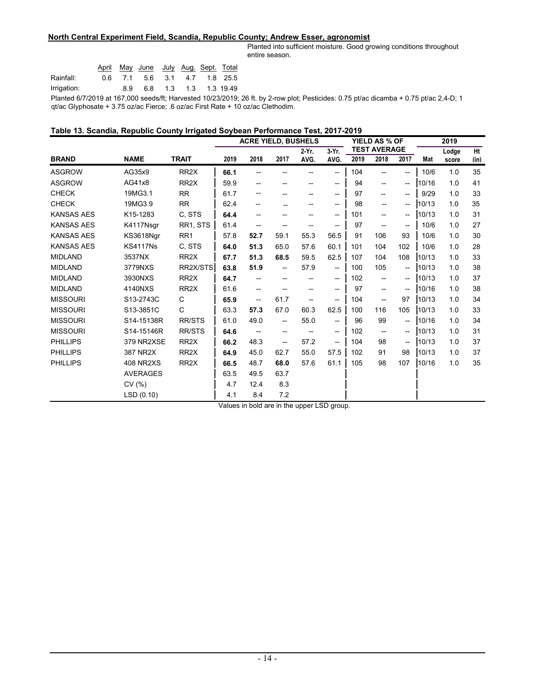# **North Central Experiment Field, Scandia, Republic County; Andrew Esser, agronomist**

Planted into sufficient moisture. Good growing conditions throughout entire season.

|                                                             |      |    | April May June July Aug Sept. Total |  |                       |
|-------------------------------------------------------------|------|----|-------------------------------------|--|-----------------------|
| Rainfall:                                                   | 06 D |    | 7.1 5.6 3.1 4.7 1.8 25.5            |  |                       |
| Irrigation:                                                 |      | 89 |                                     |  | 6.8 1.3 1.3 1.3 19.49 |
| Planted 6/7/2019 at 167,000 seeds/ft; Harvested 10/23/2019; |      |    |                                     |  |                       |

26 ft. by 2-row plot; Pesticides: 0.75 pt/ac dicamba + 0.75 pt/ac 2,4-D; 1 qt/ac Glyphosate + 3.75 oz/ac Fierce; .6 oz/ac First Rate + 10 oz/ac Clethodim.

# **Table 13. Scandia, Republic County Irrigated Soybean Performance Test, 2017-2019**

|                   |                  |                   | <b>ACRE YIELD, BUSHELS</b> |                          |                          |      |                                                     | YIELD AS % OF<br><b>TEST AVERAGE</b> |                                       |                          | 2019  |       |      |
|-------------------|------------------|-------------------|----------------------------|--------------------------|--------------------------|------|-----------------------------------------------------|--------------------------------------|---------------------------------------|--------------------------|-------|-------|------|
|                   |                  |                   | 3-Yr.<br>2-Yr.             |                          |                          |      |                                                     |                                      |                                       |                          |       | Lodge | Ht   |
| <b>BRAND</b>      | <b>NAME</b>      | <b>TRAIT</b>      | 2019                       | 2018                     | 2017                     | AVG. | AVG.                                                | 2019                                 | 2018                                  | 2017                     | Mat   | score | (in) |
| <b>ASGROW</b>     | AG35x9           | RR <sub>2</sub> X | 66.1                       |                          |                          |      | $\overline{\phantom{0}}$                            | 104                                  | --                                    | $\overline{\phantom{a}}$ | 10/6  | 1.0   | 35   |
| <b>ASGROW</b>     | AG41x8           | RR <sub>2</sub> X | 59.9                       | --                       | --                       |      | --                                                  | 94                                   | --                                    | --                       | 10/16 | 1.0   | 41   |
| <b>CHECK</b>      | 19MG3.1          | <b>RR</b>         | 61.7                       |                          | --                       | --   | $\overline{\phantom{a}}$                            | 97                                   | --                                    | --                       | 9/29  | 1.0   | 33   |
| <b>CHECK</b>      | 19MG3.9          | <b>RR</b>         | 62.4                       | $\overline{\phantom{a}}$ |                          |      | $-$                                                 | 98                                   | --                                    | --                       | 10/13 | 1.0   | 35   |
| <b>KANSAS AES</b> | K15-1283         | C. STS            | 64.4                       | --                       |                          |      | $\overline{\phantom{a}}$                            | 101                                  | --                                    | $-$                      | 10/13 | 1.0   | 31   |
| <b>KANSAS AES</b> | K4117Nsgr        | RR1, STS          | 61.4                       | --                       | --                       |      | --                                                  | 97                                   | --                                    | --                       | 10/6  | 1.0   | 27   |
| <b>KANSAS AES</b> | KS3618Ngr        | RR <sub>1</sub>   | 57.8                       | 52.7                     | 59.1                     | 55.3 | 56.5                                                | 91                                   | 106                                   | 93                       | 10/6  | 1.0   | 30   |
| <b>KANSAS AES</b> | <b>KS4117Ns</b>  | C. STS            | 64.0                       | 51.3                     | 65.0                     | 57.6 | 60.1                                                | 101                                  | 104                                   | 102                      | 10/6  | 1.0   | 28   |
| <b>MIDLAND</b>    | 3537NX           | RR <sub>2</sub> X | 67.7                       | 51.3                     | 68.5                     | 59.5 | 62.5                                                | 107                                  | 104                                   | 108                      | 10/13 | 1.0   | 33   |
| <b>MIDLAND</b>    | 3779NXS          | RR2X/STS          | 63.8                       | 51.9                     | $\overline{\phantom{a}}$ | 57.9 | $\hspace{0.05cm} -\hspace{0.05cm} -\hspace{0.05cm}$ | 100                                  | 105                                   | --                       | 10/13 | 1.0   | 38   |
| <b>MIDLAND</b>    | 3930NXS          | RR <sub>2</sub> X | 64.7                       | --                       | --                       |      | $\overline{\phantom{a}}$                            | 102                                  | --                                    | $-$                      | 10/13 | 1.0   | 37   |
| <b>MIDLAND</b>    | 4140NXS          | RR <sub>2</sub> X | 61.6                       | --                       | --                       |      | --                                                  | 97                                   | --                                    | --                       | 10/16 | 1.0   | 38   |
| <b>MISSOURI</b>   | S13-2743C        | C                 | 65.9                       | --                       | 61.7                     |      | $\overline{\phantom{a}}$                            | 104                                  | $\hspace{0.05cm}$ – $\hspace{0.05cm}$ | 97                       | 10/13 | 1.0   | 34   |
| <b>MISSOURI</b>   | S13-3851C        | C                 | 63.3                       | 57.3                     | 67.0                     | 60.3 | 62.5                                                | 100                                  | 116                                   | 105                      | 10/13 | 1.0   | 33   |
| <b>MISSOURI</b>   | S14-15138R       | <b>RR/STS</b>     | 61.0                       | 49.0                     | $\overline{\phantom{0}}$ | 55.0 | $\overline{\phantom{a}}$                            | 96                                   | 99                                    | $\overline{\phantom{a}}$ | 10/16 | 1.0   | 34   |
| <b>MISSOURI</b>   | S14-15146R       | <b>RR/STS</b>     | 64.6                       | --                       | $-$                      |      | --                                                  | 102                                  | --                                    | --                       | 10/13 | 1.0   | 31   |
| <b>PHILLIPS</b>   | 379 NR2XSE       | RR <sub>2</sub> X | 66.2                       | 48.3                     | --                       | 57.2 | $\hspace{0.05cm}$ $\hspace{0.05cm}$                 | 104                                  | 98                                    | $-$                      | 10/13 | 1.0   | 37   |
| <b>PHILLIPS</b>   | 387 NR2X         | RR <sub>2</sub> X | 64.9                       | 45.0                     | 62.7                     | 55.0 | 57.5                                                | 102                                  | 91                                    | 98                       | 10/13 | 1.0   | 37   |
| <b>PHILLIPS</b>   | <b>408 NR2XS</b> | RR <sub>2</sub> X | 66.5                       | 48.7                     | 68.0                     | 57.6 | 61.1                                                | 105                                  | 98                                    | 107                      | 10/16 | 1.0   | 35   |
|                   | <b>AVERAGES</b>  |                   | 63.5                       | 49.5                     | 63.7                     |      |                                                     |                                      |                                       |                          |       |       |      |
|                   | CV(%)            |                   | 4.7                        | 12.4                     | 8.3                      |      |                                                     |                                      |                                       |                          |       |       |      |
|                   | LSD(0.10)        |                   | 4.1                        | 8.4                      | 7.2                      |      |                                                     |                                      |                                       |                          |       |       |      |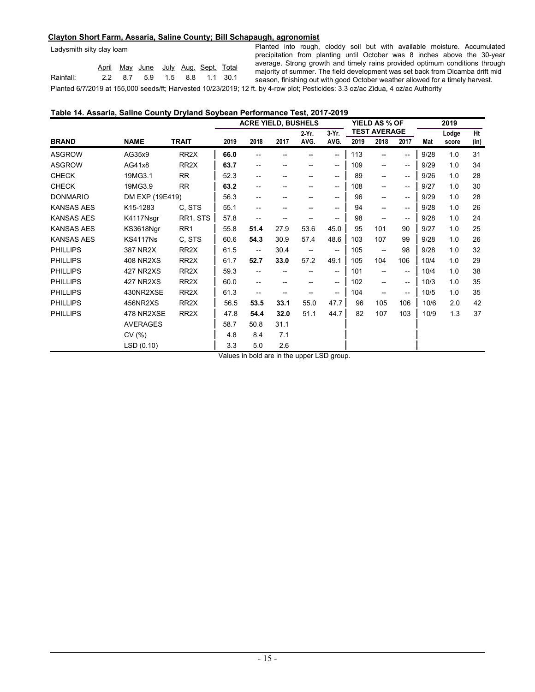#### **Clayton Short Farm, Assaria, Saline County; Bill Schapaugh, agronomist**

| Ladysmith silty clay loam |  |
|---------------------------|--|
|---------------------------|--|

|           |  | April May June July Aug Sept Total |  |  |
|-----------|--|------------------------------------|--|--|
| Rainfall: |  | 2.2 8.7 5.9 1.5 8.8 1.1 30.1       |  |  |
|           |  |                                    |  |  |

Planted 6/7/2019 at 155,000 seeds/ft; Harvested 10/23/2019; 12 ft. by 4-row plot; Pesticides: 3.3 oz/ac Zidua, 4 oz/ac Authority Planted into rough, cloddy soil but with available moisture. Accumulated precipitation from planting until October was 8 inches above the 30-year average. Strong growth and timely rains provided optimum conditions through majority of summer. The field development was set back from Dicamba drift mid season, finishing out with good October weather allowed for a timely harvest.

# **Table 14. Assaria, Saline County Dryland Soybean Performance Test, 2017-2019**

|                   |                  |                   | <b>ACRE YIELD, BUSHELS</b> |                          |      |                          |                   |      | YIELD AS % OF            |                                       | 2019 |       |      |
|-------------------|------------------|-------------------|----------------------------|--------------------------|------|--------------------------|-------------------|------|--------------------------|---------------------------------------|------|-------|------|
|                   |                  |                   |                            |                          |      | 2 Yr.                    | $3-Yr$ .          |      | <b>TEST AVERAGE</b>      |                                       |      | Lodge | Ht   |
| <b>BRAND</b>      | <b>NAME</b>      | <b>TRAIT</b>      | 2019                       | 2018                     | 2017 | AVG.                     | AVG.              | 2019 | 2018                     | 2017                                  | Mat  | score | (in) |
| <b>ASGROW</b>     | AG35x9           | RR <sub>2</sub> X | 66.0                       |                          |      |                          | $\hspace{0.05cm}$ | 113  | $-$                      | $\overline{\phantom{a}}$              | 9/28 | 1.0   | 31   |
| <b>ASGROW</b>     | AG41x8           | RR <sub>2</sub> X | 63.7                       | --                       | --   |                          | $- -$             | 109  | $-$                      | $- -$                                 | 9/29 | 1.0   | 34   |
| <b>CHECK</b>      | 19MG3.1          | <b>RR</b>         | 52.3                       |                          |      |                          | $\hspace{0.05cm}$ | 89   | $\overline{\phantom{a}}$ | $- -$                                 | 9/26 | 1.0   | 28   |
| <b>CHECK</b>      | 19MG3.9          | <b>RR</b>         | 63.2                       | --                       | --   |                          | $- -$             | 108  | $-$                      | $- -$                                 | 9/27 | 1.0   | 30   |
| <b>DONMARIO</b>   | DM EXP (19E419)  |                   | 56.3                       | --                       | --   |                          | $\hspace{0.05cm}$ | 96   | $\overline{\phantom{a}}$ | --                                    | 9/29 | 1.0   | 28   |
| <b>KANSAS AES</b> | K15-1283         | C. STS            | 55.1                       |                          |      |                          | $- -$             | 94   | $-$                      | $- -$                                 | 9/28 | 1.0   | 26   |
| <b>KANSAS AES</b> | K4117Nsgr        | RR1, STS          | 57.8                       | --                       |      |                          | --                | 98   | $-$                      | $- -$                                 | 9/28 | 1.0   | 24   |
| <b>KANSAS AES</b> | KS3618Ngr        | RR <sub>1</sub>   | 55.8                       | 51.4                     | 27.9 | 53.6                     | 45.0              | 95   | 101                      | 90                                    | 9/27 | 1.0   | 25   |
| <b>KANSAS AES</b> | <b>KS4117Ns</b>  | C. STS            | 60.6                       | 54.3                     | 30.9 | 57.4                     | 48.6              | 103  | 107                      | 99                                    | 9/28 | 1.0   | 26   |
| <b>PHILLIPS</b>   | 387 NR2X         | RR <sub>2</sub> X | 61.5                       | $\overline{\phantom{a}}$ | 30.4 | $\overline{\phantom{a}}$ | --                | 105  | $\overline{\phantom{m}}$ | 98                                    | 9/28 | 1.0   | 32   |
| <b>PHILLIPS</b>   | <b>408 NR2XS</b> | RR <sub>2</sub> X | 61.7                       | 52.7                     | 33.0 | 57.2                     | 49.1              | 105  | 104                      | 106                                   | 10/4 | 1.0   | 29   |
| <b>PHILLIPS</b>   | 427 NR2XS        | RR <sub>2</sub> X | 59.3                       | --                       | --   |                          | --                | 101  | $-$                      | $\hspace{0.05cm}$ – $\hspace{0.05cm}$ | 10/4 | 1.0   | 38   |
| <b>PHILLIPS</b>   | 427 NR2XS        | RR <sub>2</sub> X | 60.0                       |                          |      |                          | $- -$             | 102  |                          | $- -$                                 | 10/3 | 1.0   | 35   |
| <b>PHILLIPS</b>   | 430NR2XSE        | RR <sub>2</sub> X | 61.3                       | --                       |      |                          | $\hspace{0.05cm}$ | 104  | $\overline{\phantom{a}}$ | $\hspace{0.05cm}$ – $\hspace{0.05cm}$ | 10/5 | 1.0   | 35   |
| <b>PHILLIPS</b>   | 456NR2XS         | RR <sub>2</sub> X | 56.5                       | 53.5                     | 33.1 | 55.0                     | 47.7              | 96   | 105                      | 106                                   | 10/6 | 2.0   | 42   |
| <b>PHILLIPS</b>   | 478 NR2XSE       | RR <sub>2</sub> X | 47.8                       | 54.4                     | 32.0 | 51.1                     | 44.7              | 82   | 107                      | 103                                   | 10/9 | 1.3   | 37   |
|                   | <b>AVERAGES</b>  |                   | 58.7                       | 50.8                     | 31.1 |                          |                   |      |                          |                                       |      |       |      |
|                   | CV(%)            |                   | 4.8                        | 8.4                      | 7.1  |                          |                   |      |                          |                                       |      |       |      |
|                   | LSD(0.10)        |                   | 3.3                        | 5.0                      | 2.6  |                          |                   |      |                          |                                       |      |       |      |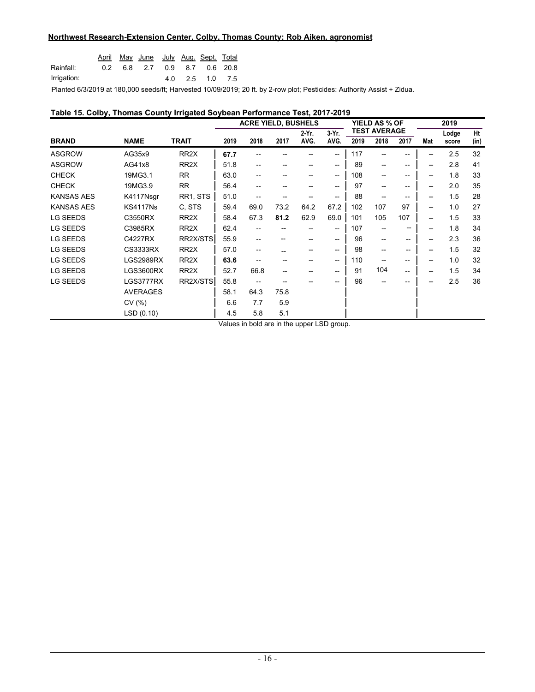#### **Northwest Research-Extension Center, Colby, Thomas County; Rob Aiken, agronomist**

|             |  | April May June July Aug. Sept. Total |  |                 |  |
|-------------|--|--------------------------------------|--|-----------------|--|
| Rainfall:   |  | 0.2 6.8 2.7 0.9 8.7 0.6 20.8         |  |                 |  |
| Irrigation: |  |                                      |  | 4.0 2.5 1.0 7.5 |  |

Planted 6/3/2019 at 180,000 seeds/ft; Harvested 10/09/2019; 20 ft. by 2-row plot; Pesticides: Authority Assist + Zidua.

## **Table 15. Colby, Thomas County Irrigated Soybean Performance Test, 2017-2019**

|                   |                 |                   | <b>ACRE YIELD, BUSHELS</b> |                                     |      |               |                                       |      | <b>YIELD AS % OF</b><br><b>TEST AVERAGE</b> |       |     | 2019           |            |  |
|-------------------|-----------------|-------------------|----------------------------|-------------------------------------|------|---------------|---------------------------------------|------|---------------------------------------------|-------|-----|----------------|------------|--|
| <b>BRAND</b>      | <b>NAME</b>     | <b>TRAIT</b>      | 2019                       | 2018                                | 2017 | 2 Yr.<br>AVG. | 3-Yr.<br>AVG.                         | 2019 | 2018                                        | 2017  | Mat | Lodge<br>score | Ht<br>(in) |  |
| <b>ASGROW</b>     | AG35x9          | RR <sub>2</sub> X | 67.7                       |                                     |      |               | $\overline{\phantom{a}}$              | 117  |                                             | --    |     | 2.5            | 32         |  |
| <b>ASGROW</b>     | AG41x8          | RR <sub>2</sub> X | 51.8                       |                                     |      |               | $\hspace{0.05cm}$ – $\hspace{0.05cm}$ | 89   | $\hspace{0.05cm}$ – $\hspace{0.05cm}$       | --    | --  | 2.8            | 41         |  |
| <b>CHECK</b>      | 19MG3.1         | <b>RR</b>         | 63.0                       | --                                  |      |               | $\hspace{0.05cm}$ – $\hspace{0.05cm}$ | 108  | $-$                                         | --    | --  | 1.8            | 33         |  |
| <b>CHECK</b>      | 19MG3.9         | <b>RR</b>         | 56.4                       | --                                  |      |               | $\hspace{0.05cm}$ – $\hspace{0.05cm}$ | 97   | --                                          | --    | --  | 2.0            | 35         |  |
| <b>KANSAS AES</b> | K4117Nsgr       | RR1, STS          | 51.0                       | --                                  |      |               | --                                    | 88   | $-$                                         | --    | --  | 1.5            | 28         |  |
| <b>KANSAS AES</b> | <b>KS4117Ns</b> | C. STS            | 59.4                       | 69.0                                | 73.2 | 64.2          | 67.2                                  | 102  | 107                                         | 97    | --  | 1.0            | 27         |  |
| <b>LG SEEDS</b>   | C3550RX         | RR <sub>2</sub> X | 58.4                       | 67.3                                | 81.2 | 62.9          | 69.0                                  | 101  | 105                                         | 107   | --  | 1.5            | 33         |  |
| <b>LG SEEDS</b>   | C3985RX         | RR <sub>2</sub> X | 62.4                       |                                     |      |               | $\hspace{0.05cm}$ – $\hspace{0.05cm}$ | 107  | $\overline{\phantom{a}}$                    | $- -$ | --  | 1.8            | 34         |  |
| <b>LG SEEDS</b>   | C4227RX         | RR2X/STS          | 55.9                       | --                                  | --   |               | $\hspace{0.05cm}$ – $\hspace{0.05cm}$ | 96   | $\overline{\phantom{a}}$                    | --    | --  | 2.3            | 36         |  |
| <b>LG SEEDS</b>   | CS3333RX        | RR <sub>2</sub> X | 57.0                       | --                                  |      |               | $\hspace{0.05cm}$ – $\hspace{0.05cm}$ | 98   | $\overline{\phantom{a}}$                    | --    | --  | 1.5            | 32         |  |
| <b>LG SEEDS</b>   | LGS2989RX       | RR <sub>2</sub> X | 63.6                       | --                                  | --   | --            | $\hspace{0.05cm}$ – $\hspace{0.05cm}$ | 110  | $-$                                         | --    | --  | 1.0            | 32         |  |
| <b>LG SEEDS</b>   | LGS3600RX       | RR <sub>2</sub> X | 52.7                       | 66.8                                | --   |               | $\hspace{0.05cm}$ – $\hspace{0.05cm}$ | 91   | 104                                         | $- -$ | --  | 1.5            | 34         |  |
| <b>LG SEEDS</b>   | LGS3777RX       | RR2X/STS          | 55.8                       | $\hspace{0.05cm}$ $\hspace{0.05cm}$ |      |               |                                       | 96   | $-$                                         | --    |     | 2.5            | 36         |  |
|                   | <b>AVERAGES</b> |                   | 58.1                       | 64.3                                | 75.8 |               |                                       |      |                                             |       |     |                |            |  |
|                   | CV(%)           |                   | 6.6                        | 7.7                                 | 5.9  |               |                                       |      |                                             |       |     |                |            |  |
|                   | LSD(0.10)       |                   | 4.5                        | 5.8                                 | 5.1  |               |                                       |      |                                             |       |     |                |            |  |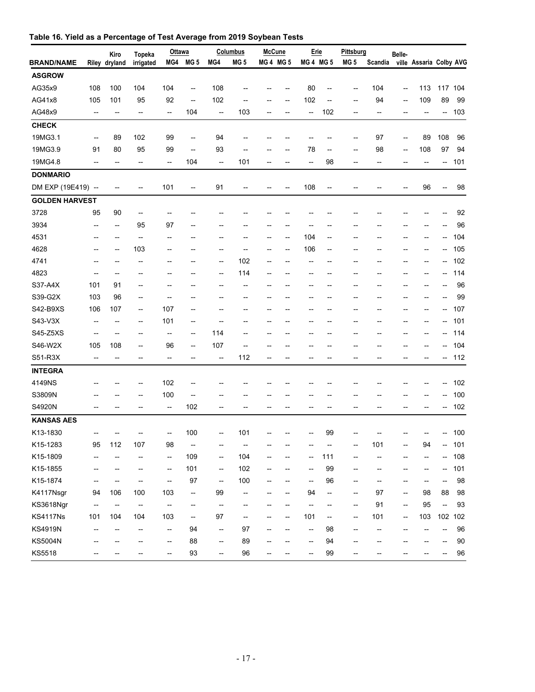|                       |                                                     | Kiro                     | Topeka                   | Ottawa                   |                                     |                                                     | <b>Columbus</b>          | <b>McCune</b>            |                                    | Erie                     |                                                     | Pittsburg                |                                    | Belle-                                              |                         |                          |         |
|-----------------------|-----------------------------------------------------|--------------------------|--------------------------|--------------------------|-------------------------------------|-----------------------------------------------------|--------------------------|--------------------------|------------------------------------|--------------------------|-----------------------------------------------------|--------------------------|------------------------------------|-----------------------------------------------------|-------------------------|--------------------------|---------|
| <b>BRAND/NAME</b>     |                                                     | Riley dryland            | irrigated                |                          | MG4 MG 5                            | MG4                                                 | MG <sub>5</sub>          | <b>MG4 MG5</b>           |                                    | <b>MG 4 MG 5</b>         |                                                     | MG <sub>5</sub>          | Scandia                            |                                                     | ville Assaria Colby AVG |                          |         |
| <b>ASGROW</b>         |                                                     |                          |                          |                          |                                     |                                                     |                          |                          |                                    |                          |                                                     |                          |                                    |                                                     |                         |                          |         |
| AG35x9                | 108                                                 | 100                      | 104                      | 104                      | $\overline{\phantom{a}}$            | 108                                                 |                          |                          |                                    | 80                       | $\overline{\phantom{a}}$                            | --                       | 104                                | --                                                  | 113                     |                          | 117 104 |
| AG41x8                | 105                                                 | 101                      | 95                       | 92                       | $\overline{\phantom{a}}$            | 102                                                 | --                       | $\overline{\phantom{a}}$ | $\overline{\phantom{a}}$           | 102                      | $\hspace{0.05cm} -\hspace{0.05cm} -\hspace{0.05cm}$ | --                       | 94                                 | $\hspace{0.05cm} -\hspace{0.05cm}$                  | 109                     | 89                       | 99      |
| AG48x9                | $\overline{\phantom{a}}$                            | --                       | --                       | --                       | 104                                 | $\overline{\phantom{a}}$                            | 103                      |                          | --                                 | --                       | 102                                                 | --                       | $\hspace{0.05cm} -\hspace{0.05cm}$ | $\overline{\phantom{a}}$                            | --                      | --                       | 103     |
| <b>CHECK</b>          |                                                     |                          |                          |                          |                                     |                                                     |                          |                          |                                    |                          |                                                     |                          |                                    |                                                     |                         |                          |         |
| 19MG3.1               | $\hspace{0.05cm} -\hspace{0.05cm} -\hspace{0.05cm}$ | 89                       | 102                      | 99                       | --                                  | 94                                                  |                          |                          |                                    | --                       |                                                     | --                       | 97                                 | $\overline{\phantom{a}}$                            | 89                      | 108                      | 96      |
| 19MG3.9               | 91                                                  | 80                       | 95                       | 99                       | --                                  | 93                                                  | --                       |                          | --                                 | 78                       | $\hspace{0.05cm} -\hspace{0.05cm} -\hspace{0.05cm}$ | --                       | 98                                 | --                                                  | 108                     | 97                       | 94      |
| 19MG4.8               |                                                     |                          | --                       | $\overline{\phantom{a}}$ | 104                                 | $\overline{\phantom{a}}$                            | 101                      |                          | --                                 | --                       | 98                                                  | --                       | --                                 | --                                                  |                         | --                       | 101     |
| <b>DONMARIO</b>       |                                                     |                          |                          |                          |                                     |                                                     |                          |                          |                                    |                          |                                                     |                          |                                    |                                                     |                         |                          |         |
| DM EXP (19E419) --    |                                                     |                          |                          | 101                      | --                                  | 91                                                  |                          |                          |                                    | 108                      |                                                     |                          |                                    |                                                     | 96                      | --                       | 98      |
| <b>GOLDEN HARVEST</b> |                                                     |                          |                          |                          |                                     |                                                     |                          |                          |                                    |                          |                                                     |                          |                                    |                                                     |                         |                          |         |
| 3728                  | 95                                                  | 90                       | --                       |                          |                                     |                                                     |                          |                          |                                    |                          |                                                     |                          |                                    |                                                     |                         |                          | 92      |
| 3934                  | $\overline{\phantom{a}}$                            | --                       | 95                       | 97                       | --                                  |                                                     |                          |                          | --                                 | $\qquad \qquad -$        |                                                     | --                       |                                    |                                                     | --                      | --                       | 96      |
| 4531                  | --                                                  | --                       | --                       | $\overline{a}$           | --                                  |                                                     | --                       | $\overline{a}$           | $\hspace{0.05cm} -\hspace{0.05cm}$ | 104                      | --                                                  | --                       |                                    | --                                                  | --                      | --                       | 104     |
| 4628                  |                                                     | --                       | 103                      | --                       | --                                  |                                                     | $\overline{\phantom{0}}$ |                          | --                                 | 106                      | --                                                  | --                       |                                    |                                                     |                         | --                       | 105     |
| 4741                  |                                                     |                          | --                       | --                       |                                     | $\overline{\phantom{a}}$                            | 102                      |                          | --                                 | --                       |                                                     | --                       |                                    |                                                     | --                      | --                       | 102     |
| 4823                  | --                                                  | --                       | --                       | --                       | $\overline{\phantom{a}}$            | $\hspace{0.05cm} -\hspace{0.05cm}$                  | 114                      | $\overline{\phantom{a}}$ | --                                 | --                       | --                                                  | --                       |                                    | --                                                  | --                      | --                       | 114     |
| S37-A4X               | 101                                                 | 91                       | $\overline{\phantom{a}}$ | $\overline{\phantom{0}}$ | $\overline{a}$                      | $\overline{a}$                                      | $\overline{\phantom{a}}$ |                          | --                                 | --                       |                                                     | --                       |                                    | --                                                  |                         | --                       | 96      |
| S39-G2X               | 103                                                 | 96                       | --                       | $\overline{\phantom{a}}$ | $\overline{\phantom{a}}$            |                                                     | --                       | $\overline{a}$           | --                                 | --                       |                                                     | --                       |                                    |                                                     | --                      |                          | 99      |
| S42-B9XS              | 106                                                 | 107                      | --                       | 107                      | --                                  |                                                     | --                       |                          | --                                 | --                       |                                                     | --                       | --                                 | --                                                  | --                      | --                       | 107     |
| S43-V3X               | --                                                  |                          | --                       | 101                      | --                                  | $\overline{a}$                                      | --                       |                          | --                                 | --                       |                                                     | --                       |                                    |                                                     | --                      | --                       | 101     |
| S45-Z5XS              | $\overline{\phantom{a}}$                            |                          | $\overline{\phantom{a}}$ | --                       | --                                  | 114                                                 |                          |                          |                                    | --                       |                                                     | --                       |                                    |                                                     |                         |                          | 114     |
| S46-W2X               | 105                                                 | 108                      | --                       | 96                       | --                                  | 107                                                 | $\overline{\phantom{a}}$ |                          | --                                 | --                       |                                                     | --                       |                                    |                                                     | --                      | --                       | 104     |
| S51-R3X               | $\overline{\phantom{a}}$                            |                          | $\overline{\phantom{a}}$ | --                       | --                                  | $\overline{\phantom{a}}$                            | 112                      | $\overline{a}$           | --                                 | --                       | --                                                  | --                       | $\overline{\phantom{a}}$           | $\overline{a}$                                      | --                      | --                       | 112     |
| <b>INTEGRA</b>        |                                                     |                          |                          |                          |                                     |                                                     |                          |                          |                                    |                          |                                                     |                          |                                    |                                                     |                         |                          |         |
| 4149NS                |                                                     |                          | --                       | 102                      | --                                  |                                                     |                          |                          |                                    |                          |                                                     |                          |                                    |                                                     |                         | --                       | 102     |
| S3809N                |                                                     |                          | --                       | 100                      | --                                  |                                                     |                          |                          |                                    |                          |                                                     |                          |                                    |                                                     |                         | --                       | 100     |
| S4920N                |                                                     |                          | $\overline{\phantom{a}}$ | $\overline{\phantom{a}}$ | 102                                 | $\overline{\phantom{a}}$                            |                          |                          |                                    | --                       | $\overline{a}$                                      |                          |                                    | $\overline{\phantom{a}}$                            |                         | --                       | 102     |
| <b>KANSAS AES</b>     |                                                     |                          |                          |                          |                                     |                                                     |                          |                          |                                    |                          |                                                     |                          |                                    |                                                     |                         |                          |         |
| K13-1830              |                                                     |                          |                          |                          | 100                                 | $\overline{\phantom{a}}$                            | 101                      |                          |                                    |                          | 99                                                  |                          |                                    |                                                     |                         |                          | 100     |
| K15-1283              | 95                                                  | 112                      | 107                      | 98                       | $\overline{\phantom{a}}$            | $\overline{\phantom{a}}$                            | --                       |                          |                                    |                          |                                                     |                          | 101                                | --                                                  | 94                      | --                       | 101     |
| K15-1809              | $\overline{\phantom{a}}$                            | --                       | --                       | $\overline{\phantom{a}}$ | 109                                 | $\hspace{0.05cm} -\hspace{0.05cm} -\hspace{0.05cm}$ | 104                      |                          | --                                 | $\overline{\phantom{a}}$ | 111                                                 | --                       | --                                 | $\overline{\phantom{a}}$                            | --                      | --                       | 108     |
| K15-1855              | $\hspace{0.05cm}$ $\hspace{0.05cm}$                 | --                       | --                       | --                       | 101                                 | $-\hbox{--}$                                        | 102                      | $\overline{a}$           | --                                 | $\overline{\phantom{a}}$ | 99                                                  | --                       | $\hspace{0.05cm} -\hspace{0.05cm}$ | $\overline{\phantom{a}}$                            | --                      | --                       | 101     |
| K15-1874              | $-\!$                                               | --                       | --                       | --                       | 97                                  | --                                                  | 100                      | $\overline{\phantom{a}}$ | $\qquad \qquad \qquad -$           | --                       | 96                                                  | --                       | $\hspace{0.05cm} -\hspace{0.05cm}$ | --                                                  | --                      | --                       | 98      |
| K4117Nsgr             | 94                                                  | 106                      | 100                      | 103                      | --                                  | 99                                                  | --                       |                          | --                                 | 94                       | --                                                  | --                       | 97                                 | $\hspace{0.05cm} -\hspace{0.05cm}$                  | 98                      | 88                       | 98      |
| KS3618Ngr             | $\overline{\phantom{a}}$                            | $\overline{\phantom{a}}$ | --                       | --                       | $\hspace{0.05cm}$ $\hspace{0.05cm}$ | --                                                  | --                       |                          | $\hspace{0.05cm} -\hspace{0.05cm}$ | $\overline{\phantom{a}}$ | --                                                  | $\overline{\phantom{a}}$ | 91                                 | $\hspace{0.05cm} -\hspace{0.05cm}$                  | 95                      | $\overline{\phantom{a}}$ | 93      |
| <b>KS4117Ns</b>       | 101                                                 | 104                      | 104                      | 103                      | $\overline{\phantom{a}}$            | 97                                                  | --                       |                          | --                                 | 101                      | $\overline{\phantom{a}}$                            | $\overline{\phantom{a}}$ | 101                                | $\hspace{0.05cm} -\hspace{0.05cm} -\hspace{0.05cm}$ | 103                     |                          | 102 102 |
| <b>KS4919N</b>        | $-\!$                                               | --                       | --                       | --                       | 94                                  | $-\hbox{--}$                                        | 97                       | $\overline{a}$           | --                                 | $\overline{\phantom{a}}$ | 98                                                  | --                       | $\overline{\phantom{a}}$           | $\overline{\phantom{a}}$                            |                         | --                       | 96      |
| <b>KS5004N</b>        | --                                                  | --                       | --                       | --                       | 88                                  | $\overline{\phantom{a}}$                            | 89                       | $\overline{\phantom{a}}$ | --                                 | --                       | 94                                                  | --                       | --                                 |                                                     |                         | --                       | 90      |
| KS5518                |                                                     |                          |                          | --                       | 93                                  | $\overline{\phantom{a}}$                            | 96                       | --                       | --                                 | $\overline{\phantom{a}}$ | 99                                                  | --                       | --                                 |                                                     |                         | --                       | 96      |

# **Table 16. Yield as a Percentage of Test Average from 2019 Soybean Tests**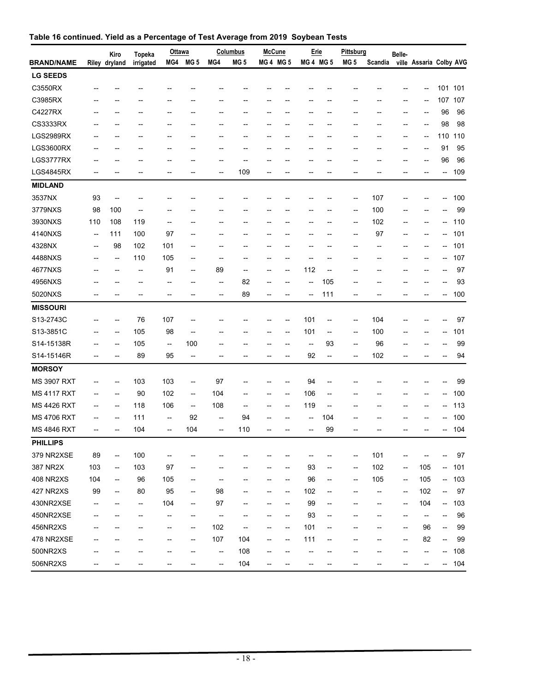|                    |                          | Kiro                               | <b>Topeka</b>  | Ottawa                   |                                     |                          | <b>Columbus</b>          | <b>McCune</b>                         |                                     | Erie                     |     | <b>Pittsburg</b>         |                                     | Belle-                                              |                                                     |     |     |
|--------------------|--------------------------|------------------------------------|----------------|--------------------------|-------------------------------------|--------------------------|--------------------------|---------------------------------------|-------------------------------------|--------------------------|-----|--------------------------|-------------------------------------|-----------------------------------------------------|-----------------------------------------------------|-----|-----|
| <b>BRAND/NAME</b>  |                          | Riley dryland                      | irrigated      | MG4                      | MG <sub>5</sub>                     | MG4                      | MG <sub>5</sub>          | <b>MG4 MG5</b>                        |                                     | MG 4 MG 5                |     | MG <sub>5</sub>          | Scandia                             |                                                     | ville Assaria Colby AVG                             |     |     |
| <b>LG SEEDS</b>    |                          |                                    |                |                          |                                     |                          |                          |                                       |                                     |                          |     |                          |                                     |                                                     |                                                     |     |     |
| C3550RX            |                          |                                    |                |                          |                                     |                          |                          |                                       |                                     |                          |     |                          |                                     |                                                     |                                                     | 101 | 101 |
| C3985RX            |                          |                                    |                |                          |                                     |                          |                          |                                       |                                     | --                       |     |                          |                                     |                                                     | --                                                  | 107 | 107 |
| C4227RX            |                          |                                    |                |                          |                                     |                          |                          |                                       |                                     | --                       |     |                          |                                     | --                                                  | $\overline{\phantom{a}}$                            | 96  | 96  |
| <b>CS3333RX</b>    |                          |                                    |                |                          |                                     |                          |                          |                                       |                                     |                          |     |                          |                                     |                                                     |                                                     | 98  | 98  |
| <b>LGS2989RX</b>   |                          |                                    | --             | --                       | --                                  | --                       |                          |                                       | --                                  | --                       | --  | --                       | --                                  | --                                                  | --                                                  | 110 | 110 |
| <b>LGS3600RX</b>   |                          | --                                 | --             | $\overline{\phantom{a}}$ | --                                  | --                       | --                       | --                                    | $\overline{\phantom{a}}$            | --                       |     | --                       | $\overline{\phantom{a}}$            | $\overline{\phantom{a}}$                            | $\hspace{0.05cm} -\hspace{0.05cm} -\hspace{0.05cm}$ | 91  | 95  |
| LGS3777RX          |                          |                                    |                |                          |                                     |                          |                          |                                       | --                                  |                          |     |                          |                                     |                                                     | $\overline{\phantom{a}}$                            | 96  | 96  |
| <b>LGS4845RX</b>   |                          |                                    |                |                          |                                     | --                       | 109                      |                                       |                                     |                          |     |                          |                                     |                                                     |                                                     | --  | 109 |
| <b>MIDLAND</b>     |                          |                                    |                |                          |                                     |                          |                          |                                       |                                     |                          |     |                          |                                     |                                                     |                                                     |     |     |
| 3537NX             | 93                       |                                    |                |                          |                                     |                          |                          |                                       |                                     |                          |     |                          | 107                                 |                                                     |                                                     | --  | 100 |
| 3779NXS            | 98                       | 100                                | $\overline{a}$ |                          |                                     |                          |                          |                                       |                                     |                          |     | --                       | 100                                 |                                                     | --                                                  |     | 99  |
| 3930NXS            | 110                      | 108                                | 119            | $\overline{\phantom{a}}$ | --                                  | --                       |                          |                                       | --                                  | --                       |     | --                       | 102                                 | --                                                  | --                                                  | --  | 110 |
| 4140NXS            | --                       | 111                                | 100            | 97                       | --                                  |                          |                          |                                       |                                     | --                       |     |                          | 97                                  | --                                                  | --                                                  |     | 101 |
| 4328NX             | $\hspace{0.05cm} \dashv$ | 98                                 | 102            | 101                      |                                     |                          |                          |                                       | --                                  | --                       |     |                          | --                                  |                                                     |                                                     |     | 101 |
| 4488NXS            | --                       | --                                 | 110            | 105                      | --                                  | --                       | --                       |                                       | --                                  | $\overline{\phantom{a}}$ |     | --                       | --                                  | --                                                  | --                                                  | --  | 107 |
| 4677NXS            | --                       | --                                 | --             | 91                       | --                                  | 89                       | $\overline{\phantom{a}}$ | --                                    | $\overline{\phantom{a}}$            | 112                      | --  | --                       | $\overline{\phantom{a}}$            |                                                     |                                                     |     | 97  |
| 4956NXS            |                          |                                    | --             | --                       |                                     | --                       | 82                       | --                                    | --                                  | --                       | 105 |                          |                                     |                                                     |                                                     |     | 93  |
| 5020NXS            |                          |                                    | --             | --                       | --                                  | --                       | 89                       | --                                    | --                                  | --                       | 111 | --                       | $\overline{\phantom{a}}$            | --                                                  | --                                                  | --  | 100 |
| <b>MISSOURI</b>    |                          |                                    |                |                          |                                     |                          |                          |                                       |                                     |                          |     |                          |                                     |                                                     |                                                     |     |     |
| S13-2743C          |                          | --                                 | 76             | 107                      |                                     |                          |                          |                                       | --                                  | 101                      | --  | --                       | 104                                 |                                                     |                                                     |     | 97  |
| S13-3851C          |                          | --                                 | 105            | 98                       | --                                  |                          |                          | $\overline{a}$                        | $\overline{\phantom{a}}$            | 101                      | --  | $\overline{\phantom{a}}$ | 100                                 | --                                                  | --                                                  | --  | 101 |
| S14-15138R         |                          | --                                 | 105            | $- \hspace{0.1em} -$     | 100                                 |                          |                          |                                       | --                                  | --                       | 93  | --                       | 96                                  |                                                     |                                                     |     | 99  |
| S14-15146R         |                          | --                                 | 89             | 95                       | --                                  | --                       |                          |                                       |                                     | 92                       | --  | --                       | 102                                 |                                                     |                                                     |     | 94  |
| <b>MORSOY</b>      |                          |                                    |                |                          |                                     |                          |                          |                                       |                                     |                          |     |                          |                                     |                                                     |                                                     |     |     |
| <b>MS 3907 RXT</b> |                          | --                                 | 103            | 103                      | --                                  | 97                       |                          |                                       |                                     | 94                       |     |                          |                                     |                                                     |                                                     |     | 99  |
| <b>MS 4117 RXT</b> |                          | --                                 | 90             | 102                      | --                                  | 104                      |                          | --                                    | $\hspace{0.05cm}$ $\hspace{0.05cm}$ | 106                      | --  |                          |                                     |                                                     | --                                                  | --  | 100 |
| <b>MS 4426 RXT</b> |                          | --                                 | 118            | 106                      | $\hspace{0.05cm}$ $\hspace{0.05cm}$ | 108                      | --                       | --                                    | $\hspace{0.05cm}$ $\hspace{0.05cm}$ | 119                      | --  |                          |                                     |                                                     |                                                     |     | 113 |
| <b>MS 4706 RXT</b> |                          | --                                 | 111            | --                       | 92                                  | --                       | 94                       |                                       |                                     | --                       | 104 |                          |                                     |                                                     |                                                     |     | 100 |
| <b>MS 4846 RXT</b> | --                       | --                                 | 104            | --                       | 104                                 | $\overline{\phantom{a}}$ | 110                      |                                       |                                     | --                       | 99  | --                       |                                     |                                                     | --                                                  | --  | 104 |
| <b>PHILLIPS</b>    |                          |                                    |                |                          |                                     |                          |                          |                                       |                                     |                          |     |                          |                                     |                                                     |                                                     |     |     |
| 379 NR2XSE         | 89                       | $\overline{\phantom{a}}$           | 100            | $\hspace{0.05cm} \dashv$ |                                     |                          |                          |                                       | $\overline{\phantom{a}}$            | --                       | --  | --                       | 101                                 | --                                                  | $\hspace{0.05cm} -\hspace{0.05cm} -\hspace{0.05cm}$ | --  | 97  |
| 387 NR2X           | 103                      | $\hspace{0.05cm} -\hspace{0.05cm}$ | 103            | 97                       | --                                  |                          |                          | --                                    | $\hspace{0.05cm}$ $\hspace{0.05cm}$ | 93                       | --  | --                       | 102                                 | $\hspace{0.05cm} -\hspace{0.05cm}$                  | 105                                                 | --  | 101 |
| <b>408 NR2XS</b>   | 104                      | $\hspace{0.05cm} -\hspace{0.05cm}$ | 96             | 105                      | --                                  | --                       |                          | --                                    | $\overline{\phantom{a}}$            | 96                       | --  | $\overline{\phantom{a}}$ | 105                                 | $\hspace{0.05cm} -\hspace{0.05cm}$                  | 105                                                 | --  | 103 |
| 427 NR2XS          | 99                       | --                                 | 80             | 95                       | --                                  | 98                       |                          | --                                    | $\overline{\phantom{a}}$            | 102                      | --  | --                       | --                                  | $\hspace{0.05cm} -\hspace{0.05cm} -\hspace{0.05cm}$ | 102                                                 | --  | 97  |
| 430NR2XSE          | $\overline{\phantom{a}}$ | --                                 | $\overline{a}$ | 104                      | $\hspace{0.05cm}$ $\hspace{0.05cm}$ | 97                       | --                       | --                                    | $\hspace{0.05cm} \dashv$            | 99                       | --  | --                       | $\hspace{0.05cm}$ $\hspace{0.05cm}$ | $\overline{\phantom{a}}$                            | 104                                                 | --  | 103 |
| 450NR2XSE          | --                       |                                    | --             | --                       | --                                  | --                       | --                       | --                                    | $\hspace{0.05cm} -\hspace{0.05cm}$  | 93                       | --  | --                       | --                                  | $\hspace{0.05cm}$ –                                 | --                                                  | --  | 96  |
| 456NR2XS           |                          |                                    |                | --                       | --                                  | 102                      | --                       |                                       | $\overline{\phantom{a}}$            | 101                      | --  | --                       | --                                  | --                                                  | 96                                                  | --  | 99  |
| 478 NR2XSE         | --                       |                                    | --             | --                       | --                                  | 107                      | 104                      | --                                    | $\overline{\phantom{a}}$            | 111                      | --  | --                       | --                                  | --                                                  | 82                                                  | --  | 99  |
| 500NR2XS           | --                       | --                                 | --             | --                       | --                                  | $\overline{\phantom{a}}$ | 108                      | --                                    | $\overline{\phantom{a}}$            | --                       | --  | --                       | --                                  | --                                                  | --                                                  | --  | 108 |
| 506NR2XS           | --                       | --                                 | --             | --                       | --                                  | $\overline{\phantom{a}}$ | 104                      | $\hspace{0.05cm}$ – $\hspace{0.05cm}$ | $\hspace{0.05cm} -\hspace{0.05cm}$  | --                       | --  | --                       | --                                  | $\overline{\phantom{a}}$                            | --                                                  | --  | 104 |
|                    |                          |                                    |                |                          |                                     |                          |                          |                                       |                                     |                          |     |                          |                                     |                                                     |                                                     |     |     |

# **Table 16 continued. Yield as a Percentage of Test Average from 2019 Soybean Tests**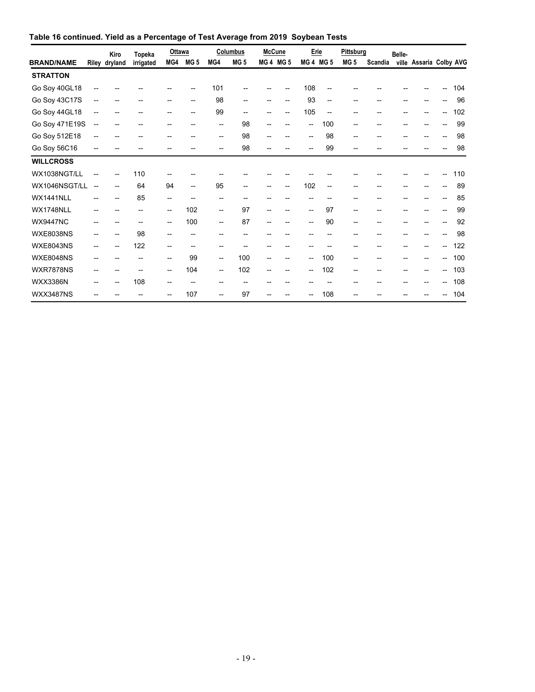| Table 16 continued. Yield as a Percentage of Test Average from 2019 Soybean Tests |  |  |  |  |  |
|-----------------------------------------------------------------------------------|--|--|--|--|--|
|-----------------------------------------------------------------------------------|--|--|--|--|--|

|                   |                          | Kiro                     | <b>Topeka</b>            | Ottawa                                |                          |                                     | Columbus                            | <b>McCune</b> |                          | Erie                     |                          | Pittsburg                             |         | Belle- |                         |    |     |
|-------------------|--------------------------|--------------------------|--------------------------|---------------------------------------|--------------------------|-------------------------------------|-------------------------------------|---------------|--------------------------|--------------------------|--------------------------|---------------------------------------|---------|--------|-------------------------|----|-----|
| <b>BRAND/NAME</b> |                          | Riley dryland            | irrigated                | MG4                                   | MG <sub>5</sub>          | MG4                                 | MG <sub>5</sub>                     |               | <b>MG4 MG5</b>           | MG4 MG5                  |                          | MG <sub>5</sub>                       | Scandia |        | ville Assaria Colby AVG |    |     |
| <b>STRATTON</b>   |                          |                          |                          |                                       |                          |                                     |                                     |               |                          |                          |                          |                                       |         |        |                         |    |     |
| Go Soy 40GL18     | $-$                      |                          |                          |                                       | --                       | 101                                 |                                     |               |                          | 108                      | --                       |                                       |         |        |                         | -- | 104 |
| Go Soy 43C17S     | $\overline{\phantom{a}}$ |                          |                          | --                                    | $\overline{\phantom{a}}$ | 98                                  | --                                  |               | --                       | 93                       | $\overline{\phantom{a}}$ | --                                    |         |        |                         |    | 96  |
| Go Soy 44GL18     | $-$                      |                          |                          | $\overline{\phantom{a}}$              | $\overline{\phantom{a}}$ | 99                                  | $\hspace{0.05cm}$ $\hspace{0.05cm}$ |               | $\overline{\phantom{a}}$ | 105                      | $\overline{\phantom{a}}$ | --                                    |         |        |                         | -- | 102 |
| Go Soy 471E19S    | $-\!$                    | $-$                      | --                       | $\overline{\phantom{a}}$              | $\overline{\phantom{a}}$ | $\hspace{0.05cm}$ $\hspace{0.05cm}$ | 98                                  |               |                          | $\overline{\phantom{a}}$ | 100                      | $\overline{\phantom{a}}$              | --      | --     |                         | -- | 99  |
| Go Soy 512E18     | $-$                      | $-$                      | $-$                      | $\overline{\phantom{a}}$              | $\overline{\phantom{a}}$ | $\hspace{0.05cm} -\hspace{0.05cm}$  | 98                                  | --            | $\overline{\phantom{a}}$ | $\overline{\phantom{a}}$ | 98                       | --                                    | $-$     | --     |                         | -- | 98  |
| Go Soy 56C16      | --                       |                          |                          |                                       |                          | $\overline{\phantom{a}}$            | 98                                  |               |                          | $\overline{\phantom{a}}$ | 99                       | $-$                                   |         |        |                         |    | 98  |
| <b>WILLCROSS</b>  |                          |                          |                          |                                       |                          |                                     |                                     |               |                          |                          |                          |                                       |         |        |                         |    |     |
| WX1038NGT/LL      | $\overline{\phantom{a}}$ | --                       | 110                      |                                       |                          |                                     |                                     |               |                          |                          |                          |                                       |         |        |                         |    | 110 |
| WX1046NSGT/LL     | $\overline{\phantom{a}}$ | $\overline{\phantom{a}}$ | 64                       | 94                                    | $\overline{\phantom{a}}$ | 95                                  | $\overline{\phantom{0}}$            |               | $\overline{\phantom{a}}$ | 102                      | $\overline{\phantom{0}}$ | $-$                                   |         |        |                         | -- | 89  |
| WX1441NLL         |                          |                          | 85                       | $\overline{\phantom{a}}$              | --                       | --                                  | --                                  |               |                          | --                       |                          |                                       |         |        |                         |    | 85  |
| WX1748NLL         | --                       |                          | $\overline{\phantom{a}}$ | $\overline{\phantom{a}}$              | 102                      | $\overline{\phantom{a}}$            | 97                                  |               |                          | $\overline{a}$           | 97                       | $\overline{\phantom{a}}$              |         |        |                         |    | 99  |
| <b>WX9447NC</b>   | --                       |                          | $\overline{\phantom{a}}$ | $\overline{\phantom{a}}$              | 100                      | $\overline{\phantom{a}}$            | 87                                  |               |                          | $\overline{\phantom{a}}$ | 90                       | $\overline{\phantom{a}}$              |         |        |                         |    | 92  |
| <b>WXE8038NS</b>  | $\overline{\phantom{a}}$ |                          | 98                       | $\overline{\phantom{a}}$              | $\overline{\phantom{a}}$ | --                                  | --                                  |               |                          | --                       | --                       | $\qquad \qquad \cdots$                | --      | --     |                         | -- | 98  |
| <b>WXE8043NS</b>  | --                       |                          | 122                      | $\hspace{0.05cm}$ – $\hspace{0.05cm}$ | --                       | $\overline{\phantom{a}}$            | --                                  |               |                          | --                       |                          |                                       |         |        |                         |    | 122 |
| <b>WXE8048NS</b>  | --                       |                          |                          | $\overline{\phantom{a}}$              | 99                       | $\overline{\phantom{a}}$            | 100                                 |               |                          | $\overline{\phantom{a}}$ | 100                      | $\overline{\phantom{a}}$              |         |        |                         | -- | 100 |
| <b>WXR7878NS</b>  | --                       |                          |                          | $\overline{\phantom{a}}$              | 104                      | $\overline{\phantom{a}}$            | 102                                 |               |                          | $\overline{\phantom{a}}$ | 102                      | --                                    |         |        |                         | -- | 103 |
| <b>WXX3386N</b>   | --                       | --                       | 108                      | $\overline{\phantom{a}}$              | $\overline{\phantom{a}}$ | $\hspace{0.05cm}$ $\hspace{0.05cm}$ | --                                  |               |                          | --                       | $- -$                    | $\hspace{0.05cm}$ – $\hspace{0.05cm}$ | --      |        | --                      | -- | 108 |
| <b>WXX3487NS</b>  |                          |                          |                          | --                                    | 107                      | $\overline{\phantom{a}}$            | 97                                  |               |                          |                          | 108                      |                                       |         |        |                         | -- | 104 |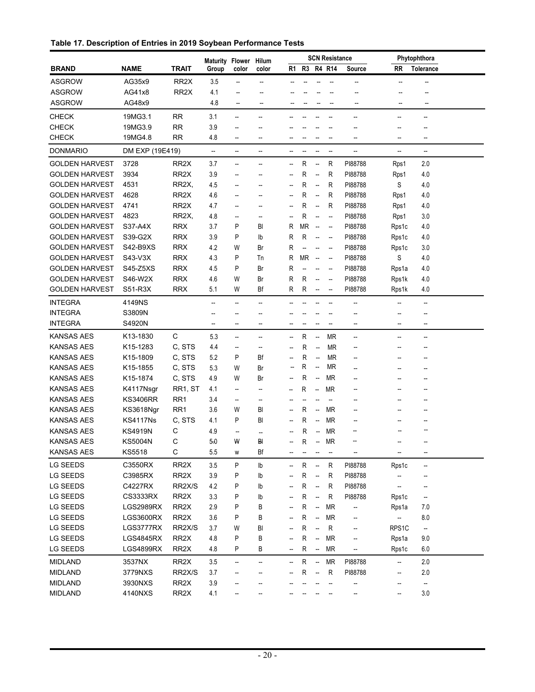| Table 17. Description of Entries in 2019 Soybean Performance Tests |  |  |  |
|--------------------------------------------------------------------|--|--|--|
|--------------------------------------------------------------------|--|--|--|

|                                 |                  |                   | Maturity Flower Hilum    |                               |                                |                          |           |                          | <b>SCN Resistance</b>    |                          |                | Phytophthora             |  |
|---------------------------------|------------------|-------------------|--------------------------|-------------------------------|--------------------------------|--------------------------|-----------|--------------------------|--------------------------|--------------------------|----------------|--------------------------|--|
| <b>BRAND</b>                    | <b>NAME</b>      | <b>TRAIT</b>      | Group                    | color                         | color                          |                          |           |                          | R1 R3 R4 R14             | <b>Source</b>            | RR             | <b>Tolerance</b>         |  |
| <b>ASGROW</b>                   | AG35x9           | RR <sub>2</sub> X | 3.5                      | $\overline{\phantom{a}}$      | $\overline{\phantom{a}}$       |                          |           |                          |                          |                          | --             |                          |  |
| ASGROW                          | AG41x8           | RR <sub>2</sub> X | 4.1                      | $\overline{\phantom{a}}$      | $\overline{\phantom{a}}$       |                          |           |                          |                          |                          | $\overline{a}$ | --                       |  |
| <b>ASGROW</b>                   | AG48x9           |                   | 4.8                      | --                            | $\overline{\phantom{a}}$       |                          |           |                          | $\overline{\phantom{a}}$ | --                       | --             | --                       |  |
| <b>CHECK</b>                    | 19MG3.1          | RR                | 3.1                      | --                            | --                             |                          |           |                          |                          | --                       | --             | --                       |  |
| <b>CHECK</b>                    | 19MG3.9          | <b>RR</b>         | 3.9                      |                               |                                |                          |           |                          |                          |                          |                |                          |  |
| <b>CHECK</b>                    | 19MG4.8          | RR                | 4.8                      | --                            | --                             |                          |           |                          |                          | --                       | --             | --                       |  |
| <b>DONMARIO</b>                 | DM EXP (19E419)  |                   | $\overline{\phantom{a}}$ | --                            | --                             | --                       |           |                          | --                       | --                       | --             | --                       |  |
| <b>GOLDEN HARVEST</b>           | 3728             | RR2X              | 3.7                      | --                            | --                             | --                       | R         | --                       | R                        | PI88788                  | Rps1           | 2.0                      |  |
| <b>GOLDEN HARVEST</b>           | 3934             | RR <sub>2</sub> X | 3.9                      |                               |                                | --                       | R         | $\qquad \qquad \cdots$   | R                        | PI88788                  | Rps1           | 4.0                      |  |
| <b>GOLDEN HARVEST</b>           | 4531             | RR2X,             | 4.5                      | $\overline{\phantom{a}}$      |                                | --                       | R         | --                       | R                        | PI88788                  | S              | 4.0                      |  |
| <b>GOLDEN HARVEST</b>           | 4628             | RR <sub>2</sub> X | 4.6                      | $\overline{\phantom{a}}$      |                                | --                       | R         | $\qquad \qquad \cdots$   | R                        | PI88788                  | Rps1           | 4.0                      |  |
| <b>GOLDEN HARVEST</b>           | 4741             | RR <sub>2</sub> X | 4.7                      | --                            | --                             | --                       | R         | $\qquad \qquad \cdots$   | R                        | PI88788                  | Rps1           | 4.0                      |  |
| <b>GOLDEN HARVEST</b>           | 4823             | RR2X,             | 4.8                      | --                            | --                             | --                       | R         | $\overline{\phantom{a}}$ | $\overline{\phantom{a}}$ | PI88788                  | Rps1           | 3.0                      |  |
| <b>GOLDEN HARVEST</b>           | S37-A4X          | <b>RRX</b>        | 3.7                      | P                             | BI                             | R                        | ΜR        | $\overline{\phantom{a}}$ | $\overline{\phantom{a}}$ | PI88788                  | Rps1c          | 4.0                      |  |
| <b>GOLDEN HARVEST</b>           | S39-G2X          | <b>RRX</b>        | 3.9                      | P                             | lb                             | R                        | R         | $\overline{\phantom{a}}$ | $\overline{\phantom{a}}$ | PI88788                  | Rps1c          | 4.0                      |  |
| <b>GOLDEN HARVEST</b>           | S42-B9XS         | <b>RRX</b>        | 4.2                      | W                             | Br                             | R                        |           | $\overline{\phantom{a}}$ | $\overline{\phantom{a}}$ | PI88788                  | Rps1c          | 3.0                      |  |
| <b>GOLDEN HARVEST</b>           | S43-V3X          | <b>RRX</b>        | 4.3                      | P                             | Tn                             | R                        | ΜR        | $\overline{\phantom{a}}$ | $\overline{\phantom{a}}$ | PI88788                  | S              | 4.0                      |  |
| <b>GOLDEN HARVEST</b>           | S45-Z5XS         | <b>RRX</b>        | 4.5                      | P                             | Br                             | R                        | --        | --                       | $\overline{\phantom{a}}$ | PI88788                  | Rps1a          | 4.0                      |  |
| <b>GOLDEN HARVEST</b>           | S46-W2X          | <b>RRX</b>        | 4.6                      | W                             | Br                             | R                        | R         | $\overline{\phantom{a}}$ | $\overline{\phantom{a}}$ | PI88788                  | Rps1k          | 4.0                      |  |
| <b>GOLDEN HARVEST</b>           | S51-R3X          | <b>RRX</b>        | 5.1                      | W                             | Bf                             | R                        | R         | $\overline{\phantom{a}}$ | $\overline{\phantom{a}}$ | PI88788                  | Rps1k          | 4.0                      |  |
| <b>INTEGRA</b>                  | 4149NS           |                   | --                       | --                            | --                             |                          |           |                          |                          | --                       | --             | $\overline{\phantom{a}}$ |  |
| <b>INTEGRA</b>                  | S3809N           |                   |                          |                               |                                |                          |           |                          |                          |                          |                | --                       |  |
| <b>INTEGRA</b>                  | S4920N           |                   | $\overline{\phantom{a}}$ | $\overline{\phantom{a}}$      | --                             |                          |           |                          | $\overline{\phantom{a}}$ | --                       | --             | $\overline{\phantom{a}}$ |  |
| <b>KANSAS AES</b>               | K13-1830         | C                 | 5.3                      | $\overline{\phantom{a}}$      |                                | --                       | R         | $\overline{\phantom{a}}$ | ΜR                       | $\overline{\phantom{a}}$ | --             |                          |  |
| <b>KANSAS AES</b>               | K15-1283         | C, STS            | 4.4                      | $\overline{\phantom{a}}$      | --<br>--                       | --                       | R         | $\overline{\phantom{a}}$ | MR                       | --                       |                | --<br>--                 |  |
| <b>KANSAS AES</b>               | K15-1809         | C, STS            | 5.2                      | P                             | Bf                             | --                       | R         | $\overline{\phantom{a}}$ | ΜR                       | --                       | --             | --                       |  |
| <b>KANSAS AES</b>               | K15-1855         | C, STS            | 5.3                      | W                             | Br                             |                          | R         | $\overline{\phantom{a}}$ | ΜR                       | --                       | --             | --                       |  |
| <b>KANSAS AES</b>               | K15-1874         | C, STS            | 4.9                      | W                             | Br                             | --                       | R         | $\overline{\phantom{a}}$ | <b>MR</b>                | --                       | --             |                          |  |
| <b>KANSAS AES</b>               | K4117Nsgr        | RR1, ST           | 4.1                      | $\overline{\phantom{a}}$      | --                             |                          | R         |                          | <b>MR</b>                |                          | --             |                          |  |
| <b>KANSAS AES</b>               | KS3406RR         | RR <sub>1</sub>   |                          |                               |                                | --                       |           | --                       |                          | --                       |                |                          |  |
| <b>KANSAS AES</b>               | KS3618Ngr        | RR <sub>1</sub>   | 3.4<br>3.6               | $\overline{\phantom{a}}$<br>W | $\overline{\phantom{a}}$<br>BI | $\overline{\phantom{a}}$ | R         |                          | $\overline{\phantom{a}}$ | --                       |                |                          |  |
| <b>KANSAS AES</b>               | KS4117Ns         | C, STS            | 4.1                      | P                             | BI                             | --                       | R         | $\overline{\phantom{a}}$ | ΜR<br><b>MR</b>          | --                       |                |                          |  |
|                                 |                  | С                 |                          |                               |                                |                          |           | $\overline{\phantom{a}}$ |                          | --                       |                |                          |  |
| <b>KANSAS AES</b>               | <b>KS4919N</b>   |                   | 4.9                      | --<br>W                       | --<br>ВI                       | --                       | R         | $\overline{\phantom{a}}$ | <b>MR</b>                |                          |                |                          |  |
| KANSAS AES<br><b>KANSAS AES</b> | KS5004N          | С<br>С            | 5.0                      |                               |                                | --                       | R         |                          | -- MR                    |                          |                |                          |  |
|                                 | KS5518           |                   | 5.5                      | W                             | Bf                             |                          | --        | --                       |                          | $\overline{\phantom{a}}$ | --             | --                       |  |
| LG SEEDS                        | C3550RX          | RR2X              | 3.5                      | P                             | I <sub>b</sub>                 | --                       | R         | $\overline{\phantom{a}}$ | R                        | PI88788                  | Rps1c          | $\qquad \qquad \cdots$   |  |
| LG SEEDS                        | C3985RX          | RR2X              | 3.9                      | P                             | lb                             |                          | R         | $\overline{\phantom{a}}$ | R                        | PI88788                  |                |                          |  |
| LG SEEDS                        | C4227RX          | RR2X/S            | 4.2                      | P                             | lb                             |                          | ${\sf R}$ | $\overline{\phantom{a}}$ | R                        | PI88788                  | --             |                          |  |
| LG SEEDS                        | CS3333RX         | RR2X              | 3.3                      | P                             | lb                             |                          | ${\sf R}$ | $\overline{\phantom{a}}$ | $\mathsf R$              | PI88788                  | Rps1c          | --                       |  |
| LG SEEDS                        | LGS2989RX        | RR2X              | 2.9                      | P                             | В                              |                          | ${\sf R}$ | --                       | <b>MR</b>                | --                       | Rps1a          | 7.0                      |  |
| LG SEEDS                        | <b>LGS3600RX</b> | RR <sub>2</sub> X | 3.6                      | P                             | В                              |                          | ${\sf R}$ | --                       | <b>MR</b>                | --                       | --             | 8.0                      |  |
| LG SEEDS                        | LGS3777RX        | RR2X/S            | 3.7                      | W                             | BI                             |                          | ${\sf R}$ | --                       | ${\sf R}$                | --                       | RPS1C          | --                       |  |
| LG SEEDS                        | <b>LGS4845RX</b> | RR2X              | 4.8                      | Ρ                             | В                              |                          | ${\sf R}$ | --                       | <b>MR</b>                | --                       | Rps1a          | 9.0                      |  |
| LG SEEDS                        | LGS4899RX        | RR2X              | 4.8                      | Ρ                             | В                              | --                       | R         | $\overline{\phantom{a}}$ | <b>MR</b>                | --                       | Rps1c          | 6.0                      |  |
| <b>MIDLAND</b>                  | 3537NX           | RR2X              | 3.5                      | --                            | --                             | --                       | R         | --                       | <b>MR</b>                | PI88788                  | --             | 2.0                      |  |
| <b>MIDLAND</b>                  | 3779NXS          | RR2X/S            | 3.7                      |                               |                                |                          | R         | $\overline{\phantom{a}}$ | R                        | PI88788                  | --             | 2.0                      |  |
| <b>MIDLAND</b>                  | 3930NXS          | RR2X              | 3.9                      |                               |                                |                          |           |                          |                          | --                       | --             | --                       |  |
| <b>MIDLAND</b>                  | 4140NXS          | RR2X              | 4.1                      | --                            |                                |                          |           |                          |                          |                          | --             | 3.0                      |  |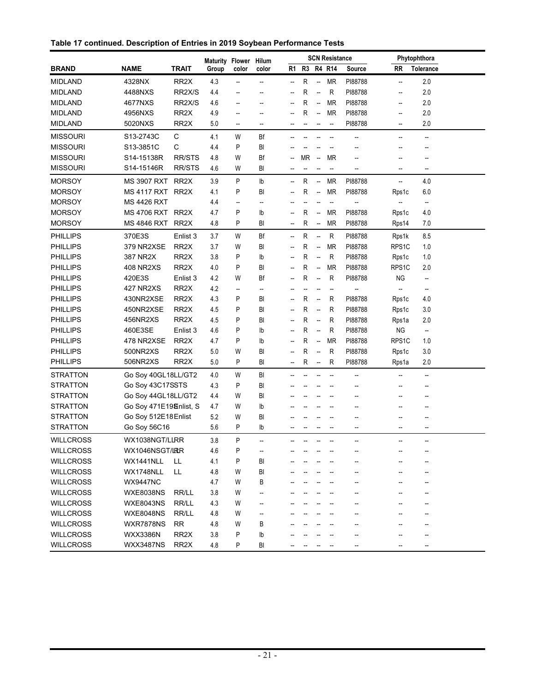|  |  | Table 17 continued. Description of Entries in 2019 Soybean Performance Tests |  |
|--|--|------------------------------------------------------------------------------|--|
|  |  |                                                                              |  |

|                  |                        |                   | Maturity Flower |                          | Hilum                  |    |    |                          | <b>SCN Resistance</b> |         |           | Phytophthora             |  |
|------------------|------------------------|-------------------|-----------------|--------------------------|------------------------|----|----|--------------------------|-----------------------|---------|-----------|--------------------------|--|
| <b>BRAND</b>     | <b>NAME</b>            | <b>TRAIT</b>      | Group           | color                    | color                  | R1 |    |                          | R3 R4 R14             | Source  | <b>RR</b> | <b>Tolerance</b>         |  |
| <b>MIDLAND</b>   | 4328NX                 | RR <sub>2</sub> X | 4.3             | --                       | --                     | -- | R  | $\overline{\phantom{a}}$ | <b>MR</b>             | PI88788 | --        | 2.0                      |  |
| <b>MIDLAND</b>   | 4488NXS                | RR2X/S            | 4.4             | --                       | --                     | Ξ. | R  | --                       | R                     | PI88788 | --        | 2.0                      |  |
| <b>MIDLAND</b>   | 4677NXS                | RR2X/S            | 4.6             | --                       | --                     | Ξ. | R  | $\overline{\phantom{a}}$ | <b>MR</b>             | PI88788 | --        | 2.0                      |  |
| <b>MIDLAND</b>   | 4956NXS                | RR <sub>2</sub> X | 4.9             | --                       | --                     | ٠. | R  | $\overline{\phantom{a}}$ | <b>MR</b>             | PI88788 | --        | 2.0                      |  |
| <b>MIDLAND</b>   | 5020NXS                | RR <sub>2</sub> X | 5.0             | $\overline{\phantom{a}}$ | --                     |    |    |                          |                       | PI88788 | --        | 2.0                      |  |
| <b>MISSOURI</b>  | S13-2743C              | С                 | 4.1             | W                        | Bf                     |    |    |                          |                       | --      | --        | --                       |  |
| <b>MISSOURI</b>  | S13-3851C              | С                 | 4.4             | P                        | BI                     |    |    |                          |                       |         |           | $\overline{a}$           |  |
| <b>MISSOURI</b>  | S14-15138R             | <b>RR/STS</b>     | 4.8             | W                        | Bf                     |    | MR | $\overline{\phantom{a}}$ | <b>MR</b>             |         |           |                          |  |
| <b>MISSOURI</b>  | S14-15146R             | <b>RR/STS</b>     | 4.6             | W                        | BI                     |    |    |                          | --                    |         |           | --                       |  |
| <b>MORSOY</b>    | <b>MS 3907 RXT</b>     | RR <sub>2</sub> X | 3.9             | P                        | ${\sf lb}$             | -- | R  | $\overline{\phantom{a}}$ | ΜR                    | PI88788 | --        | 4.0                      |  |
| <b>MORSOY</b>    | MS 4117 RXT RR2X       |                   | 4.1             | P                        | BI                     |    | R  | --                       | <b>MR</b>             | PI88788 | Rps1c     | 6.0                      |  |
| <b>MORSOY</b>    | <b>MS 4426 RXT</b>     |                   | 4.4             | $\overline{\phantom{a}}$ | --                     |    |    |                          |                       |         |           | $\qquad \qquad \cdots$   |  |
| <b>MORSOY</b>    | MS 4706 RXT RR2X       |                   | 4.7             | P                        | Ib                     |    | R  | $\qquad \qquad \cdots$   | <b>MR</b>             | PI88788 | Rps1c     | 4.0                      |  |
| <b>MORSOY</b>    | <b>MS 4846 RXT</b>     | RR2X              | 4.8             | Ρ                        | BI                     |    | R  | $\qquad \qquad \cdots$   | <b>MR</b>             | PI88788 | Rps14     | 7.0                      |  |
| <b>PHILLIPS</b>  | 370E3S                 | Enlist 3          | 3.7             | W                        | Bf                     | -- | R  | $\overline{\phantom{a}}$ | R                     | PI88788 | Rps1k     | 8.5                      |  |
| <b>PHILLIPS</b>  | 379 NR2XSE             | RR <sub>2</sub> X | 3.7             | W                        | BI                     |    | R  | --                       | <b>MR</b>             | PI88788 | RPS1C     | 1.0                      |  |
| <b>PHILLIPS</b>  | 387 NR2X               | RR <sub>2</sub> X | 3.8             | P                        | lb                     |    | R  | $\qquad \qquad -$        | R                     | PI88788 | Rps1c     | 1.0                      |  |
| <b>PHILLIPS</b>  | <b>408 NR2XS</b>       | RR <sub>2</sub> X | 4.0             | P                        | BI                     |    | R  | --                       | <b>MR</b>             | PI88788 | RPS1C     | 2.0                      |  |
| <b>PHILLIPS</b>  | 420E3S                 | Enlist 3          | 4.2             | W                        | Bf                     |    | R  | $\overline{\phantom{a}}$ | R                     | PI88788 | NG        | --                       |  |
| <b>PHILLIPS</b>  | 427 NR2XS              | RR <sub>2</sub> X | 4.2             | --                       | --                     |    |    |                          | --                    | --      |           | --                       |  |
| <b>PHILLIPS</b>  | 430NR2XSE              | RR <sub>2</sub> X | 4.3             | P                        | BI                     | -- | R  | $\qquad \qquad \cdots$   | R                     | PI88788 | Rps1c     | 4.0                      |  |
| <b>PHILLIPS</b>  | 450NR2XSE              | RR <sub>2</sub> X | 4.5             | P                        | BI                     | -- | R  | $\qquad \qquad \cdots$   | R                     | PI88788 | Rps1c     | 3.0                      |  |
| <b>PHILLIPS</b>  | 456NR2XS               | RR <sub>2</sub> X | 4.5             | P                        | BI                     | -- | R  | $\qquad \qquad \cdots$   | R                     | PI88788 | Rps1a     | 2.0                      |  |
| <b>PHILLIPS</b>  | 460E3SE                | Enlist 3          | 4.6             | P                        | lb                     | -- | R  | $\qquad \qquad \cdots$   | R                     | PI88788 | <b>NG</b> | $\overline{\phantom{a}}$ |  |
| <b>PHILLIPS</b>  | 478 NR2XSE             | RR <sub>2</sub> X | 4.7             | P                        | lb                     | Ξ. | R  | --                       | <b>MR</b>             | PI88788 | RPS1C     | 1.0                      |  |
| PHILLIPS         | 500NR2XS               | RR <sub>2</sub> X | 5.0             | W                        | BI                     | -- | R  | --                       | R                     | PI88788 | Rps1c     | 3.0                      |  |
| <b>PHILLIPS</b>  | 506NR2XS               | RR <sub>2</sub> X | 5.0             | P                        | BI                     | -- | R  | $\overline{\phantom{a}}$ | R                     | PI88788 | Rps1a     | 2.0                      |  |
| <b>STRATTON</b>  | Go Soy 40GL18LL/GT2    |                   | 4.0             | W                        | BI                     |    |    |                          |                       | --      |           | --                       |  |
| STRATTON         | Go Soy 43C17SSTS       |                   | 4.3             | P                        | BI                     |    |    |                          |                       |         |           |                          |  |
| STRATTON         | Go Soy 44GL18LL/GT2    |                   | 4.4             | W                        | BI                     |    |    |                          |                       |         |           |                          |  |
| STRATTON         | Go Soy 471E19&nlist, S |                   | 4.7             | W                        | Ib                     |    |    |                          |                       |         |           |                          |  |
| <b>STRATTON</b>  | Go Soy 512E18 Enlist   |                   | 5.2             | W                        | BI                     |    |    |                          |                       |         |           |                          |  |
| <b>STRATTON</b>  | Go Soy 56C16           |                   | 5.6             | P                        | Ib                     |    |    |                          |                       |         |           |                          |  |
| <b>WILLCROSS</b> | WX1038NGT/LIRR         |                   | 3.8             | P                        |                        |    |    |                          |                       |         |           |                          |  |
| <b>WILLCROSS</b> | WX1046NSGT/LRRR        |                   | 4.6             | P                        | $\qquad \qquad \cdots$ |    |    |                          |                       |         |           |                          |  |
| <b>WILLCROSS</b> | WX1441NLL              | LL.               | 4.1             | P                        | BI                     |    |    |                          |                       |         |           |                          |  |
| <b>WILLCROSS</b> | WX1748NLL              | LL.               | 4.8             | W                        | BI                     |    |    |                          |                       |         |           |                          |  |
| <b>WILLCROSS</b> | <b>WX9447NC</b>        |                   | 4.7             | W                        | В                      |    |    |                          |                       |         |           |                          |  |
| <b>WILLCROSS</b> | <b>WXE8038NS</b>       | RR/LL             | 3.8             | W                        | --                     |    |    |                          |                       |         |           |                          |  |
| <b>WILLCROSS</b> | WXE8043NS              | RR/LL             | 4.3             | W                        | --                     |    |    |                          |                       |         |           |                          |  |
| <b>WILLCROSS</b> | WXE8048NS              | RR/LL             | 4.8             | W                        | --                     |    |    |                          |                       |         |           |                          |  |
| <b>WILLCROSS</b> | <b>WXR7878NS</b>       | <b>RR</b>         | 4.8             | W                        | B                      |    |    |                          |                       |         |           |                          |  |
| <b>WILLCROSS</b> | <b>WXX3386N</b>        | RR <sub>2</sub> X | 3.8             | P                        | lb                     |    |    |                          |                       |         |           |                          |  |
| <b>WILLCROSS</b> | <b>WXX3487NS</b>       | RR <sub>2</sub> X | 4.8             | Ρ                        | BI                     |    |    |                          |                       |         |           |                          |  |